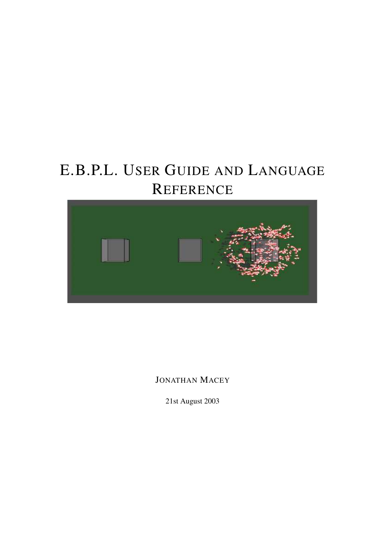# E.B.P.L. USER GUIDE AND LANGUAGE **REFERENCE**



JONATHAN MACEY

21st August 2003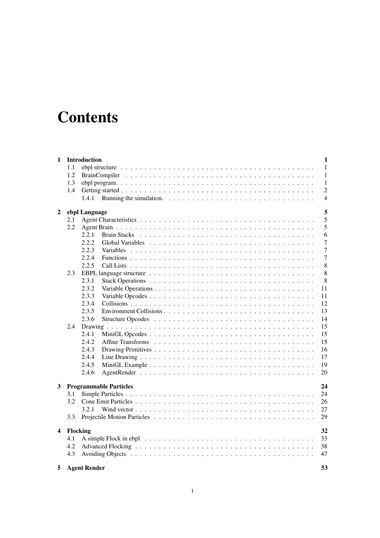# **Contents**

| 1                       |          | Introduction        |                                                                                                        |  |  |  |  |  |  |  |  |  | $\mathbf{1}$   |
|-------------------------|----------|---------------------|--------------------------------------------------------------------------------------------------------|--|--|--|--|--|--|--|--|--|----------------|
|                         | 1.1      |                     |                                                                                                        |  |  |  |  |  |  |  |  |  | 1              |
|                         | 1.2      |                     |                                                                                                        |  |  |  |  |  |  |  |  |  | $\mathbf{1}$   |
|                         | 1.3      |                     |                                                                                                        |  |  |  |  |  |  |  |  |  | 1              |
|                         | 1.4      |                     |                                                                                                        |  |  |  |  |  |  |  |  |  | $\overline{c}$ |
|                         |          | 1.4.1               | Running the simulation. $\ldots \ldots \ldots \ldots \ldots \ldots \ldots \ldots \ldots \ldots \ldots$ |  |  |  |  |  |  |  |  |  | $\overline{4}$ |
|                         |          |                     |                                                                                                        |  |  |  |  |  |  |  |  |  |                |
| 2                       |          | ebpl Language       |                                                                                                        |  |  |  |  |  |  |  |  |  | 5              |
|                         | 2.1      |                     |                                                                                                        |  |  |  |  |  |  |  |  |  | 5              |
|                         | 2.2      |                     |                                                                                                        |  |  |  |  |  |  |  |  |  | 5              |
|                         |          | 2.2.1               | <b>Brain Stacks</b>                                                                                    |  |  |  |  |  |  |  |  |  | 6              |
|                         |          | 2.2.2               |                                                                                                        |  |  |  |  |  |  |  |  |  | 7              |
|                         |          | 2.2.3               |                                                                                                        |  |  |  |  |  |  |  |  |  | $\overline{7}$ |
|                         |          | 2.2.4               |                                                                                                        |  |  |  |  |  |  |  |  |  | $\tau$         |
|                         |          | 2.2.5               |                                                                                                        |  |  |  |  |  |  |  |  |  | $\,$ 8 $\,$    |
|                         | 2.3      |                     |                                                                                                        |  |  |  |  |  |  |  |  |  | 8              |
|                         |          | 2.3.1               |                                                                                                        |  |  |  |  |  |  |  |  |  | 8              |
|                         |          | 2.3.2               |                                                                                                        |  |  |  |  |  |  |  |  |  | 11             |
|                         |          | 2.3.3               |                                                                                                        |  |  |  |  |  |  |  |  |  | 11             |
|                         |          | 2.3.4               |                                                                                                        |  |  |  |  |  |  |  |  |  | 12             |
|                         |          | 2.3.5               |                                                                                                        |  |  |  |  |  |  |  |  |  | 13             |
|                         |          | 2.3.6               |                                                                                                        |  |  |  |  |  |  |  |  |  | 14             |
|                         | 2.4      |                     |                                                                                                        |  |  |  |  |  |  |  |  |  | 15             |
|                         |          | 2.4.1               |                                                                                                        |  |  |  |  |  |  |  |  |  | 15             |
|                         |          | 2.4.2               |                                                                                                        |  |  |  |  |  |  |  |  |  | 15             |
|                         |          | 2.4.3               |                                                                                                        |  |  |  |  |  |  |  |  |  | 16             |
|                         |          | 2.4.4               |                                                                                                        |  |  |  |  |  |  |  |  |  | 17             |
|                         |          | 2.4.5               |                                                                                                        |  |  |  |  |  |  |  |  |  | 19             |
|                         |          | 2.4.6               |                                                                                                        |  |  |  |  |  |  |  |  |  | 20             |
|                         |          |                     |                                                                                                        |  |  |  |  |  |  |  |  |  |                |
| 3                       |          |                     | <b>Programmable Particles</b>                                                                          |  |  |  |  |  |  |  |  |  | 24             |
|                         | 3.1      |                     |                                                                                                        |  |  |  |  |  |  |  |  |  | 24             |
|                         | 3.2      |                     |                                                                                                        |  |  |  |  |  |  |  |  |  | 26             |
|                         |          | 3.2.1               |                                                                                                        |  |  |  |  |  |  |  |  |  | 27             |
|                         | 3.3      |                     |                                                                                                        |  |  |  |  |  |  |  |  |  | 29             |
|                         |          |                     |                                                                                                        |  |  |  |  |  |  |  |  |  |                |
| $\overline{\mathbf{4}}$ | Flocking |                     |                                                                                                        |  |  |  |  |  |  |  |  |  | 32             |
|                         | 4.1      |                     |                                                                                                        |  |  |  |  |  |  |  |  |  | 33             |
|                         | 4.2      |                     |                                                                                                        |  |  |  |  |  |  |  |  |  | 38             |
|                         | 4.3      |                     |                                                                                                        |  |  |  |  |  |  |  |  |  | 47             |
| 5                       |          | <b>Agent Render</b> |                                                                                                        |  |  |  |  |  |  |  |  |  | 53             |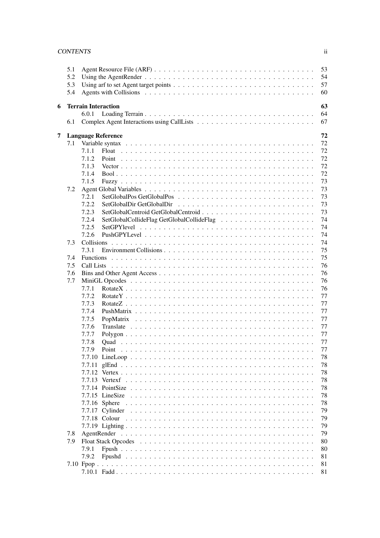### CONTENTS ii

|   | 5.1 | 53                                        |
|---|-----|-------------------------------------------|
|   | 5.2 | 54                                        |
|   | 5.3 | 57                                        |
|   | 5.4 | 60                                        |
|   |     | 63                                        |
| 6 |     | <b>Terrain Interaction</b><br>64<br>6.0.1 |
|   | 6.1 | 67                                        |
|   |     |                                           |
| 7 |     | 72<br><b>Language Reference</b>           |
|   | 7.1 | 72                                        |
|   |     | 72<br>7.1.1<br>Float                      |
|   |     | 72<br>7.1.2                               |
|   |     | 72<br>7.1.3                               |
|   |     | 72<br>7.1.4                               |
|   |     | 73<br>7.1.5                               |
|   | 7.2 | 73                                        |
|   |     | 7.2.1<br>73                               |
|   |     | 7.2.2<br>73                               |
|   |     | 73<br>7.2.3                               |
|   |     | 74<br>7.2.4                               |
|   |     | 7.2.5<br>74                               |
|   |     | 74<br>7.2.6                               |
|   | 7.3 | 74                                        |
|   |     | 75<br>7.3.1                               |
|   | 7.4 | 75                                        |
|   | 7.5 | 76<br>Call Lists                          |
|   | 7.6 | 76                                        |
|   | 7.7 | 76                                        |
|   |     | 76<br>7.7.1                               |
|   |     | 7.7.2<br>77                               |
|   |     | 7.7.3<br>77                               |
|   |     | 7.7.4<br>77                               |
|   |     | 7.7.5<br>77                               |
|   |     | 7.7.6<br>77                               |
|   |     | 7.7.7<br>77<br>77<br>7.7.8                |
|   |     | 77<br>7.7.9<br>Point                      |
|   |     | 78                                        |
|   |     | 78                                        |
|   |     | 78                                        |
|   |     | 78                                        |
|   |     | 78                                        |
|   |     | 78                                        |
|   |     | 78                                        |
|   |     | 79                                        |
|   |     | 79                                        |
|   |     | 79                                        |
|   | 7.8 | 79                                        |
|   | 7.9 | 80                                        |
|   |     | 7.9.1<br>80                               |
|   |     | 7.9.2<br>81                               |
|   |     | 81                                        |
|   |     | 81                                        |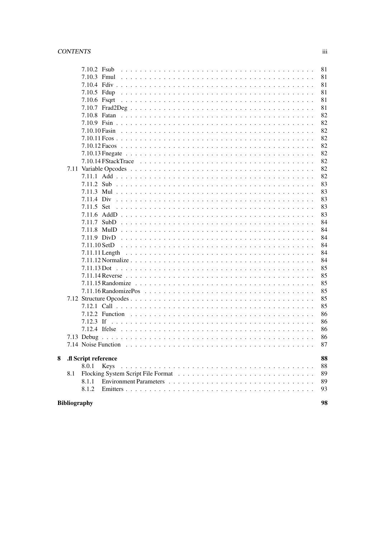### $CONTENTS$

|   |                           | 7.10.2 Fsub          |      | 81 |  |  |  |
|---|---------------------------|----------------------|------|----|--|--|--|
|   |                           |                      |      | 81 |  |  |  |
|   |                           |                      |      | 81 |  |  |  |
|   |                           | $7.10.5$ Fdup        |      | 81 |  |  |  |
|   |                           | 7.10.6 Fsqrt         |      | 81 |  |  |  |
|   |                           |                      |      | 81 |  |  |  |
|   |                           |                      |      | 82 |  |  |  |
|   |                           |                      |      | 82 |  |  |  |
|   |                           |                      |      | 82 |  |  |  |
|   |                           |                      |      | 82 |  |  |  |
|   |                           |                      |      | 82 |  |  |  |
|   |                           |                      |      | 82 |  |  |  |
|   |                           |                      |      | 82 |  |  |  |
|   |                           |                      |      | 82 |  |  |  |
|   |                           |                      |      | 82 |  |  |  |
|   |                           |                      |      | 83 |  |  |  |
|   |                           |                      |      | 83 |  |  |  |
|   |                           |                      |      | 83 |  |  |  |
|   |                           |                      |      | 83 |  |  |  |
|   |                           |                      |      | 83 |  |  |  |
|   |                           |                      |      | 84 |  |  |  |
|   |                           |                      |      | 84 |  |  |  |
|   |                           |                      |      | 84 |  |  |  |
|   |                           |                      |      | 84 |  |  |  |
|   |                           |                      |      | 84 |  |  |  |
|   |                           |                      |      | 84 |  |  |  |
|   |                           |                      |      | 85 |  |  |  |
|   |                           |                      |      | 85 |  |  |  |
|   |                           |                      |      | 85 |  |  |  |
|   |                           |                      |      | 85 |  |  |  |
|   |                           |                      |      | 85 |  |  |  |
|   |                           |                      |      | 85 |  |  |  |
|   |                           |                      |      | 86 |  |  |  |
|   |                           |                      |      | 86 |  |  |  |
|   |                           |                      |      | 86 |  |  |  |
|   |                           |                      |      | 86 |  |  |  |
|   |                           |                      |      | 87 |  |  |  |
|   |                           |                      |      |    |  |  |  |
| 8 |                           | .fl Script reference |      | 88 |  |  |  |
|   |                           | 8.0.1                | Keys | 88 |  |  |  |
|   | 8.1                       |                      |      | 89 |  |  |  |
|   |                           | 8.1.1                |      | 89 |  |  |  |
|   |                           | 8.1.2                |      | 93 |  |  |  |
|   |                           |                      |      |    |  |  |  |
|   | 98<br><b>Bibliography</b> |                      |      |    |  |  |  |

 $\rm iii$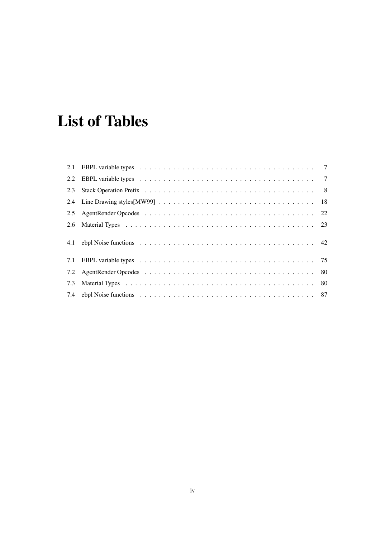# **List of Tables**

| 2.3 |  |
|-----|--|
|     |  |
| 2.5 |  |
|     |  |
|     |  |
| 7.1 |  |
| 7.2 |  |
| 7.3 |  |
|     |  |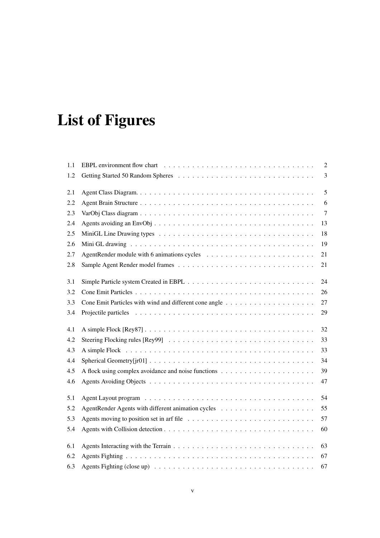# **List of Figures**

| 1.1 |                                                                                                                        | 2              |
|-----|------------------------------------------------------------------------------------------------------------------------|----------------|
| 1.2 |                                                                                                                        | 3              |
| 2.1 |                                                                                                                        | 5              |
| 2.2 |                                                                                                                        | 6              |
| 2.3 |                                                                                                                        | $\overline{7}$ |
| 2.4 |                                                                                                                        | 13             |
| 2.5 |                                                                                                                        | 18             |
| 2.6 |                                                                                                                        | 19             |
| 2.7 |                                                                                                                        | 21             |
| 2.8 |                                                                                                                        | 21             |
| 3.1 |                                                                                                                        | 24             |
| 3.2 |                                                                                                                        | 26             |
| 3.3 |                                                                                                                        | 27             |
| 3.4 |                                                                                                                        | 29             |
| 4.1 |                                                                                                                        | 32             |
| 4.2 |                                                                                                                        | 33             |
| 4.3 |                                                                                                                        | 33             |
| 4.4 | Spherical Geometry [jr01] $\ldots \ldots \ldots \ldots \ldots \ldots \ldots \ldots \ldots \ldots \ldots \ldots \ldots$ | 34             |
| 4.5 |                                                                                                                        | 39             |
| 4.6 |                                                                                                                        | 47             |
| 5.1 |                                                                                                                        | 54             |
| 5.2 |                                                                                                                        | 55             |
| 5.3 |                                                                                                                        | 57             |
| 5.4 |                                                                                                                        | 60             |
| 6.1 |                                                                                                                        | 63             |
| 6.2 |                                                                                                                        | 67             |
| 6.3 | Agents Fighting (close up) $\ldots \ldots \ldots \ldots \ldots \ldots \ldots \ldots \ldots \ldots \ldots \ldots$       | 67             |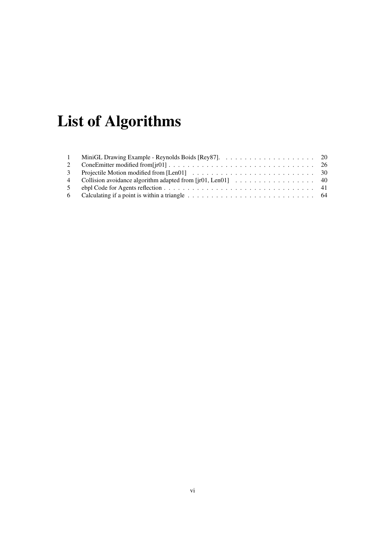# **List of Algorithms**

| $\sim$ 1 |                                                               |  |
|----------|---------------------------------------------------------------|--|
| 2        |                                                               |  |
|          |                                                               |  |
|          | 4 Collision avoidance algorithm adapted from [jr01, Len01] 40 |  |
|          |                                                               |  |
|          |                                                               |  |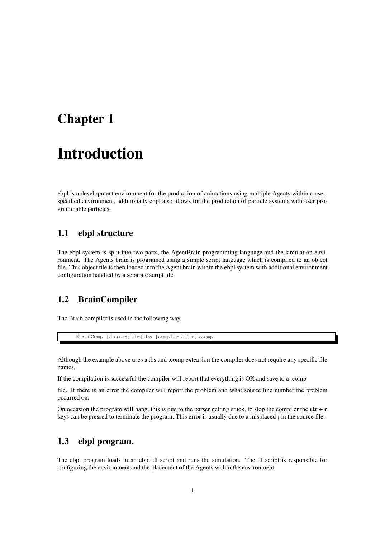# **Chapter 1**

# **Introduction**

ebpl is a development environment for the production of animations using multiple Agents within a userspecified environment, additionally ebpl also allows for the production of particle systems with user programmable particles.

### **1.1 ebpl structure**

The ebpl system is split into two parts, the AgentBrain programming language and the simulation environment. The Agents brain is programed using a simple script language which is compiled to an object file. This object file is then loaded into the Agent brain within the ebpl system with additional environment configuration handled by a separate script file.

# **1.2 BrainCompiler**

The Brain compiler is used in the following way

BrainComp [SourceFile].bs [compiledfile].comp

Although the example above uses a .bs and .comp extension the compiler does not require any specific file names.

If the compilation is successful the compiler will report that everything is OK and save to a .comp

file. If there is an error the compiler will report the problem and what source line number the problem occurred on.

On occasion the program will hang, this is due to the parser getting stuck, to stop the compiler the **ctr + c** keys can be pressed to terminate the program. This error is usually due to a misplaced **;** in the source file.

## **1.3 ebpl program.**

The ebpl program loads in an ebpl .fl script and runs the simulation. The .fl script is responsible for configuring the environment and the placement of the Agents within the environment.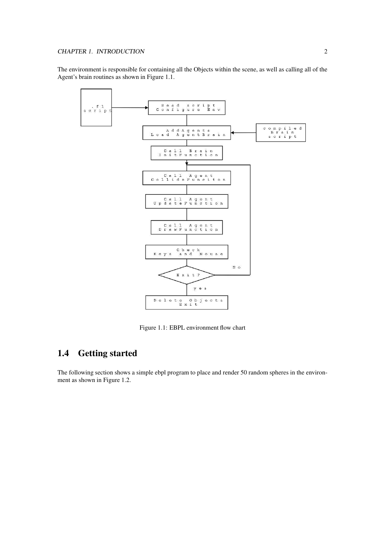The environment is responsible for containing all the Objects within the scene, as well as calling all of the Agent's brain routines as shown in Figure 1.1.



Figure 1.1: EBPL environment flow chart

## **1.4 Getting started**

The following section shows a simple ebpl program to place and render 50 random spheres in the environment as shown in Figure 1.2.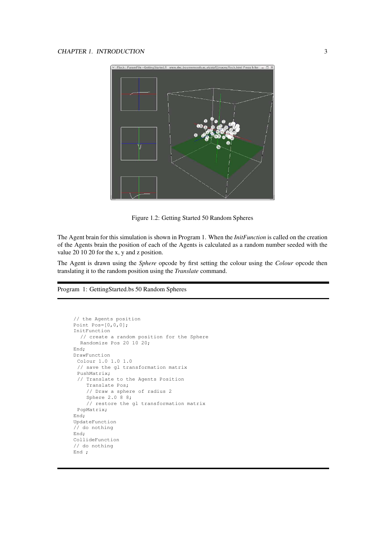

Figure 1.2: Getting Started 50 Random Spheres

The Agent brain for this simulation is shown in Program 1. When the *InitFunction* is called on the creation of the Agents brain the position of each of the Agents is calculated as a random number seeded with the value 20 10 20 for the x, y and z position.

The Agent is drawn using the *Sphere* opcode by first setting the colour using the *Colour* opcode then translating it to the random position using the *Translate* command.

#### Program 1: GettingStarted.bs 50 Random Spheres

```
// the Agents position
Point Pos=[0,0,0];
InitFunction
  // create a random position for the Sphere
  Randomize Pos 20 10 20;
End;
DrawFunction
 Colour 1.0 1.0 1.0
 // save the gl transformation matrix
 PushMatrix;
 // Translate to the Agents Position
    Translate Pos;
    // Draw a sphere of radius 2
    Sphere 2.0 8 8;
    // restore the gl transformation matrix
 PopMatrix;
End;
UpdateFunction
// do nothing
End;
CollideFunction
// do nothing
End ;
```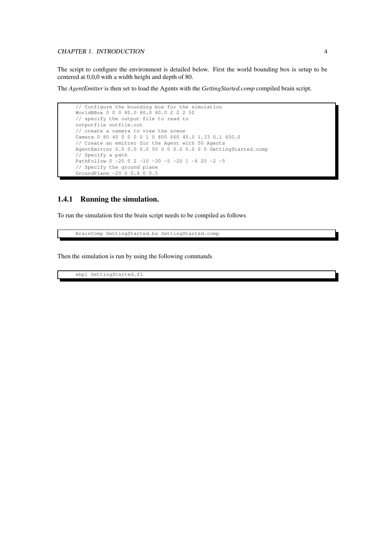#### CHAPTER 1. INTRODUCTION 4

The script to configure the environment is detailed below. First the world bounding box is setup to be centered at 0,0,0 with a width height and depth of 80.

The *AgentEmitter* is then set to load the Agents with the *GettingStarted.comp* compiled brain script.

```
// Configure the bounding box for the simulation
WorldBBox 0 0 0 80.0 80.0 80.0 2 2 2 50
// specify the output file to read to
outputfile outfile.out
// create a camera to view the scene
Camera 0 80 40 0 0 0 0 1 0 800 660 45.0 1.33 0.1 450.0
// Create an emitter for the Agent with 50 Agents
AgentEmitter 0.0 0.0 0.0 50 0 0 0.0 0.0 0 0 GettingStarted.comp
// Specify a path
PathFollow 0 -20 0 2 -10 -30 -5 -20 1 -4 25 -2 -5
// Specify the ground plane
GroundPlane -20 0 0.4 0 0.5
```
#### **1.4.1 Running the simulation.**

To run the simulation first the brain script needs to be compiled as follows

BrainComp GettingStarted.bs GettingStarted.comp

Then the simulation is run by using the following commands

ebpl GettingStarted.fl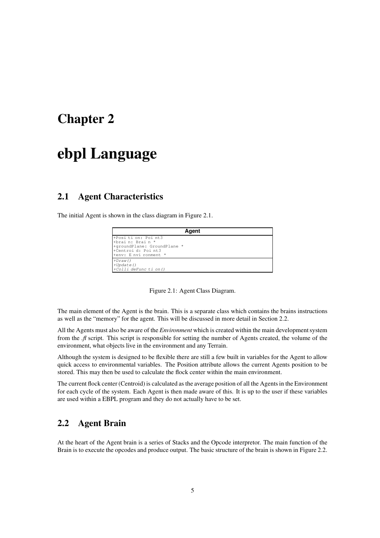# **Chapter 2**

# **ebpl Language**

## **2.1 Agent Characteristics**

The initial Agent is shown in the class diagram in Figure 2.1.

| Agent                                                       |
|-------------------------------------------------------------|
| +Position: Point3<br>+brain: Brain *                        |
| +qroundPlane: GroundPlane *<br>+Centroi d: Poi nt3          |
| +env: E nvi ronment *                                       |
| $+Draw()$                                                   |
| $+Update()$<br>$\left  + \text{Colli} \right $ deFunction() |

Figure 2.1: Agent Class Diagram.

The main element of the Agent is the brain. This is a separate class which contains the brains instructions as well as the "memory" for the agent. This will be discussed in more detail in Section 2.2.

All the Agents must also be aware of the *Environment* which is created within the main development system from the *.fl* script. This script is responsible for setting the number of Agents created, the volume of the environment, what objects live in the environment and any Terrain.

Although the system is designed to be flexible there are still a few built in variables for the Agent to allow quick access to environmental variables. The Position attribute allows the current Agents position to be stored. This may then be used to calculate the flock center within the main environment.

The current flock center (Centroid) is calculated as the average position of all the Agentsin the Environment for each cycle of the system. Each Agent is then made aware of this. It is up to the user if these variables are used within a EBPL program and they do not actually have to be set.

# **2.2 Agent Brain**

At the heart of the Agent brain is a series of Stacks and the Opcode interpretor. The main function of the Brain is to execute the opcodes and produce output. The basic structure of the brain is shown in Figure 2.2.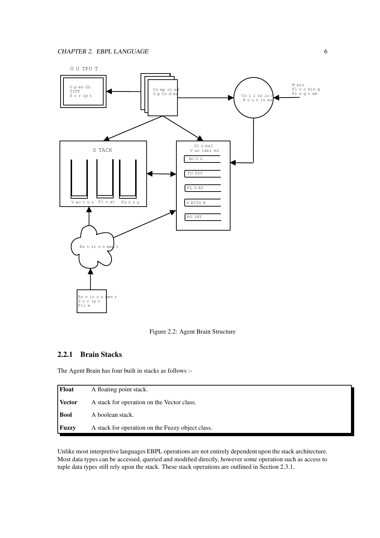

Figure 2.2: Agent Brain Structure

#### **2.2.1 Brain Stacks**

The Agent Brain has four built in stacks as follows :-

| <b>Float</b>  | A floating point stack.                          |
|---------------|--------------------------------------------------|
| <b>Vector</b> | A stack for operation on the Vector class.       |
| <b>Bool</b>   | A boolean stack.                                 |
| <b>Fuzzy</b>  | A stack for operation on the Fuzzy object class. |

Unlike most interpretive languages EBPL operations are not entirely dependent upon the stack architecture. Most data types can be accessed, queried and modified directly, however some operation such as access to tuple data types still rely upon the stack. These stack operations are outlined in Section 2.3.1.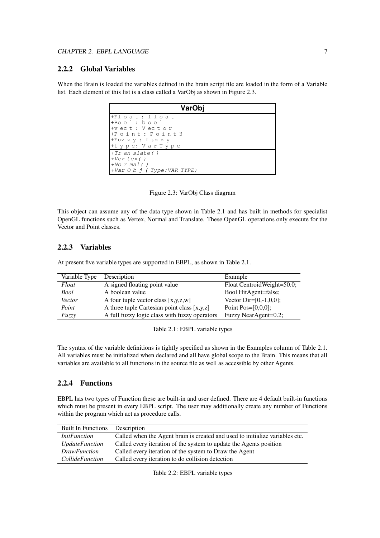### **2.2.2 Global Variables**

When the Brain is loaded the variables defined in the brain script file are loaded in the form of a Variable list. Each element of this list is a class called a VarObj as shown in Figure 2.3.

| VarObj                                                                                                                               |
|--------------------------------------------------------------------------------------------------------------------------------------|
| I+Float : float<br>$H$ Bool: bool<br>l+vect:Vector<br>FPoint: Point3<br>$+$ Fuz z y : f uz z y<br><sup>+t</sup> y p e: V a r T y p e |
| $ \text{+Tr}$ an slate()<br>$+Ver$ tex()<br>$+No$ r mal()<br>$\rightarrow$ Var O b j (Type: VAR TYPE)                                |

Figure 2.3: VarObj Class diagram

This object can assume any of the data type shown in Table 2.1 and has built in methods for specialist OpenGL functions such as Vertex, Normal and Translate. These OpenGL operations only execute for the Vector and Point classes.

#### **2.2.3 Variables**

At present five variable types are supported in EBPL, as shown in Table 2.1.

| Variable Type | Description                                     | Example                    |
|---------------|-------------------------------------------------|----------------------------|
| Float         | A signed floating point value                   | Float CentroidWeight=50.0; |
| Bool          | A boolean value                                 | Bool HitAgent=false;       |
| Vector        | A four tuple vector class $[x, y, z, w]$        | Vector $Dir=[0,-1,0,0];$   |
| Point         | A three tuple Cartesian point class $[x, y, z]$ | Point Pos= $[0,0,0]$ ;     |
| Fuzzy         | A full fuzzy logic class with fuzzy operators   | Fuzzy NearAgent=0.2;       |

Table 2.1: EBPL variable types

The syntax of the variable definitions is tightly specified as shown in the Examples column of Table 2.1. All variables must be initialized when declared and all have global scope to the Brain. This means that all variables are available to all functions in the source file as well as accessible by other Agents.

#### **2.2.4 Functions**

EBPL has two types of Function these are built-in and user defined. There are 4 default built-in functions which must be present in every EBPL script. The user may additionally create any number of Functions within the program which act as procedure calls.

| <b>Built In Functions</b> | Description                                                                  |
|---------------------------|------------------------------------------------------------------------------|
| <i>InitFunction</i>       | Called when the Agent brain is created and used to initialize variables etc. |
| <i>UpdateFunction</i>     | Called every iteration of the system to update the Agents position           |
| <i>DrawFunction</i>       | Called every iteration of the system to Draw the Agent                       |
| <i>CollideFunction</i>    | Called every iteration to do collision detection                             |

Table 2.2: EBPL variable types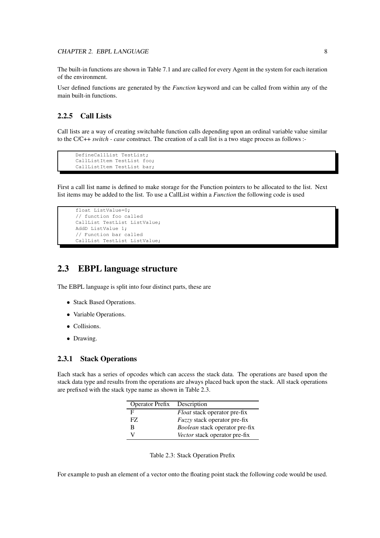The built-in functions are shown in Table 7.1 and are called for every Agent in the system for each iteration of the environment.

User defined functions are generated by the *Function* keyword and can be called from within any of the main built-in functions.

### **2.2.5 Call Lists**

Call lists are a way of creating switchable function calls depending upon an ordinal variable value similar to the C/C++ *switch - case* construct. The creation of a call list is a two stage process as follows :-

```
DefineCallList TestList;
CallListItem TestList foo;
CallListItem TestList bar;
```
First a call list name is defined to make storage for the Function pointers to be allocated to the list. Next list items may be added to the list. To use a CallList within a *Function* the following code is used

```
float ListValue=0;
// function foo called
CallList TestList ListValue;
AddD ListValue 1;
// Function bar called
CallList TestList ListValue;
```
## **2.3 EBPL language structure**

The EBPL language is split into four distinct parts, these are

- Stack Based Operations.
- Variable Operations.
- Collisions.
- Drawing.

#### **2.3.1 Stack Operations**

Each stack has a series of opcodes which can access the stack data. The operations are based upon the stack data type and results from the operations are always placed back upon the stack. All stack operations are prefixed with the stack type name as shown in Table 2.3.

| <b>Operator Prefix</b> | Description                           |
|------------------------|---------------------------------------|
| F                      | <i>Float</i> stack operator pre-fix   |
| FZ.                    | <i>Fuzzy</i> stack operator pre-fix   |
| R                      | <i>Boolean</i> stack operator pre-fix |
|                        | Vector stack operator pre-fix         |

Table 2.3: Stack Operation Prefix

For example to push an element of a vector onto the floating point stack the following code would be used.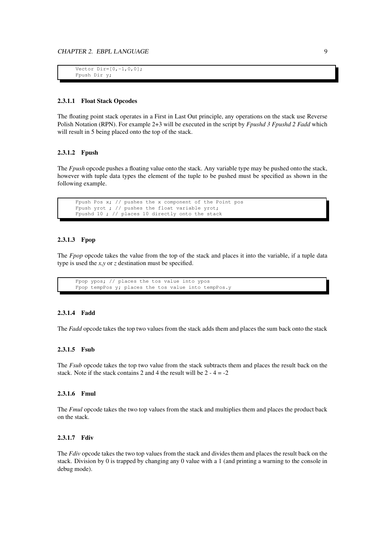```
Vector Dir=[0,-1,0,0];
Fpush Dir y;
```
#### **2.3.1.1 Float Stack Opcodes**

The floating point stack operates in a First in Last Out principle, any operations on the stack use Reverse Polish Notation (RPN). For example 2+3 will be executed in the script by *Fpushd 3 Fpushd 2 Fadd* which will result in 5 being placed onto the top of the stack.

#### **2.3.1.2 Fpush**

The *Fpush* opcode pushes a floating value onto the stack. Any variable type may be pushed onto the stack, however with tuple data types the element of the tuple to be pushed must be specified as shown in the following example.

Fpush Pos x; // pushes the x component of the Point pos Fpush yrot ; // pushes the float variable yrot; Fpushd 10 ; // places 10 directly onto the stack

#### **2.3.1.3 Fpop**

The *Fpop* opcode takes the value from the top of the stack and places it into the variable, if a tuple data type is used the *x*,*y* or *z* destination must be specified.

```
Fpop ypos; // places the tos value into ypos
Fpop tempPos y; places the tos value into tempPos.y
```
#### **2.3.1.4 Fadd**

The *Fadd* opcode takes the top two values from the stack adds them and places the sum back onto the stack

#### **2.3.1.5 Fsub**

The *Fsub* opcode takes the top two value from the stack subtracts them and places the result back on the stack. Note if the stack contains 2 and 4 the result will be  $2 - 4 = -2$ 

#### **2.3.1.6 Fmul**

The *Fmul* opcode takes the two top values from the stack and multiplies them and places the product back on the stack.

#### **2.3.1.7 Fdiv**

The *Fdiv* opcode takes the two top values from the stack and divides them and places the result back on the stack. Division by 0 is trapped by changing any 0 value with a 1 (and printing a warning to the console in debug mode).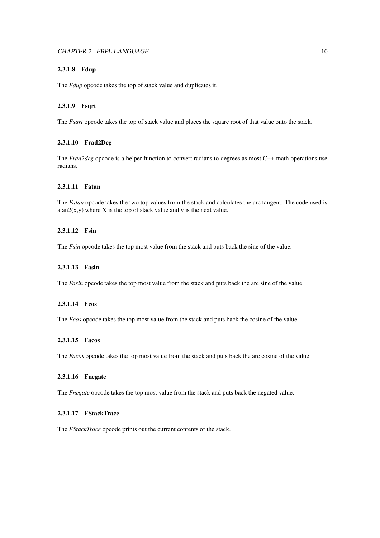#### **2.3.1.8 Fdup**

The *Fdup* opcode takes the top of stack value and duplicates it.

#### **2.3.1.9 Fsqrt**

The *Fsqrt* opcode takes the top of stack value and places the square root of that value onto the stack.

#### **2.3.1.10 Frad2Deg**

The *Frad2deg* opcode is a helper function to convert radians to degrees as most C++ math operations use radians.

#### **2.3.1.11 Fatan**

The *Fatan* opcode takes the two top values from the stack and calculates the arc tangent. The code used is  $atan2(x,y)$  where X is the top of stack value and y is the next value.

#### **2.3.1.12 Fsin**

The *Fsin* opcode takes the top most value from the stack and puts back the sine of the value.

#### **2.3.1.13 Fasin**

The *Fasin* opcode takes the top most value from the stack and puts back the arc sine of the value.

#### **2.3.1.14 Fcos**

The *Fcos* opcode takes the top most value from the stack and puts back the cosine of the value.

#### **2.3.1.15 Facos**

The *Facos* opcode takes the top most value from the stack and puts back the arc cosine of the value

#### **2.3.1.16 Fnegate**

The *Fnegate* opcode takes the top most value from the stack and puts back the negated value.

#### **2.3.1.17 FStackTrace**

The *FStackTrace* opcode prints out the current contents of the stack.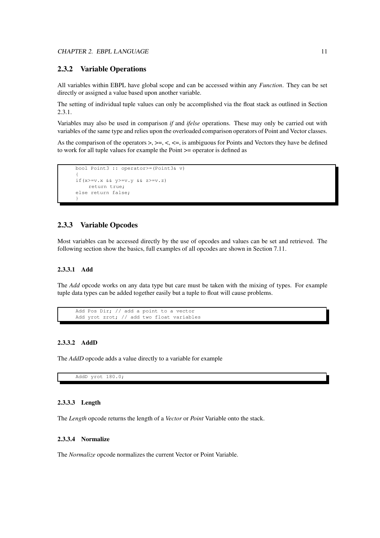#### **2.3.2 Variable Operations**

All variables within EBPL have global scope and can be accessed within any *Function*. They can be set directly or assigned a value based upon another variable.

The setting of individual tuple values can only be accomplished via the float stack as outlined in Section 2.3.1.

Variables may also be used in comparison *if* and *ifelse* operations. These may only be carried out with variables of the same type and relies upon the overloaded comparison operators of Point and Vector classes.

As the comparison of the operators >, >=, <, <=, is ambiguous for Points and Vectors they have be defined to work for all tuple values for example the Point >= operator is defined as

```
bool Point3 :: operator>=(Point3& v)
{
if(x>=v.x && y>=v.y && z>=v.z)
   return true;
else return false;
}
```
#### **2.3.3 Variable Opcodes**

Most variables can be accessed directly by the use of opcodes and values can be set and retrieved. The following section show the basics, full examples of all opcodes are shown in Section 7.11.

#### **2.3.3.1 Add**

The *Add* opcode works on any data type but care must be taken with the mixing of types. For example tuple data types can be added together easily but a tuple to float will cause problems.

```
Add Pos Dir; // add a point to a vector
Add yrot zrot; // add two float variables
```
#### **2.3.3.2 AddD**

The *AddD* opcode adds a value directly to a variable for example

AddD yrot 180.0;

#### **2.3.3.3 Length**

The *Length* opcode returns the length of a *Vector* or *Point* Variable onto the stack.

#### **2.3.3.4 Normalize**

The *Normalize* opcode normalizes the current Vector or Point Variable.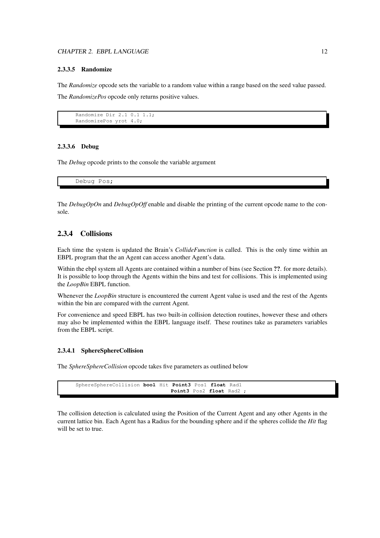#### **2.3.3.5 Randomize**

The *Randomize* opcode sets the variable to a random value within a range based on the seed value passed. The *RandomizePos* opcode only returns positive values.

```
Randomize Dir 2.1 0.1 1.1;
RandomizePos yrot 4.0;
```
#### **2.3.3.6 Debug**

The *Debug* opcode prints to the console the variable argument

Debug Pos;

The *DebugOpOn* and *DebugOpOff* enable and disable the printing of the current opcode name to the console.

#### **2.3.4 Collisions**

Each time the system is updated the Brain's *CollideFunction* is called. This is the only time within an EBPL program that the an Agent can access another Agent's data.

Within the ebpl system all Agents are contained within a number of bins (see Section **??**. for more details). It is possible to loop through the Agents within the bins and test for collisions. This is implemented using the *LoopBin* EBPL function.

Whenever the *LoopBin* structure is encountered the current Agent value is used and the rest of the Agents within the bin are compared with the current Agent.

For convenience and speed EBPL has two built-in collision detection routines, however these and others may also be implemented within the EBPL language itself. These routines take as parameters variables from the EBPL script.

#### **2.3.4.1 SphereSphereCollision**

The *SphereSphereCollision* opcode takes five parameters as outlined below

| SphereSphereCollision bool Hit Point3 Pos1 float Rad1 |  |                          |  |  |
|-------------------------------------------------------|--|--------------------------|--|--|
|                                                       |  | Point3 Pos2 float Rad2 ; |  |  |

The collision detection is calculated using the Position of the Current Agent and any other Agents in the current lattice bin. Each Agent has a Radius for the bounding sphere and if the spheres collide the *Hit* flag will be set to true.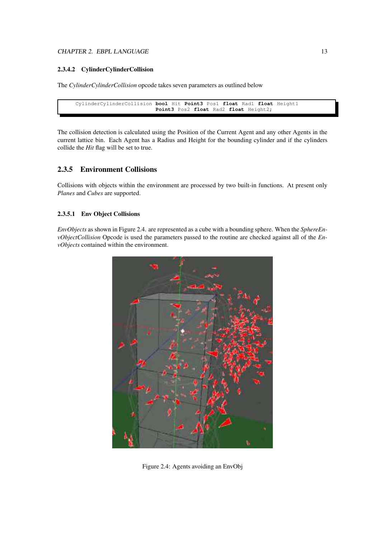#### CHAPTER 2. EBPL LANGUAGE 13

#### **2.3.4.2 CylinderCylinderCollision**

The *CylinderCylinderCollision* opcode takes seven parameters as outlined below

```
CylinderCylinderCollision bool Hit Point3 Pos1 float Rad1 float Height1
                         Point3 Pos2 float Rad2 float Height2;
```
The collision detection is calculated using the Position of the Current Agent and any other Agents in the current lattice bin. Each Agent has a Radius and Height for the bounding cylinder and if the cylinders collide the *Hit* flag will be set to true.

### **2.3.5 Environment Collisions**

Collisions with objects within the environment are processed by two built-in functions. At present only *Planes* and *Cubes* are supported.

#### **2.3.5.1 Env Object Collisions**

*EnvObjects* as shown in Figure 2.4. are represented as a cube with a bounding sphere. When the *SphereEnvObjectCollision* Opcode is used the parameters passed to the routine are checked against all of the *EnvObjects* contained within the environment.



Figure 2.4: Agents avoiding an EnvObj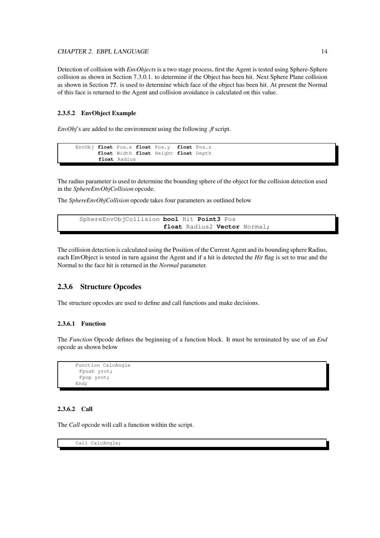#### CHAPTER 2. EBPL LANGUAGE 14

Detection of collision with *EnvObjects* is a two stage process, first the Agent is tested using Sphere-Sphere collision as shown in Section 7.3.0.1. to determine if the Object has been hit. Next Sphere Plane collision as shown in Section **??**. is used to determine which face of the object has been hit. At present the Normal of this face is returned to the Agent and collision avoidance is calculated on this value.

#### **2.3.5.2 EnvObject Example**

*EnvObj*'s are added to the environment using the following *.fl* script.

```
EnvObj float Pos.x float Pos.y float Pos.z
       float Width float Height float Depth
       float Radius
```
The radius parameter is used to determine the bounding sphere of the object for the collision detection used in the *SphereEnvObjCollision* opcode.

The *SphereEnvObjCollision* opcode takes four parameters as outlined below

```
SphereEnvObjCollision bool Hit Point3 Pos
                      float Radius2 Vector Normal;
```
The collision detection is calculated using the Position of the Current Agent and its bounding sphere Radius, each EnvObject is tested in turn against the Agent and if a hit is detected the *Hit* flag is set to true and the Normal to the face hit is returned in the *Normal* parameter.

#### **2.3.6 Structure Opcodes**

The structure opcodes are used to define and call functions and make decisions.

#### **2.3.6.1 Function**

The *Function* Opcode defines the beginning of a function block. It must be terminated by use of an *End* opcode as shown below

```
Function CalcAngle
 Fpush yrot;
 Fpop yrot;
End;
```
#### **2.3.6.2 Call**

The *Call* opcode will call a function within the script.

Call CalcAngle;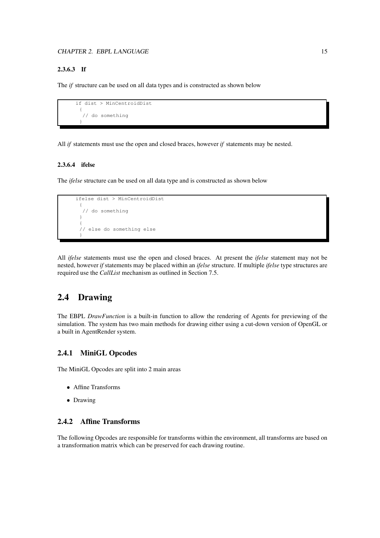#### **2.3.6.3 If**

The *if* structure can be used on all data types and is constructed as shown below

```
if dist > MinCentroidDist
 {
  // do something
 }
```
All *if* statements must use the open and closed braces, however *if* statements may be nested.

#### **2.3.6.4 ifelse**

The *ifelse* structure can be used on all data type and is constructed as shown below

```
ifelse dist > MinCentroidDist
 {
  // do something
 }
 {
 // else do something else
 }
```
All *ifelse* statements must use the open and closed braces. At present the *ifelse* statement may not be nested, however *if* statements may be placed within an *ifelse* structure. If multiple *ifelse* type structures are required use the *CallList* mechanism as outlined in Section 7.5.

## **2.4 Drawing**

The EBPL *DrawFunction* is a built-in function to allow the rendering of Agents for previewing of the simulation. The system has two main methods for drawing either using a cut-down version of OpenGL or a built in AgentRender system.

#### **2.4.1 MiniGL Opcodes**

The MiniGL Opcodes are split into 2 main areas

- Affine Transforms
- Drawing

#### **2.4.2 Affine Transforms**

The following Opcodes are responsible for transforms within the environment, all transforms are based on a transformation matrix which can be preserved for each drawing routine.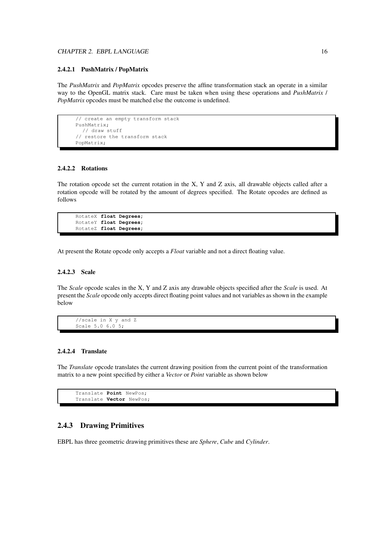#### CHAPTER 2. EBPL LANGUAGE 16

#### **2.4.2.1 PushMatrix / PopMatrix**

The *PushMatrix* and *PopMatrix* opcodes preserve the affine transformation stack an operate in a similar way to the OpenGL matrix stack. Care must be taken when using these operations and *PushMatrix* / *PopMatrix* opcodes must be matched else the outcome is undefined.

```
// create an empty transform stack
PushMatrix;
  // draw stuff
// restore the transform stack
PopMatrix;
```
#### **2.4.2.2 Rotations**

The rotation opcode set the current rotation in the X, Y and Z axis, all drawable objects called after a rotation opcode will be rotated by the amount of degrees specified. The Rotate opcodes are defined as follows

```
RotateX float Degrees;
RotateY float Degrees;
RotateZ float Degrees;
```
At present the Rotate opcode only accepts a *Float* variable and not a direct floating value.

#### **2.4.2.3 Scale**

The *Scale* opcode scales in the X, Y and Z axis any drawable objects specified after the *Scale* is used. At present the *Scale* opcode only accepts direct floating point values and not variables as shown in the example below

```
//scale in X y and Z
Scale 5.0 6.0 5;
```
#### **2.4.2.4 Translate**

The *Translate* opcode translates the current drawing position from the current point of the transformation matrix to a new point specified by either a *Vector* or *Point* variable as shown below

```
Translate Point NewPos;
Translate Vector NewPos;
```
#### **2.4.3 Drawing Primitives**

EBPL has three geometric drawing primitives these are *Sphere*, *Cube* and *Cylinder*.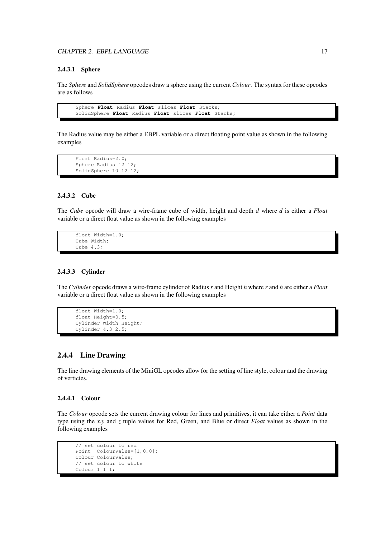#### **2.4.3.1 Sphere**

The *Sphere* and *SolidSphere* opcodes draw a sphere using the current *Colour*. The syntax for these opcodes are as follows

```
Sphere Float Radius Float slices Float Stacks;
SolidSphere Float Radius Float slices Float Stacks;
```
The Radius value may be either a EBPL variable or a direct floating point value as shown in the following examples

```
Float Radius=2.0;
Sphere Radius 12 12;
SolidSphere 10 12 12;
```
#### **2.4.3.2 Cube**

The *Cube* opcode will draw a wire-frame cube of width, height and depth *d* where *d* is either a *Float* variable or a direct float value as shown in the following examples

```
float Width=1.0;
Cube Width;
Cube 4.3;
```
#### **2.4.3.3 Cylinder**

The *Cylinder* opcode draws a wire-frame cylinder of Radius *r* and Height *h* where *r* and *h* are either a *Float* variable or a direct float value as shown in the following examples

```
float Width=1.0;
float Height=0.5;
Cylinder Width Height;
Cylinder 4.3 2.5;
```
#### **2.4.4 Line Drawing**

The line drawing elements of the MiniGL opcodes allow for the setting of line style, colour and the drawing of verticies.

#### **2.4.4.1 Colour**

The *Colour* opcode sets the current drawing colour for lines and primitives, it can take either a *Point* data type using the *x*,*y* and *z* tuple values for Red, Green, and Blue or direct *Float* values as shown in the following examples

```
// set colour to red
Point ColourValue=[1,0,0];
Colour ColourValue;
// set colour to white
Colour 1 1 1;
```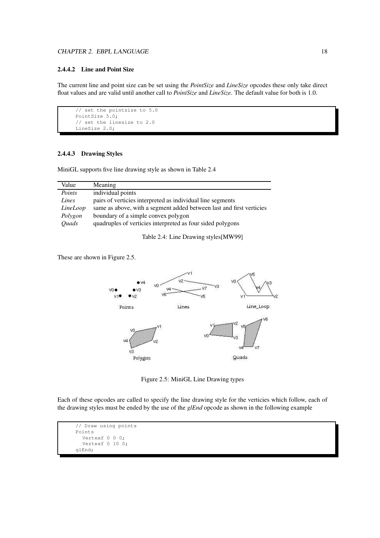#### CHAPTER 2. EBPL LANGUAGE 18

#### **2.4.4.2 Line and Point Size**

The current line and point size can be set using the *PointSize* and *LineSize* opcodes these only take direct float values and are valid until another call to *PointSize* and *LineSize.* The default value for both is 1.0.

```
// set the pointsize to 5.0
PointSize 5.0;
// set the linesize to 2.0
LineSize 2.0;
```
#### **2.4.4.3 Drawing Styles**

MiniGL supports five line drawing style as shown in Table 2.4

| Value               | Meaning                                                              |
|---------------------|----------------------------------------------------------------------|
| Points              | individual points                                                    |
| Lines               | pairs of verticies interpreted as individual line segments           |
| LineLoop            | same as above, with a segment added between last and first verticies |
| Polygon             | boundary of a simple convex polygon                                  |
| <i><b>Quads</b></i> | quadruples of verticies interpreted as four sided polygons           |
|                     |                                                                      |

Table 2.4: Line Drawing styles[MW99]

These are shown in Figure 2.5.



Figure 2.5: MiniGL Line Drawing types

Each of these opcodes are called to specify the line drawing style for the verticies which follow, each of the drawing styles must be ended by the use of the *glEnd* opcode as shown in the following example

```
// Draw using points
Points
  Vertexf 0 0 0;
  Vertexf 0 10 0;
glEnd;
```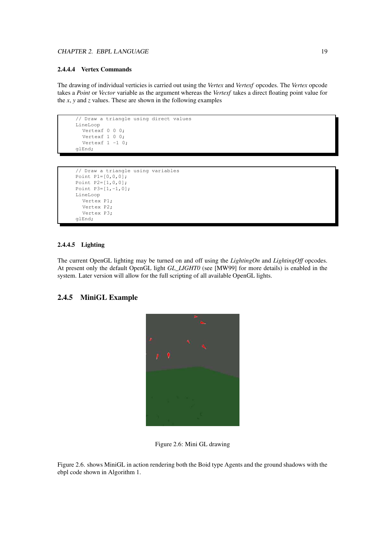#### CHAPTER 2. EBPL LANGUAGE 19

#### **2.4.4.4 Vertex Commands**

The drawing of individual verticies is carried out using the *Vertex* and *Vertexf* opcodes. The *Vertex* opcode takes a *Point* or *Vector* variable as the argument whereas the *Vertexf* takes a direct floating point value for the *x*, *y* and *z* values. These are shown in the following examples

```
// Draw a triangle using direct values
LineLoop
  Vertexf 0 0 0;
  Vertexf 1 0 0;
  Vertexf 1 -1 0;
glEnd;
```

```
// Draw a triangle using variables
Point P1=[0,0,0];
Point P2=[1,0,0];
Point P3=[1,-1,0];
LineLoop
  Vertex P1;
  Vertex P2;
  Vertex P3;
glEnd;
```
#### **2.4.4.5 Lighting**

The current OpenGL lighting may be turned on and off using the *LightingOn* and *LightingOff* opcodes. At present only the default OpenGL light *GL\_LIGHT0* (see [MW99] for more details) is enabled in the system. Later version will allow for the full scripting of all available OpenGL lights.

#### **2.4.5 MiniGL Example**



Figure 2.6: Mini GL drawing

Figure 2.6. shows MiniGL in action rendering both the Boid type Agents and the ground shadows with the ebpl code shown in Algorithm 1.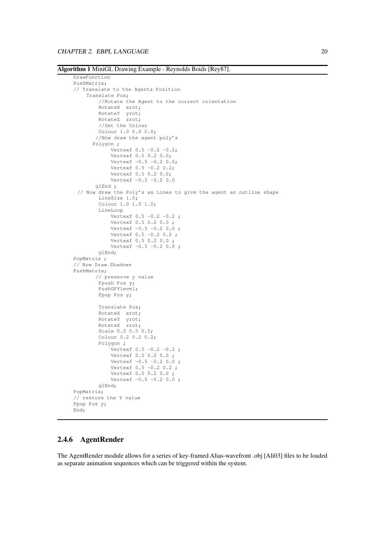**Algorithm 1** MiniGL Drawing Example - Reynolds Boids [Rey87].

```
DrawFunction
PushMatrix;
// Translate to the Agents Position
    Translate Pos;
        //Rotate the Agent to the correct orientation
        RotateX xrot;
        RotateY yrot;
        RotateZ zrot;
        //Set the Colour
        Colour 1.0 0.0 0.0;
       //Now draw the agent poly's
      Polygon ;
            Vertexf 0.5 -0.2 -0.2;
            Vertexf 0.5 0.2 0.0;
            Vertexf -0.5 -0.2 0.0;
            Vertexf 0.5 -0.2 0.2;
            Vertexf 0.5 0.2 0.0;
            Vertexf -0.5 -0.2 0.0glEnd ;
 // Now draw the Poly's as Lines to give the agent an outline shape
        LineSize 1.0;
        Colour 1.0 1.0 1.0;
        LineLoop
            Vertexf 0.5 -0.2 -0.2 ;
            Vertexf 0.5 0.2 0.0 ;
            Vertexf -0.5 -0.2 0.0;
            Vertexf 0.5 -0.2 0.2;
            Vertexf 0.5 0.2 0.0 ;
            Vertexf -0.5 -0.2 0.0;
        glEnd;
PopMatrix ;
// Now Draw Shadows
PushMatrix;
       // preserve y value
        Fpush Pos y;
        PushGPYlevel;
        Fpop Pos y;
        Translate Pos;
        RotateX xrot;
        RotateY yrot;
        RotateZ zrot;
        Scale 0.5 0.5 0.5;
        Colour 0.2 0.2 0.2;
        Polygon ;
            Vertexf 0.5 -0.2 -0.2;
            Vertexf 0.5 0.2 0.0 ;
            Vertext = 0.5 - 0.2 0.0;
            Vertexf 0.5 -0.2 0.2 ;
            Vertexf 0.5 0.2 0.0 ;
            Vertexf -0.5 -0.2 0.0;
        glEnd;
PopMatrix;
// restore the Y value
Fpop Pos y;
End;
```
#### **2.4.6 AgentRender**

The AgentRender module allows for a series of key-framed Alias-wavefront .obj [Ali03] files to be loaded as separate animation sequences which can be triggered within the system.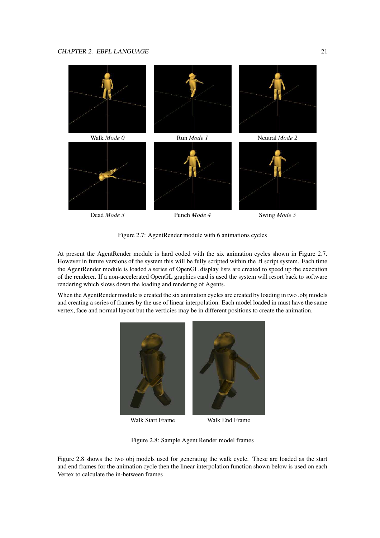

Figure 2.7: AgentRender module with 6 animations cycles

At present the AgentRender module is hard coded with the six animation cycles shown in Figure 2.7. However in future versions of the system this will be fully scripted within the .fl script system. Each time the AgentRender module is loaded a series of OpenGL display lists are created to speed up the execution of the renderer. If a non-accelerated OpenGL graphics card is used the system will resort back to software rendering which slows down the loading and rendering of Agents.

When the AgentRender module is created the six animation cycles are created by loading in two .obj models and creating a series of frames by the use of linear interpolation. Each model loaded in must have the same vertex, face and normal layout but the verticies may be in different positions to create the animation.



Walk Start Frame Walk End Frame



Figure 2.8: Sample Agent Render model frames

Figure 2.8 shows the two obj models used for generating the walk cycle. These are loaded as the start and end frames for the animation cycle then the linear interpolation function shown below is used on each Vertex to calculate the in-between frames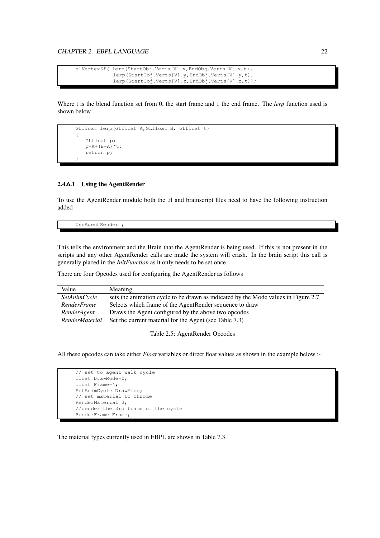```
glVertex3f( lerp(StartObj.Verts[V].x,EndObj.Verts[V].x,t),
            lerp(StartObj.Verts[V].y,EndObj.Verts[V].y,t),
            lerp(StartObj.Verts[V].z,EndObj.Verts[V].z,t));
```
Where t is the blend function set from 0, the start frame and 1 the end frame. The *lerp* function used is shown below

```
GLfloat lerp(GLfloat A,GLfloat B, GLfloat t)
{
   GLfloat p;
   p=A+(B-A)*t;return p;
}
```
#### **2.4.6.1 Using the AgentRender**

To use the AgentRender module both the .fl and brainscript files need to have the following instruction added

UseAgentRender ;

This tells the environment and the Brain that the AgentRender is being used. If this is not present in the scripts and any other AgentRender calls are made the system will crash. In the brain script this call is generally placed in the *InitFunction* as it only needs to be set once.

There are four Opcodes used for configuring the AgentRender as follows

| Value               | Meaning                                                                            |
|---------------------|------------------------------------------------------------------------------------|
| <i>SetAnimCycle</i> | sets the animation cycle to be drawn as indicated by the Mode values in Figure 2.7 |
| RenderFrame         | Selects which frame of the AgentRender sequence to draw                            |
| RenderAgent         | Draws the Agent configured by the above two opcodes                                |
| RenderMaterial      | Set the current material for the Agent (see Table 7.3)                             |
|                     |                                                                                    |

Table 2.5: AgentRender Opcodes

All these opcodes can take either *Float* variables or direct float values as shown in the example below :-

```
// set to agent walk cycle
float DrawMode=0;
float Frame=4;
SetAnimCycle DrawMode;
// set material to chrome
RenderMaterial 3;
//render the 3rd frame of the cycle
RenderFrame Frame;
```
The material types currently used in EBPL are shown in Table 7.3.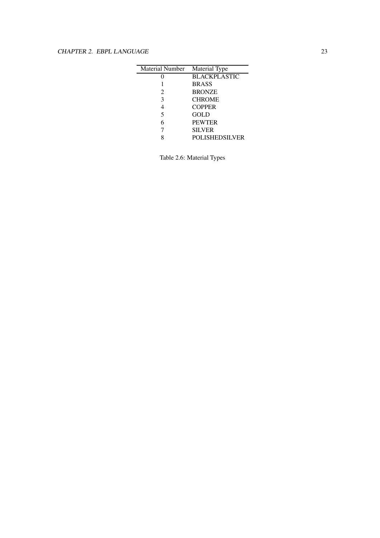| <b>Material Number</b> | Material Type         |
|------------------------|-----------------------|
|                        | <b>BLACKPLASTIC</b>   |
|                        | <b>BRASS</b>          |
| $\mathfrak{D}$         | <b>BRONZE</b>         |
| 3                      | <b>CHROME</b>         |
| 4                      | <b>COPPER</b>         |
| 5                      | GOLD                  |
| 6                      | <b>PEWTER</b>         |
|                        | <b>SILVER</b>         |
|                        | <b>POLISHEDSILVER</b> |

Table 2.6: Material Types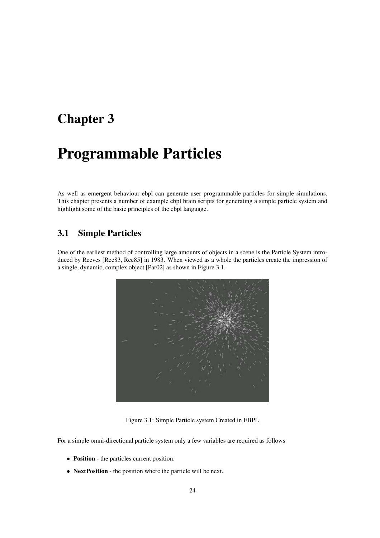# **Chapter 3**

# **Programmable Particles**

As well as emergent behaviour ebpl can generate user programmable particles for simple simulations. This chapter presents a number of example ebpl brain scripts for generating a simple particle system and highlight some of the basic principles of the ebpl language.

# **3.1 Simple Particles**

One of the earliest method of controlling large amounts of objects in a scene is the Particle System introduced by Reeves [Ree83, Ree85] in 1983. When viewed as a whole the particles create the impression of a single, dynamic, complex object [Par02] as shown in Figure 3.1.



Figure 3.1: Simple Particle system Created in EBPL

For a simple omni-directional particle system only a few variables are required as follows

- **Position** the particles current position.
- **NextPosition** the position where the particle will be next.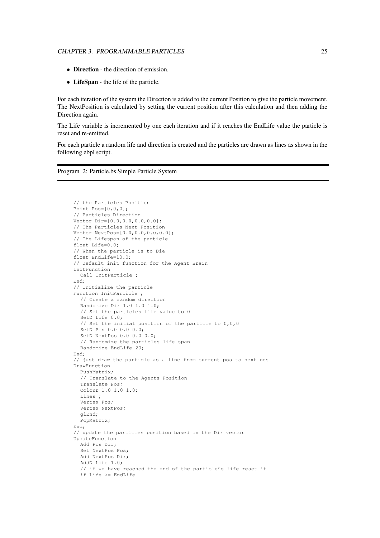#### CHAPTER 3. PROGRAMMABLE PARTICLES 25

- **Direction** the direction of emission.
- **LifeSpan** the life of the particle.

For each iteration of the system the Direction is added to the current Position to give the particle movement. The NextPosition is calculated by setting the current position after this calculation and then adding the Direction again.

The Life variable is incremented by one each iteration and if it reaches the EndLife value the particle is reset and re-emitted.

For each particle a random life and direction is created and the particles are drawn as lines as shown in the following ebpl script.

Program 2: Particle.bs Simple Particle System

```
// the Particles Position
Point Pos=[0,0,0];
// Particles Direction
Vector Dir=[0.0,0.0,0.0,0.0];
// The Particles Next Position
Vector NextPos=[0.0,0.0,0.0,0.0];
// The Lifespan of the particle
float Life=0.0;
// When the particle is to Die
float EndLife=10.0;
// Default init function for the Agent Brain
InitFunction
  Call InitParticle ;
End;
// Initialize the particle
Function InitParticle ;
  // Create a random direction
  Randomize Dir 1.0 1.0 1.0;
  // Set the particles life value to 0
  SetD Life 0.0;
  // Set the initial position of the particle to 0,0,0
  SetD Pos 0.0 0.0 0.0;
  SetD NextPos 0.0 0.0 0.0;
  // Randomize the particles life span
  Randomize EndLife 20;
End;
// just draw the particle as a line from current pos to next pos
DrawFunction
  PushMatrix;
  // Translate to the Agents Position
  Translate Pos;
  Colour 1.0 1.0 1.0;
  Lines ;
  Vertex Pos;
  Vertex NextPos;
  glEnd;
  PopMatrix;
End;
// update the particles position based on the Dir vector
UpdateFunction
  Add Pos Dir;
  Set NextPos Pos;
  Add NextPos Dir;
  AddD Life 1.0;
  // if we have reached the end of the particle's life reset it
  if Life >= EndLife
```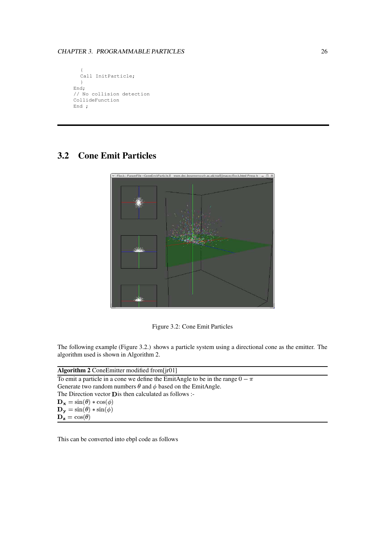```
{
  Call InitParticle;
  }
End;
// No collision detection
CollideFunction
End ;
```
# **3.2 Cone Emit Particles**



Figure 3.2: Cone Emit Particles

The following example (Figure 3.2.) shows a particle system using a directional cone as the emitter. The algorithm used is shown in Algorithm 2.

| Algorithm 2 Cone Emitter modified from $\lfloor$ ir01]                            |  |
|-----------------------------------------------------------------------------------|--|
| To emit a particle in a cone we define the EmitAngle to be in the range $0 - \pi$ |  |
| Generate two random numbers $\theta$ and $\phi$ based on the EmitAngle.           |  |
| The Direction vector <b>D</b> is then calculated as follows :-                    |  |
| $\mathbf{D}_{\mathbf{x}} = \sin(\theta) * \cos(\phi)$                             |  |
| $\mathbf{D}_{\mathbf{y}} = \sin(\theta) * \sin(\phi)$                             |  |
| $\mathbf{D}_{z} = \cos(\theta)$                                                   |  |
|                                                                                   |  |

This can be converted into ebpl code as follows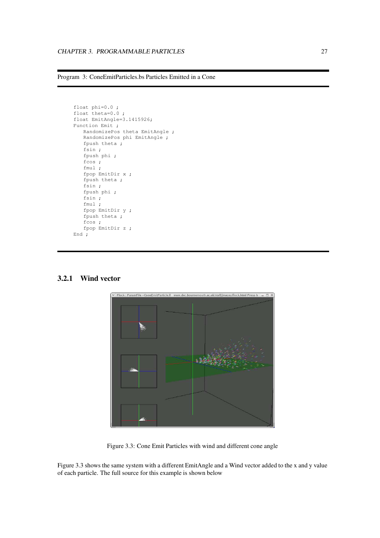```
Program 3: ConeEmitParticles.bs Particles Emitted in a Cone
```

```
float phi=0.0 ;
float theta=0.0 ;
float EmitAngle=3.1415926;
Function Emit ;
   RandomizePos theta EmitAngle ;
   RandomizePos phi EmitAngle ;
   fpush theta ;
   fsin ;
   fpush phi ;
   f \cos ;
   fmul ;
   fpop EmitDir x ;
   fpush theta ;
   fsin ;
   fpush phi ;
   fsin ;
   fmul ;
   fpop EmitDir y ;
   fpush theta ;
   fcos ;
   fpop EmitDir z ;
End ;
```

```
Flock : ParamFile =ConeEmitParticle.fl www.dec.bc
                                                             outk.org
                                                                     n \frac{1}{2}ev/flock.html Press h
```
#### **3.2.1 Wind vector**

Figure 3.3: Cone Emit Particles with wind and different cone angle

Figure 3.3 shows the same system with a different EmitAngle and a Wind vector added to the x and y value of each particle. The full source for this example is shown below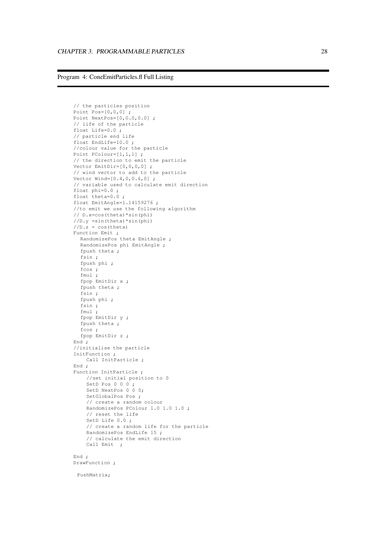#### Program 4: ConeEmitParticles.fl Full Listing

```
// the particles position
Point Pos=[0,0,0]
;
Point NextPos=[0,0.0,0.0]
;
// life of the particle
float Life=0.0
;
// particle end life
float EndLife=10.0
;
//colour value for the particle
Point PColour=[1,1,1];
// the direction to emit the particle
Vector EmitDir=[0,0,0,0]
;
// wind vector to add to the particle
Vector Wind=[0.4,0,0.6,0]
;
// variable used to calculate emit direction
float phi=0.0
;
float theta=0.0
;
float EmitAngle=1.14159276
;
//to emit we use the following algorithm
// D.x=cos(theta)*sin(phi)
//D.y = sin(theta) * sin(phi)//D.z
= cos(theta)
Function Emit ;
  RandomizePos theta EmitAngle ;
  RandomizePos phi EmitAngle ;
  fpush theta ;
  fsin
;
  fpush phi
;
  fcos
;
  fmul
;
  fpop EmitDir
x
;
  fpush theta
;
  fsin
;
  fpush phi
;
  fsin
;
  fmul
;
  fpop EmitDir
y
;
  fpush theta ;
  fcos
;
  fpop EmitDir
z
;
End
;
//initialise the particle
InitFunction
;
    Call InitParticle ;
End
;
Function InitParticle ;
    //set initial position to
0
    SetD Pos 0 0 0;
    SetD NextPos 0 0 0;
    SetGlobalPos Pos ;
    // create
a random colour
    RandomizePos PColour 1.0 1.0 1.0
;
    // reset the life
    SetD Life 0.0;
    // create
a random life for the particle
    RandomizePos EndLife 15
;
    // calculate the emit direction
    Call Emit ;
End
;
DrawFunction
;
```
PushMatrix;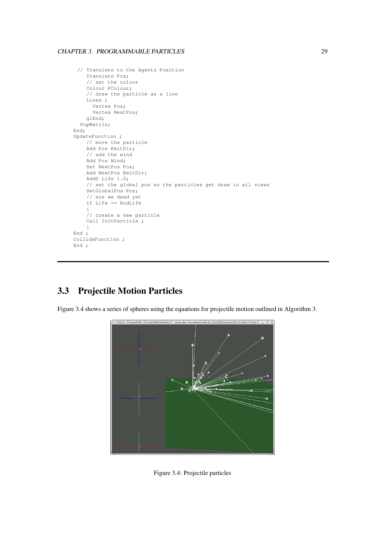#### CHAPTER 3. PROGRAMMABLE PARTICLES 29

```
// Translate to the Agents Position
    Translate Pos;
    // set the colour
    Colour PColour;
    // draw the particle as a line
    Lines ;
      Vertex Pos;
      Vertex NextPos;
    glEnd;
  PopMatrix;
End;
UpdateFunction ;
    // move the particle
    Add Pos EmitDir;
    // add the wind
    Add Pos Wind;
    Set NextPos Pos;
    Add NextPos EmitDir;
    AddD Life 1.0;
    // set the global pos so the particles get draw in all views
    SetGlobalPos Pos;
    // are we dead yet
    if Life >= EndLife
    {
    // create a new particle
    Call InitParticle ;
    }
End ;
CollideFunction ;
End ;
```
# **3.3 Projectile Motion Particles**

Figure 3.4 shows a series of spheres using the equations for projectile motion outlined in Algorithm 3.



Figure 3.4: Projectile particles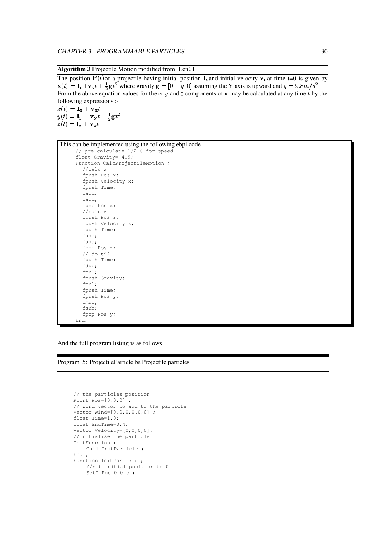**Algorithm 3** Projectile Motion modified from [Len01]

The position  $P(t)$  a projectile having initial position  $I_0$  and initial velocity  $v_0$  at time t=0 is given by  ${\bf x}(t) = {\bf I}_\alpha + {\bf v}_o t + \frac{1}{2} {\bf g} t^2$  where <sup>2</sup> where gravity  $\mathbf{g} = [0 - g, 0]$  assuming the Y axis is upward and  $g = 9.8 m/s^2$ From the above equation values for the x, y and  $\ddagger$  components of x may be calculated at any time t by the following expressions :  $x(t) = \mathbf{I_x} + \mathbf{v_x}t$  $y(t) = \mathbf{I}_u + \mathbf{v_v}t - \frac{1}{2}\mathbf{g}t$ 

This can be implemented using the following ebpl code

 $z(t) = \mathbf{I}_z + \mathbf{V}_z t$ 

```
// pre-calculate 1/2 G for speed
float Gravity=-4.9;
Function CalcProjectileMotion ;
  //calc x
  fpush Pos x;
  fpush Velocity x;
  fpush Time;
  fadd;
  fadd;
  fpop Pos x;
  //calc z
  fpush Pos z;
  fpush Velocity z;
  fpush Time;
  fadd;
  fadd;
  fpop Pos z;
  // do t^2
  fpush Time;
  fdup;
  fmul;
  fpush Gravity;
  fmul;
  fpush Time;
  fpush Pos y;
  fmul;
  fsub;
  fpop Pos y;
End;
```
And the full program listing is as follows

Program 5: ProjectileParticle.bs Projectile particles

```
// the particles position
Point Pos=[0,0,0] ;
// wind vector to add to the particle
Vector Wind=[0.0,0,0.0,0] ;
float Time=1.0;
float EndTime=0.4;
Vector Velocity=[0,0,0,0];
//initialise the particle
InitFunction ;
    Call InitParticle ;
End ;
Function InitParticle ;
    //set initial position to 0
    SetD Pos 0 0 0;
```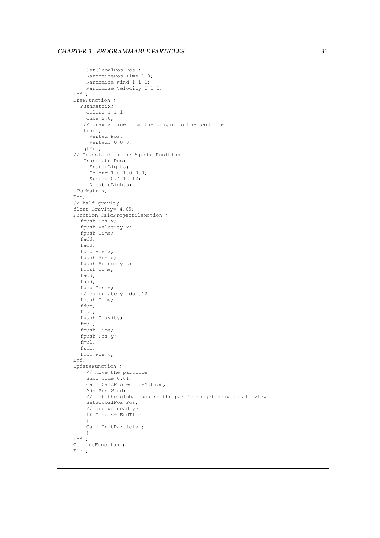### CHAPTER 3. PROGRAMMABLE PARTICLES 31

```
SetGlobalPos Pos ;
    RandomizePos Time 1.0;
    Randomize Wind 1 1 1;
    Randomize Velocity 1 1 1;
End ;
DrawFunction ;
  PushMatrix;
    Colour 1 1 1;
    Cube 2.0;
   // draw a line from the origin to the particle
   Lines;
     Vertex Pos;
     Vertexf 0 0 0;
   glEnd;
// Translate to the Agents Position
   Translate Pos;
     EnableLights;
     Colour 1.0 1.0 0.0;
     Sphere 0.4 12 12;
     DisableLights;
 PopMatrix;
End;
// half gravity
float Gravity=-4.65;
Function CalcProjectileMotion ;
  fpush Pos x;
  fpush Velocity x;
  fpush Time;
  fadd;
  fadd;
  fpop Pos x;
  fpush Pos z;
  fpush Velocity z;
  fpush Time;
  fadd;
  fadd;
  fpop Pos z;
  // calculate y do t^2
  fpush Time;
  fdup;
  fmul;
  fpush Gravity;
  fmul;
  fpush Time;
  fpush Pos y;
  fmul;
  fsub;
  fpop Pos y;
End;
UpdateFunction ;
    // move the particle
    SubD Time 0.01;
    Call CalcProjectileMotion;
    Add Pos Wind;
    // set the global pos so the particles get draw in all views
    SetGlobalPos Pos;
    // are we dead yet
    if Time <= EndTime
     {
    Call InitParticle ;
     }
End ;
CollideFunction ;
End ;
```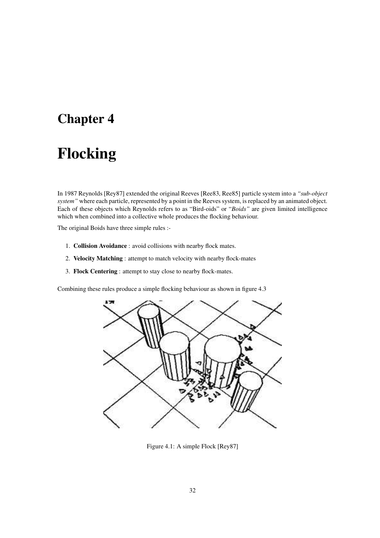## **Chapter 4**

# **Flocking**

In 1987 Reynolds [Rey87] extended the original Reeves [Ree83, Ree85] particle system into a *"sub-object system"* where each particle, represented by a point in the Reeves system, is replaced by an animated object. Each of these objects which Reynolds refers to as "Bird-oids" or "*Boids"* are given limited intelligence which when combined into a collective whole produces the flocking behaviour.

The original Boids have three simple rules :-

- 1. **Collision Avoidance** : avoid collisions with nearby flock mates.
- 2. **Velocity Matching** : attempt to match velocity with nearby flock-mates
- 3. **Flock Centering** : attempt to stay close to nearby flock-mates.

Combining these rules produce a simple flocking behaviour as shown in figure 4.3



Figure 4.1: A simple Flock [Rey87]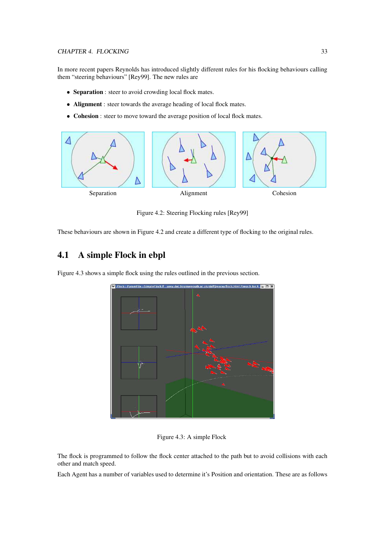### CHAPTER 4. FLOCKING 33

In more recent papers Reynolds has introduced slightly different rules for his flocking behaviours calling them "steering behaviours" [Rey99]. The new rules are

- **Separation** : steer to avoid crowding local flock mates.
- **Alignment** : steer towards the average heading of local flock mates.
- **Cohesion** : steer to move toward the average position of local flock mates.



Figure 4.2: Steering Flocking rules [Rey99]

These behaviours are shown in Figure 4.2 and create a different type of flocking to the original rules.

### **4.1 A simple Flock in ebpl**

Figure 4.3 shows a simple flock using the rules outlined in the previous section.



Figure 4.3: A simple Flock

The flock is programmed to follow the flock center attached to the path but to avoid collisions with each other and match speed.

Each Agent has a number of variables used to determine it's Position and orientation. These are as follows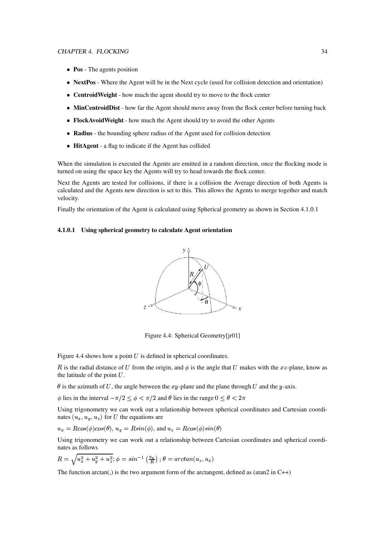- **Pos** The agents position
- **NextPos** Where the Agent will be in the Next cycle (used for collision detection and orientation)
- **CentroidWeight** how much the agent should try to move to the flock center
- **MinCentroidDist** how far the Agent should move away from the flock center before turning back
- **FlockAvoidWeight** how much the Agent should try to avoid the other Agents
- **Radius** the bounding sphere radius of the Agent used for collision detection
- **HitAgent** a flag to indicate if the Agent has collided

When the simulation is executed the Agents are emitted in a random direction, once the flocking mode is turned on using the space key the Agents will try to head towards the flock center.

Next the Agents are tested for collisions, if there is a collision the Average direction of both Agents is calculated and the Agents new direction is set to this. This allows the Agents to merge together and match velocity.

Finally the orientation of the Agent is calculated using Spherical geometry as shown in Section 4.1.0.1

### **4.1.0.1 Using spherical geometry to calculate Agent orientation**



Figure 4.4: Spherical Geometry[jr01]

Figure 4.4 shows how a point  $U$  is defined in spherical coordinates.

R is the radial distance of U from the origin, and  $\phi$  is the angle that U makes with the xz-plane, know as the latitude of the point  $U$ .

 $\theta$  is the azimuth of U, the angle between the xy-plane and the plane through U and the y-axis.

 $\phi$  lies in the interval  $-\pi/2 \le \phi < \pi/2$  and  $\theta$  lies in the range  $0 \le \theta < 2\pi$ 

Using trigonometry we can work out a relationship between spherical coordinates and Cartesian coordinates  $(u_x, u_y, u_z)$  for *U* the equations are

$$
u_x = R\cos(\phi)\cos(\theta), u_y = R\sin(\phi)
$$
, and  $u_z = R\cos(\phi)\sin(\theta)$ 

Using trigonometry we can work out a relationship between Cartesian coordinates and spherical coordinates as follows

$$
R = \sqrt{u_x^2 + u_y^2 + u_z^2}; \phi = \sin^{-1}\left(\frac{u_y}{R}\right); \theta = \arctan(u_z, u_x)
$$

The function arctan(,) is the two argument form of the arctangent, defined as (atan2 in  $C_{++}$ )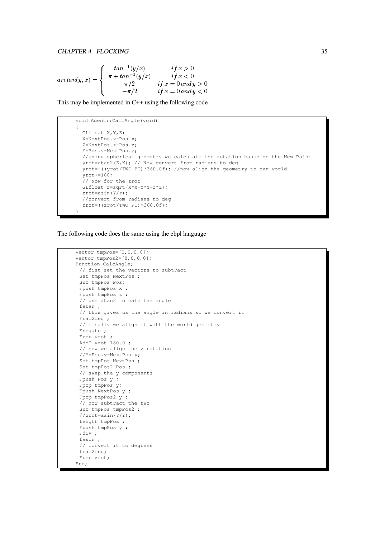$$
arctan(y, x) = \begin{cases} \ntan^{-1}(y/x) & if x > 0 \\ \pi + \tan^{-1}(y/x) & if x < 0 \\ \pi/2 & if x = 0 \text{ and } y > 0 \\ -\pi/2 & if x = 0 \text{ and } y < 0 \end{cases}
$$

This may be implemented in C++ using the following code

```
void Agent::CalcAngle(void)
{
  GLfloat X,Y,Z;
 X=NextPos.x-Pos.x;
  Z=NextPos.z-Pos.z;
 Y=Pos.y-NextPos.y;
 //using spherical geometry we calculate the rotation based on the New Point
 yrot=atan2(Z,X); // Now convert from radians to deg
 yrot=-((yrot/TWO_PI)*360.0f); //now align the geometry to our world
  yrot+=180;
  // Now for the zrot
  GLfloat r=sqrt(X*X+Y*Y+Z*Z);
  zrot=asin(Y/r);
  //convert from radians to deg
  zrot=((zrot/TWO_PI)*360.0f);
}
```
The following code does the same using the ebpl language

```
Vector tmpPos=[0,0,0,0];
Vector tmpPos2=[0, 0, 0, 0];
Function CalcAngle;
 // fist set the vectors to subtract
 Set tmpPos NextPos ;
 Sub tmpPos Pos;
 Fpush tmpPos x ;
 Fpush tmpPos z ;
 // use atan2 to calc the angle
 fatan ;
 // this gives us the angle in radians so we convert it
 Frad2deg ;
 // finally we align it with the world geometry
 Fnegate :
 Fpop yrot ;
 AddD yrot 180.0 ;
 // now we align the z rotation
 //Y=Pos.y-NextPos.y;
 Set tmpPos NextPos ;
 Set tmpPos2 Pos ;
 // swap the y components
 Fpush Pos y ;
 Fpop tmpPos y;
 Fpush NextPos y ;
 Fpop tmpPos2 y ;
 // now subtract the two
 Sub tmpPos tmpPos2 ;
 //zrot=asin(Y/r);
 Length tmpPos ;
 Fpush tmpPos y ;
 Fdiv ;
 fasin ;
 // convert it to degrees
 frad2deg;
 Fpop zrot;
End;
```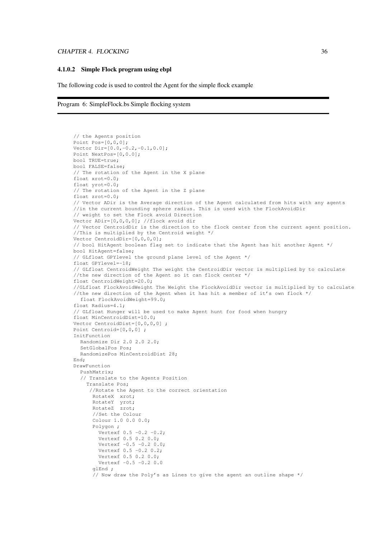#### CHAPTER 4. FLOCKING 36

#### **4.1.0.2 Simple Flock program using ebpl**

The following code is used to control the Agent for the simple flock example

Program 6: SimpleFlock.bs Simple flocking system

```
// the Agents position
Point Poss=[0,0,0];
Vector Dir=[0.0,-0.2,-0.1,0.0];
Point NextPos=[0,0.0];
bool TRUE=true;
bool FALSE=false;
// The rotation of the Agent in the X plane
float xrot=0.0;
float yrot=0.0;
// The rotation of the Agent in the Z plane
float zrot=0.0;
// Vector ADir is the Average direction of the Agent calculated from hits with any agents
//in the current bounding sphere radius. This is used with the FlockAvoidDir
// weight to set the Flock avoid Direction
Vector ADir=[0,0,0,0]; //flock avoid dir
// Vector CentroidDir is the direction to the flock center from the current agent position.
//This is multiplied by the Centroid weight */
Vector CentroidDir=[0,0,0,0];
// bool HitAgent boolean flag set to indicate that the Agent has hit another Agent */
bool HitAgent=false;
// GLfloat GPYlevel the ground plane level of the Agent */
float GPYlevel=-18;
// GLfloat CentroidWeight The weight the CentroidDir vector is multiplied by to calculate
//the new direction of the Agent so it can flock center */
float CentroidWeight=20.0;
//GLfloat FlockAvoidWeight The Weight the FlockAvoidDir vector is multiplied by to calculate
//the new direction of the Agent when it has hit a member of it's own flock */
  float FlockAvoidWeight=99.0;
float Radius=4.1;
// GLfloat Hunger will be used to make Agent hunt for food when hungry
float MinCentroidDist=10.0;
Vector CentroidDist=[0,0,0,0] ;
Point Centroid=[0,0,0] ;
InitFunction
  Randomize Dir 2.0 2.0 2.0;
  SetGlobalPos Pos;
  RandomizePos MinCentroidDist 28;
End;
DrawFunction
  PushMatrix;
  // Translate to the Agents Position
    Translate Pos;
     //Rotate the Agent to the correct orientation
      RotateX xrot;
      RotateY yrot;
      RotateZ zrot;
      //Set the Colour
      Colour 1.0 0.0 0.0;
      Polygon ;
        Vertexf 0.5 -0.2 -0.2;
        Vertexf 0.5 0.2 0.0;
        Vertexf -0.5 -0.2 0.0;
        Vertexf 0.5 -0.2 0.2;
        Vertexf 0.5 0.2 0.0;
        Vertexf -0.5 -0.2 0.0
      alEnd :
      // Now draw the Poly's as Lines to give the agent an outline shape */
```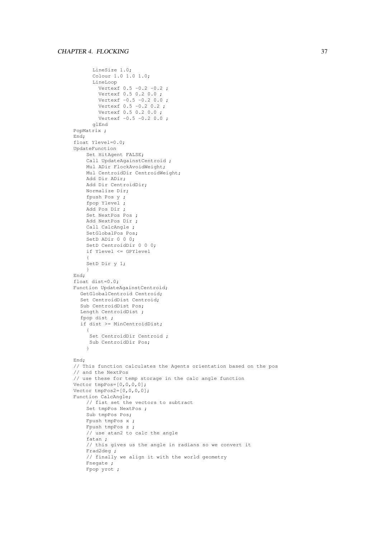```
LineSize 1.0;
      Colour 1.0 1.0 1.0;
      LineLoop
        Vertexf 0.5 -0.2 -0.2;
        Vertexf 0.5 0.2 0.0 ;
        Vertexf -0.5 -0.2 0.0;
        Vertexf 0.5 -0.2 0.2 ;
        Vertexf 0.5 0.2 0.0 ;
        Vertexf -0.5 -0.2 0.0;
      glEnd
PopMatrix ;
End;
float Ylevel=0.0;
UpdateFunction
    Set HitAgent FALSE;
    Call UpdateAgainstCentroid ;
    Mul ADir FlockAvoidWeight;
    Mul CentroidDir CentroidWeight;
    Add Dir ADir;
    Add Dir CentroidDir;
    Normalize Dir;
    fpush Pos y ;
    fpop Ylevel ;
    Add Pos Dir ;
    Set NextPos Pos ;
    Add NextPos Dir ;
    Call CalcAngle ;
    SetGlobalPos Pos;
    SetD ADir 0 0 0;
    SetD CentroidDir 0 0 0;
    if Ylevel <= GPYlevel
    {
    SetD Dir y 1;
    }
End;
float dist=0.0;
Function UpdateAgainstCentroid;
  GetGlobalCentroid Centroid;
  Set CentroidDist Centroid;
  Sub CentroidDist Pos;
  Length CentroidDist ;
  fpop dist ;
  if dist >= MinCentroidDist;
    {
     Set CentroidDir Centroid ;
     Sub CentroidDir Pos;
    }
End;
// This function calculates the Agents orientation based on the pos
// and the NextPos
// use these for temp storage in the calc angle function
Vector tmpPos=[0,0,0,0];
Vector tmpPos2=[0, 0, 0, 0];
Function CalcAngle;
    // fist set the vectors to subtract
    Set tmpPos NextPos ;
    Sub tmpPos Pos;
    Fpush tmpPos x ;
    Fpush tmpPos z ;
    // use atan2 to calc the angle
    fatan ;
    // this gives us the angle in radians so we convert it
    Frad2deg ;
    // finally we align it with the world geometry
    Fnegate ;
    Fpop yrot ;
```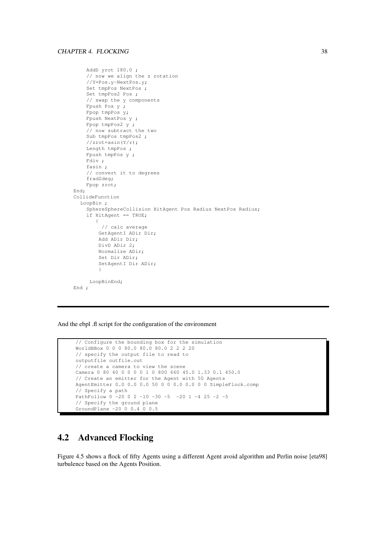```
AddD yrot 180.0 ;
    // now we align the z rotation
    //Y=Pos.y-NextPos.y;
    Set tmpPos NextPos ;
    Set tmpPos2 Pos ;
    // swap the y components
    Fpush Pos y ;
    Fpop tmpPos y;
    Fpush NextPos y ;
    Fpop tmpPos2 y ;
    // now subtract the two
    Sub tmpPos tmpPos2 ;
    //zrot=asin(Y/r);
    Length tmpPos ;
    Fpush tmpPos y ;
    Fdiv ;
    fasin ;
    // convert it to degrees
    frad2deg;
    Fpop zrot;
End;
CollideFunction
  LoopBin ;
    SphereSphereCollision HitAgent Pos Radius NextPos Radius;
    if HitAgent == TRUE;
       {
         // calc average
        GetAgentI ADir Dir;
        Add ADir Dir;
        DivD ADir 2;
        Normalize ADir;
        Set Dir ADir;
        SetAgentI Dir ADir;
        }
     LoopBinEnd;
End ;
```
And the ebpl .fl script for the configuration of the environment

```
// Configure the bounding box for the simulation
WorldBBox 0 0 0 80.0 80.0 80.0 2 2 2 20
// specify the output file to read to
outputfile outfile.out
// create a camera to view the scene
Camera 0 80 40 0 0 0 0 1 0 800 660 45.0 1.33 0.1 450.0
// Create an emitter for the Agent with 50 Agents
AgentEmitter 0.0 0.0 0.0 50 0 0 0.0 0.0 0 0 SimpleFlock.comp
// Specify a path
PathFollow 0 -20 0 2 -10 -30 -5 -20 1 -4 25 -2 -5
// Specify the ground plane
GroundPlane -20 0 0.4 0 0.5
```
### **4.2 Advanced Flocking**

Figure 4.5 shows a flock of fifty Agents using a different Agent avoid algorithm and Perlin noise [eta98] turbulence based on the Agents Position.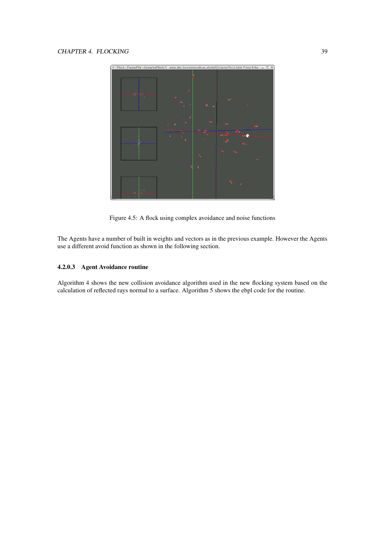

Figure 4.5: A flock using complex avoidance and noise functions

The Agents have a number of built in weights and vectors as in the previous example. However the Agents use a different avoid function as shown in the following section.

### **4.2.0.3 Agent Avoidance routine**

Algorithm 4 shows the new collision avoidance algorithm used in the new flocking system based on the calculation of reflected rays normal to a surface. Algorithm 5 shows the ebpl code for the routine.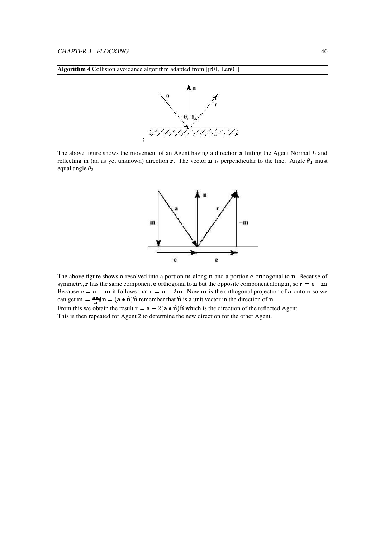



The above figure shows the movement of an Agent having a direction  $a$  hitting the Agent Normal  $L$  and reflecting in (an as yet unknown) direction **r**. The vector **n** is perpendicular to the line. Angle  $\theta_1$  must equal angle  $\theta_2$ 



The above figure shows **a** resolved into a portion  $m$  along  $n$  and a portion  $e$  orthogonal to  $n$ . Because of symmetry, **r** has the same component **e** orthogonal to **n** but the opposite component along **n**, so **r** = **e** - **m** Because  $e = a - m$  it follows that  $r = a - 2m$ . Now m is the orthogonal projection of a onto n so we can get  $\mathbf{m} = \frac{\mathbf{a} \cdot \mathbf{n}}{|\mathbf{n}|^2} \mathbf{n} = (\mathbf{a} \bullet$  $\frac{n}{\sigma^2}$ **n** = (**a** •  $\hat{\mathbf{n}}$ ) $\hat{\mathbf{n}}$  remember that  $\hat{\mathbf{n}}$  is a unit vector in the direction of **n** From this we obtain the result  $\mathbf{r} = \mathbf{a} - 2(\mathbf{a} \cdot \hat{\mathbf{n}})\hat{\mathbf{n}}$  which is the direction of the reflected Agent. This is then repeated for Agent 2 to determine the new direction for the other Agent.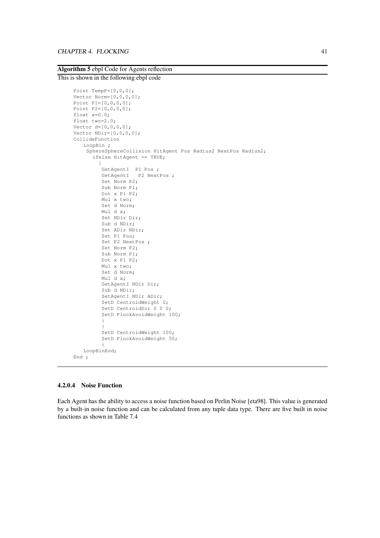### **Algorithm 5** ebpl Code for Agents reflection

### This is shown in the following ebpl code

```
Point TempP=[0,0,0];
Vector Norm=[0,0,0,0];
Point P1=[0,0,0,0];
Point P2=[0,0,0,0];
float x=0.0;
float two=2.0;
Vector d=[0,0,0,0];
Vector NDir=[0,0,0,0];
CollideFunction
   LoopBin ;
    SphereSphereCollision HitAgent Pos Radius2 NextPos Radius2;
      ifelse HitAgent == TRUE;
        {
          GetAgentI P1 Pos ;
          GetAgentI P2 NextPos ;
         Set Norm P2;
         Sub Norm P1;
         Dot x P1 P2;
         Mul x two;
         Set d Norm;
         Mul d x;
         Set NDir Dir;
         Sub d NDir;
         Set ADir NDir;
         Set P1 Pos;
         Set P2 NextPos ;
         Set Norm P2;
         Sub Norm P1;
         Dot x P1 P2;
         Mul x two;
         Set d Norm;
         Mul d x;
         GetAgentI NDir Dir;
         Sub d NDir;
         SetAgentI NDir ADir;
         SetD CentroidWeight 0;
         SetD CentroidDir 0 0 0;
         SetD FlockAvoidWeight 100;
          }
          {
         SetD CentroidWeight 100;
         SetD FlockAvoidWeight 50;
          }
   LoopBinEnd;
End ;
```
#### **4.2.0.4 Noise Function**

Each Agent has the ability to access a noise function based on Perlin Noise [eta98]. This value is generated by a built-in noise function and can be calculated from any tuple data type. There are five built in noise functions as shown in Table 7.4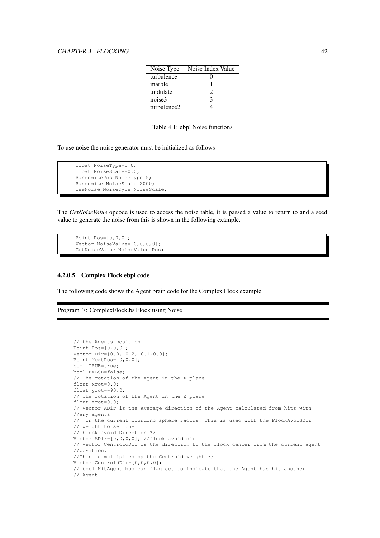| Noise Type  | Noise Index Value |
|-------------|-------------------|
| turbulence  |                   |
| marble      |                   |
| undulate    | 2                 |
| noise3      | $\mathcal{R}$     |
| turbulence2 |                   |

Table 4.1: ebpl Noise functions

To use noise the noise generator must be initialized as follows

```
float NoiseType=5.0;
float NoiseScale=0.0;
RandomizePos NoiseType 5;
Randomize NoiseScale 2000;
UseNoise NoiseType NoiseScale;
```
The *GetNoiseValue* opcode is used to access the noise table, it is passed a value to return to and a seed value to generate the noise from this is shown in the following example.

```
Point Pos=[0,0,0];
Vector NoiseValue=[0,0,0,0];
GetNoiseValue NoiseValue Pos;
```
### **4.2.0.5 Complex Flock ebpl code**

The following code shows the Agent brain code for the Complex Flock example

Program 7: ComplexFlock.bs Flock using Noise

```
// the Agents position
Point Pos=[0,0,0];
Vector Dir=[0.0,-0.2,-0.1,0.0];
Point NextPos=[0,0.0];
bool TRUE=true;
bool FALSE=false;
// The rotation of the Agent in the X plane
float xrot=0.0;
float yrot=-90.0;
// The rotation of the Agent in the Z plane
float zrot=0.0;
// Vector ADir is the Average direction of the Agent calculated from hits with
//any agents
// in the current bounding sphere radius. This is used with the FlockAvoidDir
// weight to set the
// Flock avoid Direction */
Vector ADir=[0,0,0,0]; //flock avoid dir
// Vector CentroidDir is the direction to the flock center from the current agent
//position.
//This is multiplied by the Centroid weight */
Vector CentroidDir=[0,0,0,0];
// bool HitAgent boolean flag set to indicate that the Agent has hit another
// Agent
```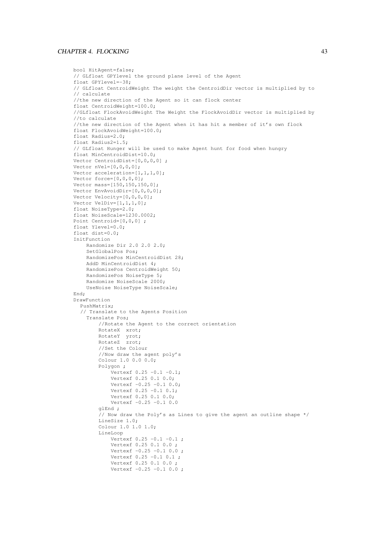### CHAPTER 4. FLOCKING 43

```
bool HitAgent=false;
// GLfloat GPYlevel the ground plane level of the Agent
float GPYlevel=-38;
// GLfloat CentroidWeight The weight the CentroidDir vector is multiplied by to
// calculate
//the new direction of the Agent so it can flock center
float CentroidWeight=100.0;
//GLfloat FlockAvoidWeight The Weight the FlockAvoidDir vector is multiplied by
//to calculate
//the new direction of the Agent when it has hit a member of it's own flock
float FlockAvoidWeight=100.0;
float Radius=2.0;
float Radius2=1.5;
// GLfloat Hunger will be used to make Agent hunt for food when hungry
float MinCentroidDist=10.0;
Vector CentroidDist=[0,0,0,0] ;
Vector nVel=[0,0,0,0];
Vector acceleration=[1,1,1,0];
Vector force=[0,0,0,0];
Vector mass=[150,150,150,0];
Vector EnvAvoidDir=[0,0,0,0];
Vector Velocity=[0,0,0,0];
Vector VelDiv=[1,1,1,0];
float NoiseType=2.0;
float NoiseScale=1230.0002;
Point Centroid=[0,0,0] ;
float Ylevel=0.0;
float dist=0.0;
InitFunction
    Randomize Dir 2.0 2.0 2.0;
    SetGlobalPos Pos;
    RandomizePos MinCentroidDist 28;
    AddD MinCentroidDist 4;
    RandomizePos CentroidWeight 50;
    RandomizePos NoiseType 5;
    Randomize NoiseScale 2000;
    UseNoise NoiseType NoiseScale;
Find:DrawFunction
  PushMatrix;
  // Translate to the Agents Position
    Translate Pos;
        //Rotate the Agent to the correct orientation
        RotateX xrot;
        RotateY yrot;
        RotateZ zrot;
        //Set the Colour
        //Now draw the agent poly's
        Colour 1.0 0.0 0.0;
        Polygon ;
            Vertexf 0.25 -0.1 -0.1;
            Vertexf 0.25 0.1 0.0;
            Vertexf -0.25 -0.1 0.0;
            Vertexf 0.25 -0.1 0.1;
            Vertexf 0.25 0.1 0.0;
            Vertexf -0.25 -0.1 0.0
        glEnd ;
        // Now draw the Poly's as Lines to give the agent an outline shape */
        LineSize 1.0;
        Colour 1.0 1.0 1.0;
        LineLoop
            Vertexf 0.25 -0.1 -0.1;
            Vertexf 0.25 0.1 0.0 ;
            Vertexf -0.25 -0.1 0.0;
            Vertexf 0.25 -0.1 0.1 ;
            Vertexf 0.25 0.1 0.0 ;
            Vertexf -0.25 -0.1 0.0;
```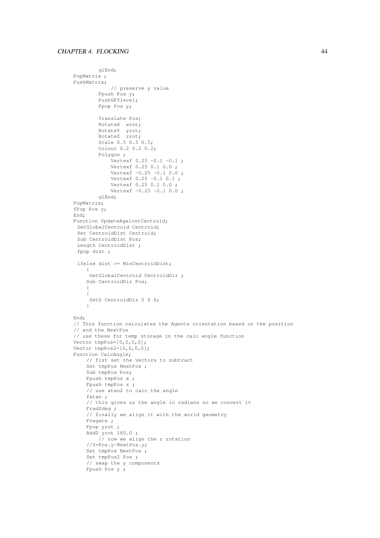```
glEnd;
PopMatrix ;
PushMatrix;
            // preserve y value
        Fpush Pos y;
        PushGPYlevel;
        Fpop Pos y;
        Translate Pos;
        RotateX xrot;
        RotateY yrot;
        RotateZ zrot;
        Scale 0.5 0.5 0.5;
        Colour 0.2 0.2 0.2;
        Polygon ;
            Vertexf 0.25 -0.1 -0.1;
            Vertexf 0.25 0.1 0.0 ;
            Vertexf -0.25 -0.1 0.0;
            Vertexf 0.25 -0.1 0.1;
            Vertexf 0.25 0.1 0.0 ;
            Vertexf -0.25 -0.1 0.0;
        glEnd;
PopMatrix;
fPop Pos y;
End;
Function UpdateAgainstCentroid;
GetGlobalCentroid Centroid;
 Set CentroidDist Centroid;
Sub CentroidDist Pos;
 Length CentroidDist ;
 fpop dist ;
 ifelse dist >= MinCentroidDist;
    {
     GetGlobalCentroid CentroidDir ;
    Sub CentroidDir Pos;
    }
    {
     SetD CentroidDir 0 0 0;
    }
End;
// This function calculates the Agents orientation based on the position
// and the NextPos
// use these for temp storage in the calc angle function
Vector tmpPos=[0,0,0,0];
Vector tmpPos2=[0,0,0,0];
Function CalcAngle;
    // fist set the vectors to subtract
    Set tmpPos NextPos ;
    Sub tmpPos Pos;
    Fpush tmpPos x ;
    Fpush tmpPos z ;
    // use atan2 to calc the angle
    fatan ;
    // this gives us the angle in radians so we convert it
    Frad2deg ;
    // finally we align it with the world geometry
    Fnegate ;
    Fpop yrot ;
    AddD yrot 180.0 ;
        // now we align the z rotation
    //Y=Pos.y-NextPos.y;
    Set tmpPos NextPos ;
    Set tmpPos2 Pos ;
    // swap the y components
    Fpush Pos y ;
```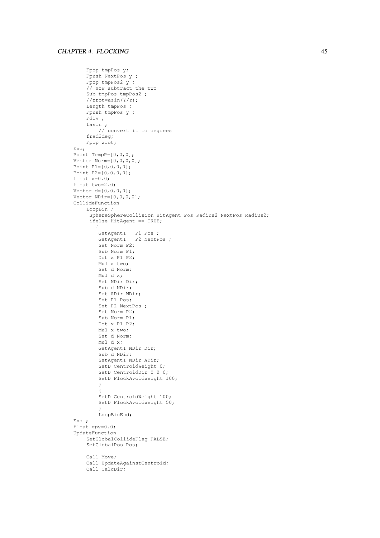```
Fpop tmpPos y;
    Fpush NextPos y ;
    Fpop tmpPos2 y ;
    // now subtract the two
    Sub tmpPos tmpPos2 ;
    //zrot=asin(Y/r);
    Length tmpPos ;
    Fpush tmpPos y ;
    Fdiv ;
    fasin ;
       // convert it to degrees
    frad2deg;
    Fpop zrot;
End;
Point TempP=[0,0,0];
Vector Norm=[0,0,0,0];
Point P1=[0,0,0,0];
Point P2=[0,0,0,0];
float x=0.0;
float two=2.0;
Vector d=[0,0,0,0];
Vector NDir=[0,0,0,0];
CollideFunction
    LoopBin ;
     SphereSphereCollision HitAgent Pos Radius2 NextPos Radius2;
     ifelse HitAgent == TRUE;
       \{GetAgentI P1 Pos ;
        GetAgentI P2 NextPos;
        Set Norm P2;
        Sub Norm P1;
        Dot x P1 P2;
        Mul x two;
        Set d Norm;
        Mul d x;
        Set NDir Dir;
        Sub d NDir;
        Set ADir NDir;
        Set P1 Pos;
        Set P2 NextPos ;
        Set Norm P2;
        Sub Norm P1;
        Dot x P1 P2;
        Mul x two;
        Set d Norm;
        Mul d x;
        GetAgentI NDir Dir;
        Sub d NDir;
        SetAgentI NDir ADir;
        SetD CentroidWeight 0;
        SetD CentroidDir 0 0 0;
        SetD FlockAvoidWeight 100;
        }
        {
        SetD CentroidWeight 100;
        SetD FlockAvoidWeight 50;
        }
        LoopBinEnd;
End ;
float gpy=0.0;
UpdateFunction
    SetGlobalCollideFlag FALSE;
    SetGlobalPos Pos;
    Call Move;
    Call UpdateAgainstCentroid;
    Call CalcDir;
```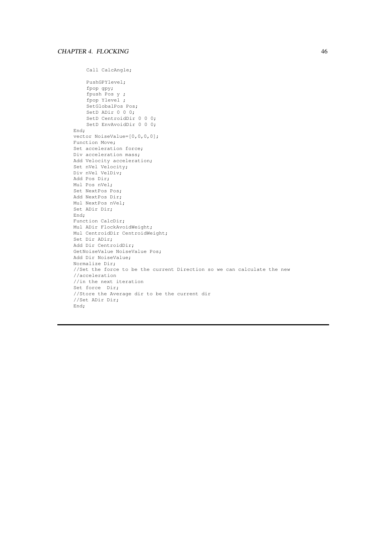```
Call CalcAngle;
    PushGPYlevel;
    fpop gpy;
    fpush Pos y ;
    fpop Ylevel ;
    SetGlobalPos Pos;
    SetD ADir 0 0 0;
    SetD CentroidDir 0 0 0;
    SetD EnvAvoidDir 0 0 0;
End;
vector NoiseValue=[0,0,0,0];
Function Move;
Set acceleration force;
Div acceleration mass;
Add Velocity acceleration;
Set nVel Velocity;
Div nVel VelDiv;
Add Pos Dir;
Mul Pos nVel;
Set NextPos Pos;
Add NextPos Dir;
Mul NextPos nVel;
Set ADir Dir;
End;
Function CalcDir;
Mul ADir FlockAvoidWeight;
Mul CentroidDir CentroidWeight;
Set Dir ADir;
Add Dir CentroidDir;
GetNoiseValue NoiseValue Pos;
Add Dir NoiseValue;
Normalize Dir;
//Set the force to be the current Direction so we can calculate the new
//acceleration
//in the next iteration
Set force Dir;
//Store the Average dir to be the current dir
//Set ADir Dir;
End;
```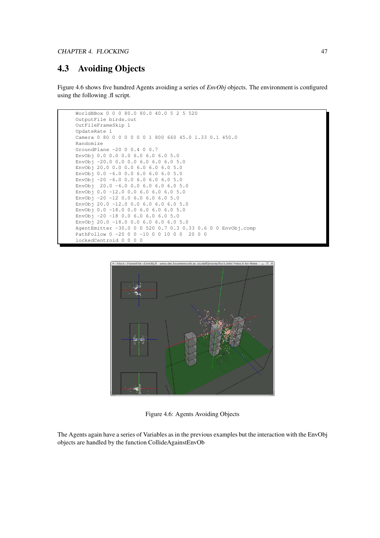### **4.3 Avoiding Objects**

Figure 4.6 shows five hundred Agents avoiding a series of *EnvObj* objects. The environment is configured using the following .fl script.





Figure 4.6: Agents Avoiding Objects

The Agents again have a series of Variables as in the previous examples but the interaction with the EnvObj objects are handled by the function CollideAgainstEnvOb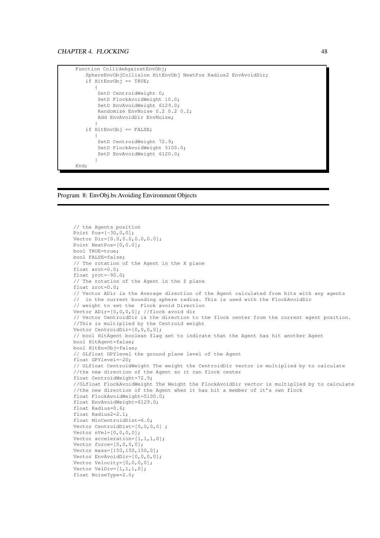```
Function CollideAgainstEnvObj;
   SphereEnvObjCollision HitEnvObj NextPos Radius2 EnvAvoidDir;
   if HitEnvObj == TRUE;
      {
       SetD CentroidWeight 0;
       SetD FlockAvoidWeight 10.0;
       SetD EnvAvoidWeight 6129.0;
       Randomize EnvNoise 0.2 0.2 0.2;
       Add EnvAvoidDir EnvNoise;
      }
   if HitEnvObj == FALSE;
      {
       SetD CentroidWeight 72.9;
       SetD FlockAvoidWeight 5100.0;
       SetD EnvAvoidWeight 6120.0;
      }
End;
```


```
// the Agents position
Point Pos=[-30,0,0];
Vector Dir=[0.0,0.0,0.0,0.0];
Point NextPos=[0,0.0];
bool TRUE=true;
bool FALSE=false;
// The rotation of the Agent in the X plane
float xrot=0.0;
float yrot=-90.0;
// The rotation of the Agent in the Z plane
float zrot=0.0;
// Vector ADir is the Average direction of the Agent calculated from hits with any agents
// in the current bounding sphere radius. This is used with the FlockAvoidDir
// weight to set the Flock avoid Direction
Vector ADir=[0,0,0,0]; //flock avoid dir
// Vector CentroidDir is the direction to the flock center from the current agent position.
//This is multiplied by the Centroid weight
Vector CentroidDir=[0,0,0,0];
// bool HitAgent boolean flag set to indicate that the Agent has hit another Agent
bool HitAgent=false;
bool HitEnvObj=false;
// GLfloat GPYlevel the ground plane level of the Agent
float GPYlevel=-20;
// GLfloat CentroidWeight The weight the CentroidDir vector is multiplied by to calculate
//the new direction of the Agent so it can flock center
float CentroidWeight=72.9;
//GLfloat FlockAvoidWeight The Weight the FlockAvoidDir vector is multiplied by to calculate
//the new direction of the Agent when it has hit a member of it's own flock
float FlockAvoidWeight=5100.0;
float EnvAvoidWeight=6129.0;
float Radius=0.6;
float Radius2=2.1;
float MinCentroidDist=6.0;
Vector CentroidDist=[0,0,0,0] ;
Vector nVel=[0,0,0,0];
Vector acceleration=[1,1,1,0];
Vector force=[0,0,0,0];
Vector mass=[150,150,150,0];
Vector EnvAvoidDir=[0,0,0,0];
Vector Velocity=[0,0,0,0];
Vector VelDiv=[1,1,1,0];
float NoiseType=2.0;
```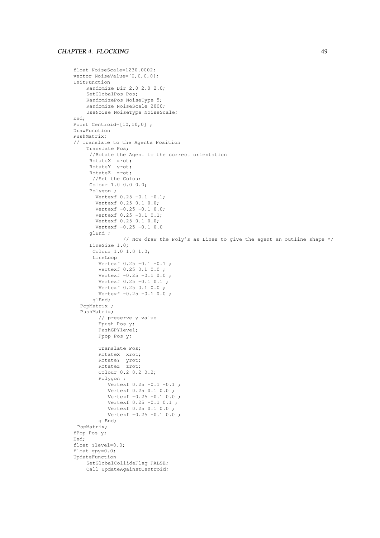```
float NoiseScale=1230.0002;
vector NoiseValue=[0,0,0,0];
InitFunction
    Randomize Dir 2.0 2.0 2.0;
    SetGlobalPos Pos;
    RandomizePos NoiseType 5;
    Randomize NoiseScale 2000;
    UseNoise NoiseType NoiseScale;
End;
Point Centroid=[10,10,0] ;
DrawFunction
PushMatrix;
// Translate to the Agents Position
    Translate Pos;
     //Rotate the Agent to the correct orientation
     RotateX xrot;
     RotateY yrot;
     RotateZ zrot;
      //Set the Colour
     Colour 1.0 0.0 0.0;
     Polygon ;
       Vertexf 0.25 -0.1 -0.1;
       Vertexf 0.25 0.1 0.0;
       Vertexf -0.25 -0.1 0.0;
       Vertexf 0.25 -0.1 0.1;
       Vertexf 0.25 0.1 0.0;
       Vertexf -0.25 -0.1 0.0
     glEnd ;
                // Now draw the Poly's as Lines to give the agent an outline shape */
     LineSize 1.0;
      Colour 1.0 1.0 1.0;
      LineLoop
        Vertexf 0.25 -0.1 -0.1 ;
        Vertexf 0.25 0.1 0.0 ;
        Vertexf -0.25 -0.1 0.0;
        Vertexf 0.25 -0.1 0.1;
        Vertexf 0.25 0.1 0.0 ;
        Vertexf -0.25 -0.1 0.0;
      glEnd;
  PopMatrix ;
  PushMatrix;
       // preserve y value
        Fpush Pos y;
        PushGPYlevel;
        Fpop Pos y;
        Translate Pos;
        RotateX xrot;
        RotateY yrot;
        RotateZ zrot;
        Colour 0.2 0.2 0.2;
        Polygon ;
           Vertext 0.25 -0.1 -0.1;
           Vertexf 0.25 0.1 0.0 ;
           Vertexf -0.25 -0.1 0.0;
           Vertexf 0.25 -0.1 0.1 ;
           Vertexf 0.25 0.1 0.0 ;
           Vertexf -0.25 -0.1 0.0;
        glEnd;
 PopMatrix;
fPop Pos y;
End;
float Ylevel=0.0;
float gpy=0.0;
UpdateFunction
    SetGlobalCollideFlag FALSE;
    Call UpdateAgainstCentroid;
```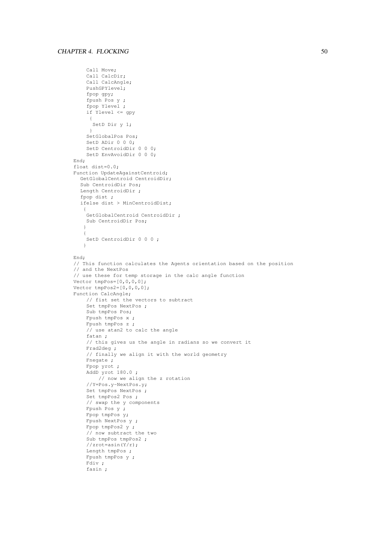```
Call Move;
    Call CalcDir;
    Call CalcAngle;
    PushGPYlevel;
    fpop gpy;
    fpush Pos y ;
    fpop Ylevel ;
    if Ylevel <= gpy
     {
     SetD Dir y 1;
     }
    SetGlobalPos Pos;
    SetD ADir 0 0 0;
    SetD CentroidDir 0 0 0;
    SetD EnvAvoidDir 0 0 0;
End;
float dist=0.0;
Function UpdateAgainstCentroid;
  GetGlobalCentroid CentroidDir;
  Sub CentroidDir Pos;
  Length CentroidDir ;
  fpop dist ;
  ifelse dist > MinCentroidDist;
   {
    GetGlobalCentroid CentroidDir ;
   Sub CentroidDir Pos;
   }
   {
   SetD CentroidDir 0 0 0;
   }
End;
// This function calculates the Agents orientation based on the position
// and the NextPos
// use these for temp storage in the calc angle function
Vector tmpPos=[0,0,0,0];
Vector tmpPos2=[0, 0, 0, 0];
Function CalcAngle;
    // fist set the vectors to subtract
    Set tmpPos NextPos ;
    Sub tmpPos Pos;
    Fpush tmpPos x ;
    Fpush tmpPos z ;
    // use atan2 to calc the angle
    fatan ;
    // this gives us the angle in radians so we convert it
    Frad2deg ;
    // finally we align it with the world geometry
    Fnegate ;
    Fpop yrot ;
    AddD yrot 180.0 ;
       // now we align the z rotation
    //Y=Pos.y-NextPos.y;
    Set tmpPos NextPos ;
    Set tmpPos2 Pos ;
    // swap the y components
    Fpush Pos y ;
    Fpop tmpPos y;
    Fpush NextPos y ;
    Fpop tmpPos2 y ;
    // now subtract the two
    Sub tmpPos tmpPos2 ;
    //zrot=asin(Y/r);
    Length tmpPos ;
    Fpush tmpPos y ;
    Fdiv ;
    fasin ;
```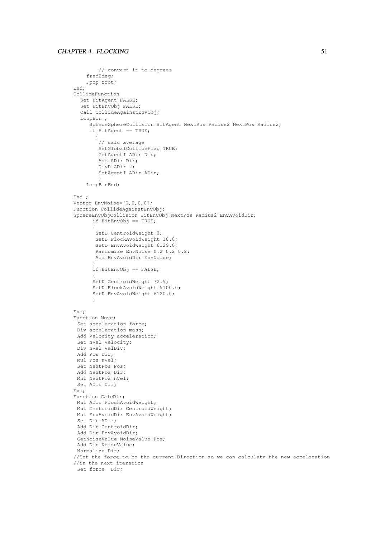### CHAPTER 4. FLOCKING 51

```
// convert it to degrees
    frad2deg;
    Fpop zrot;
End;
CollideFunction
  Set HitAgent FALSE;
  Set HitEnvObj FALSE;
  Call CollideAgainstEnvObj;
  LoopBin ;
     SphereSphereCollision HitAgent NextPos Radius2 NextPos Radius2;
     if HitAgent == TRUE;
       {
        // calc average
        SetGlobalCollideFlag TRUE;
        GetAgentI ADir Dir;
        Add ADir Dir;
        DivD ADir 2;
        SetAgentI ADir ADir;
        }
    LoopBinEnd;
End ;
Vector EnvNoise=[0,0,0,0];
Function CollideAgainstEnvObj;
SphereEnvObjCollision HitEnvObj NextPos Radius2 EnvAvoidDir;
      if HitEnvObj == TRUE;
      {
       SetD CentroidWeight 0;
       SetD FlockAvoidWeight 10.0;
       SetD EnvAvoidWeight 6129.0;
       Randomize EnvNoise 0.2 0.2 0.2;
       Add EnvAvoidDir EnvNoise;
      }
      if HitEnvObj == FALSE;
      {
      SetD CentroidWeight 72.9;
      SetD FlockAvoidWeight 5100.0;
      SetD EnvAvoidWeight 6120.0;
      }
End;
Function Move;
Set acceleration force;
 Div acceleration mass;
Add Velocity acceleration;
 Set nVel Velocity;
 Div nVel VelDiv;
Add Pos Dir;
 Mul Pos nVel;
 Set NextPos Pos;
 Add NextPos Dir;
 Mul NextPos nVel;
Set ADir Dir;
End;
Function CalcDir;
Mul ADir FlockAvoidWeight;
 Mul CentroidDir CentroidWeight;
 Mul EnvAvoidDir EnvAvoidWeight;
 Set Dir ADir;
 Add Dir CentroidDir;
 Add Dir EnvAvoidDir;
 GetNoiseValue NoiseValue Pos;
 Add Dir NoiseValue;
Normalize Dir;
//Set the force to be the current Direction so we can calculate the new acceleration
//in the next iteration
 Set force Dir;
```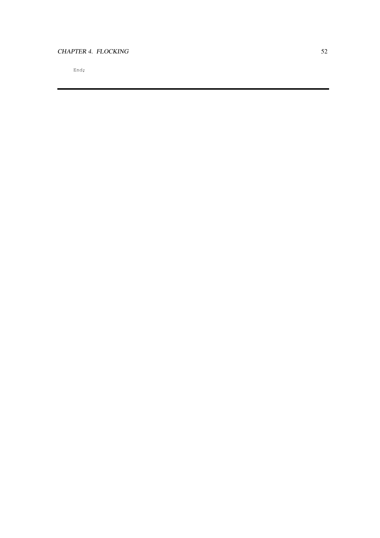### CHAPTER 4. FLOCKING 52

End;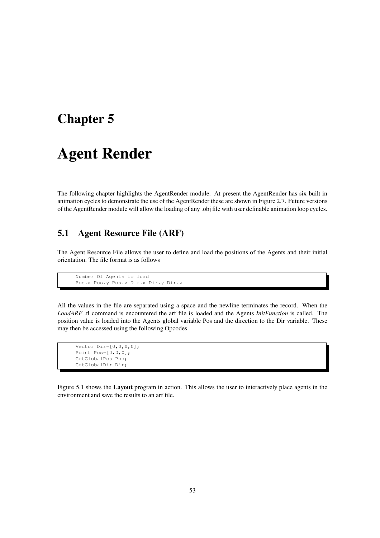## **Chapter 5**

## **Agent Render**

The following chapter highlights the AgentRender module. At present the AgentRender has six built in animation cycles to demonstrate the use of the AgentRender these are shown in Figure 2.7. Future versions of the AgentRender module will allow the loading of any .obj file with user definable animation loop cycles.

### **5.1 Agent Resource File (ARF)**

The Agent Resource File allows the user to define and load the positions of the Agents and their initial orientation. The file format is as follows

```
Number Of Agents to load
Pos.x Pos.y Pos.z Dir.x Dir.y Dir.z
```
All the values in the file are separated using a space and the newline terminates the record. When the *LoadARF* .fl command is encountered the arf file is loaded and the Agents *InitFunction* is called. The position value is loaded into the Agents global variable Pos and the direction to the Dir variable. These may then be accessed using the following Opcodes

```
Vector Dir=[0,0,0,0];
Point Pos=[0,0,0];
GetGlobalPos Pos;
GetGlobalDir Dir;
```
Figure 5.1 shows the **Layout** program in action. This allows the user to interactively place agents in the environment and save the results to an arf file.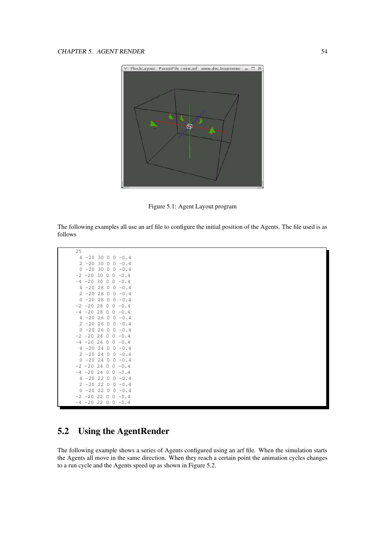

Figure 5.1: Agent Layout program

The following examples all use an arf file to configure the initial position of the Agents. The file used is as follows

| 25           |               |      |         |                          |
|--------------|---------------|------|---------|--------------------------|
| 4            |               |      |         | $-20$ 30 0 0 $-0.4$      |
|              | $2 - 20 30$   |      | $\circ$ | $0 - 0.4$                |
| $\circ$      | $-20$         | - 30 |         | $0 \t 0 \t -0.4$         |
|              | $-2$ $-20$ 30 |      |         | $0 \t 0 \t -0.4$         |
|              | $-4$ $-20$ 30 |      |         | $0 \t 0 \t -0.4$         |
|              | $4 - 20 28$   |      |         | $0 \t 0 \t -0.4$         |
|              | $2 - 20 28$   |      |         | $0 \t 0 \t -0.4$         |
| $\mathbf{0}$ | $-2028$       |      |         | $0 \t 0 \t -0.4$         |
|              | $-2$ $-20$ 28 |      |         | $0 \t 0 \t -0.4$         |
|              | $-4$ $-20$ 28 |      |         | $0 \t 0 \t -0.4$         |
|              | $4 - 20$ 26   |      |         | $0 \t 0 \t -0.4$         |
|              | $2 - 20 26$   |      |         | $0 \t 0 \t -0.4$         |
|              | $0 - 20 26$   |      |         | $0 \t 0 \t -0.4$         |
|              |               |      |         | $-2$ $-20$ 26 0 0 $-0.4$ |
|              |               |      |         | $-4$ $-20$ 26 0 0 $-0.4$ |
|              | $4 - 20$ 24   |      |         | $0 \t 0 \t -0.4$         |
|              | $2 - 20$ 24   |      |         | $0 \t 0 \t -0.4$         |
|              | $0 - 20 24$   |      |         | $0 \t 0 \t -0.4$         |
|              | $-2$ $-20$ 24 |      |         | $0 \t 0 \t -0.4$         |
|              | $-4$ $-20$ 24 |      |         | $0 \t 0 \t -0.4$         |
| 4            | $-2022$       |      |         | $0 \t 0 \t -0.4$         |
|              | $2 - 20$ 22   |      |         | $0 \t 0 \t -0.4$         |
|              | $0 - 20 22$   |      |         | $0 \t 0 \t -0.4$         |
|              |               |      |         | $-2$ $-20$ 22 0 0 $-0.4$ |
|              |               |      |         | $-4$ $-20$ 22 0 0 $-0.4$ |

## **5.2 Using the AgentRender**

The following example shows a series of Agents configured using an arf file. When the simulation starts the Agents all move in the same direction. When they reach a certain point the animation cycles changes to a run cycle and the Agents speed up as shown in Figure 5.2.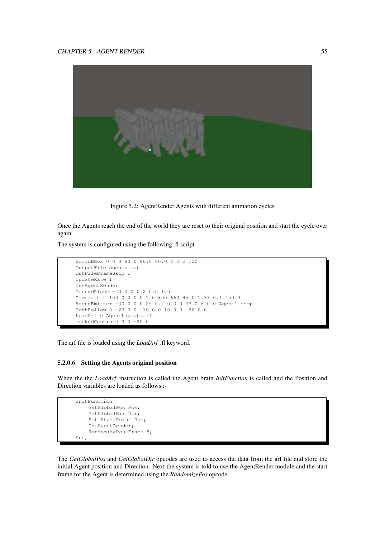

Figure 5.2: AgentRender Agents with different animation cycles

Once the Agents reach the end of the world they are reset to their original position and start the cycle over again.

The system is configured using the following .fl script

```
WorldBBox 0 0 0 80.0 80.0 80.0 2 2 2 120
OutputFile agents.out
OutFileFrameSkip 1
UpdateRate 1
UseAgentRender
GroundPlane -20 0.0 0.2 0.0 1.0
Camera 0 2 100 0 0 0 0 1 0 800 660 45.0 1.33 0.1 450.0
AgentEmitter -30.0 0 0 25 0.7 0.3 0.33 0.6 0 0 Agent1.comp
PathFollow 0 -20 0 0 -10 0 0 10 0 0 20 0 0
LoadArf 0 AgentLayout.arf
lockedCentroid 0 0 -20 0
```
The arf file is loaded using the *LoadArf* .fl keyword.

### **5.2.0.6 Setting the Agents original position**

When the the *LoadArf* instruction is called the Agent brain *InitFunction* is called and the Position and Direction variables are loaded as follows :-

```
InitFunction
    GetGlobalPos Pos;
    GetGlobalDir Dir;
    Set StartPoint Pos;
    UseAgentRender;
    RandomizePos Frame 8;
End;
```
The *GetGlobalPos* and *GetGlobalDir* opcodes are used to access the data from the arf file and store the initial Agent position and Direction. Next the system is told to use the AgentRender module and the start frame for the Agent is determined using the *RandomizePos* opcode.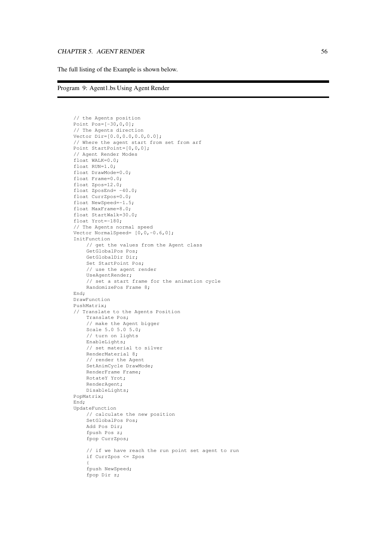The full listing of the Example is shown below.

```
Program 9: Agent1.bs Using Agent Render
```

```
// the Agents position
Point Pos=[-30, 0, 0];
// The Agents direction
Vector Dir=[0.0,0.0,0.0,0.0];
// Where the agent start from set from arf
Point StartPoint=[0,0,0];
// Agent Render Modes
float WALK=0.0;
float RUN=1.0;
float DrawMode=0.0;
float Frame=0.0;
float Zpos=12.0;
float ZposEnd= -40.0;
float CurrZpos=0.0;
float NewSpeed=-1.5;
float MaxFrame=8.0;
float StartWalk=30.0;
float Yrot=-180;
// The Agents normal speed
Vector NormalSpeed= [0, 0, -0.6, 0];
InitFunction
    // get the values from the Agent class
    GetGlobalPos Pos;
    GetGlobalDir Dir;
    Set StartPoint Pos;
    // use the agent render
    UseAgentRender;
    // set a start frame for the animation cycle
    RandomizePos Frame 8;
End;
DrawFunction
PushMatrix;
// Translate to the Agents Position
    Translate Pos;
    // make the Agent bigger
    Scale 5.0 5.0 5.0;
    // turn on lights
    EnableLights;
    // set material to silver
    RenderMaterial 8;
    // render the Agent
    SetAnimCycle DrawMode;
    RenderFrame Frame;
    RotateY Yrot;
    RenderAgent;
    DisableLights;
PopMatrix;
End;
UpdateFunction
    // calculate the new position
    SetGlobalPos Pos;
    Add Pos Dir;
    fpush Pos z;
    fpop CurrZpos;
    // if we have reach the run point set agent to run
    if CurrZpos <= Zpos
    {
    fpush NewSpeed;
    fpop Dir z;
```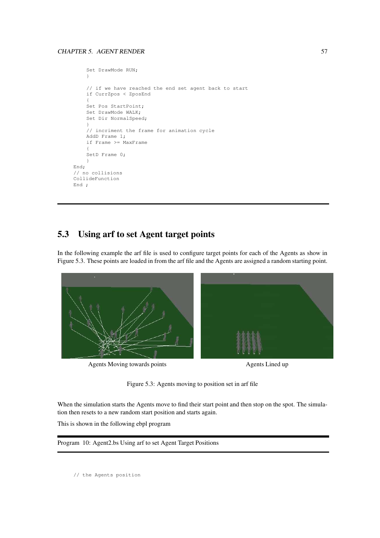```
Set DrawMode RUN;
    }
    // if we have reached the end set agent back to start
    if CurrZpos < ZposEnd
    {
    Set Pos StartPoint;
    Set DrawMode WALK;
    Set Dir NormalSpeed;
    }
    // incriment the frame for animation cycle
    AddD Frame 1;
    if Frame >= MaxFrame
    {
    SetD Frame 0;
    }
End;
// no collisions
CollideFunction
End ;
```
## **5.3 Using arf to set Agent target points**

In the following example the arf file is used to configure target points for each of the Agents as show in Figure 5.3. These points are loaded in from the arf file and the Agents are assigned a random starting point.



Agents Moving towards points **Agents Lined up** 

Figure 5.3: Agents moving to position set in arf file

When the simulation starts the Agents move to find their start point and then stop on the spot. The simulation then resets to a new random start position and starts again.

This is shown in the following ebpl program

Program 10: Agent2.bs Using arf to set Agent Target Positions

// the Agents position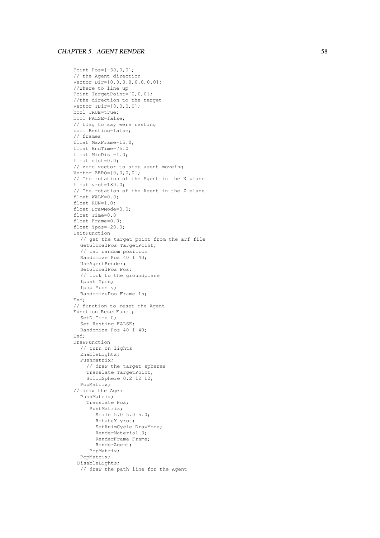```
Point Pos=[-30,0,0];
// the Agent direction
Vector Dir=[0.0,0.0,0.0,0.0];
//where to line up
Point TargetPoint=[0,0,0];
//the direction to the target
Vector IDir=[0, 0, 0, 0];
bool TRUE=true;
bool FALSE=false;
// flag to say were resting
bool Resting=false;
// frames
float MaxFrame=15.0;
float EndTime=75.0
float MinDist=1.0;
float dist=0.0;
// zero vector to stop agent moveing
Vector ZERO = [0, 0, 0, 0];
// The rotation of the Agent in the
X plane
float yrot=180.0;
// The rotation of the Agent in the
Z plane
float WALK=0.0;
float RUN=1.0;
float DrawMode=0.0;
float Time=0.0
float Frame=0.0;
float Ypos=-20.0;
InitFunction
  // get the target point from the arf file
  GetGlobalPos TargetPoint;
  // cal random position
   Randomize Pos 40
1 40;
  UseAgentRender;
  SetGlobalPos Pos;
  // lock to the groundplane
  fpush Ypos;
  fpop Ypos y;
  RandomizePos Frame 15;
End;
// function to reset the Agent
Function ResetFunc
;
 SetD Time 0;
  Set Resting FALSE;
   Randomize Pos 40
1 40;
End;
DrawFunction
  // turn on lights
  EnableLights;
  PushMatrix;
    // draw the target spheres
    Translate TargetPoint;
    SolidSphere 0.2 12 12;
  PopMatrix;
// draw the Agent
  PushMatrix;
    Translate Pos;
     PushMatrix;
       Scale 5.0 5.0 5.0;
       RotateY yrot;
       SetAnimCycle DrawMode;
       RenderMaterial 3;
       RenderFrame Frame;
       RenderAgent;
     PopMatrix;
  PopMatrix;
 DisableLights;
  // draw the path line for the Agent
```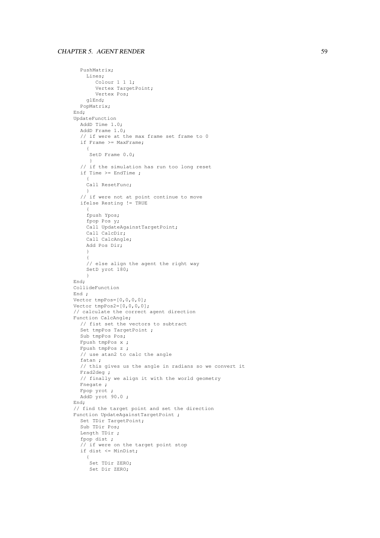```
PushMatrix;
    Lines;
       Colour 1 1 1;
       Vertex TargetPoint;
      Vertex Pos;
    glEnd;
 PopMatrix;
End;
UpdateFunction
  AddD Time 1.0;
  AddD Frame 1.0;
  // if were at the max frame set frame to 0
  if Frame >= MaxFrame;
    {
     .<br>SetD Frame 0.0;
     }
  // if the simulation has run too long reset
  if Time >= EndTime ;
    {
    Call ResetFunc;
    }
  // if were not at point continue to move
  ifelse Resting != TRUE
    {
    fpush Ypos;
    fpop Pos y;
    Call UpdateAgainstTargetPoint;
    Call CalcDir;
    Call CalcAngle;
    Add Pos Dir;
    }
    {
    // else align the agent the right way
    SetD yrot 180;
    }
End;
CollideFunction
End ;
Vector tmpPos=[0,0,0,0];
Vector tmpPos2=[0, 0, 0, 0];
// calculate the correct agent direction
Function CalcAngle;
  // fist set the vectors to subtract
  Set tmpPos TargetPoint ;
  Sub tmpPos Pos;
  Fpush tmpPos x ;
  Fpush tmpPos z ;
  // use atan2 to calc the angle
  fatan ;
  // this gives us the angle in radians so we convert it
  Frad2deg ;
  // finally we align it with the world geometry
  Fnegate ;
  Fpop yrot ;
  AddD yrot 90.0 ;
End;
// find the target point and set the direction
Function UpdateAgainstTargetPoint ;
  Set TDir TargetPoint;
  Sub TDir Pos;
  Length TDir ;
  fpop dist ;
  // if were on the target point stop
  if dist \leq MinDist;
    \{Set TDir ZERO;
     Set Dir ZERO;
```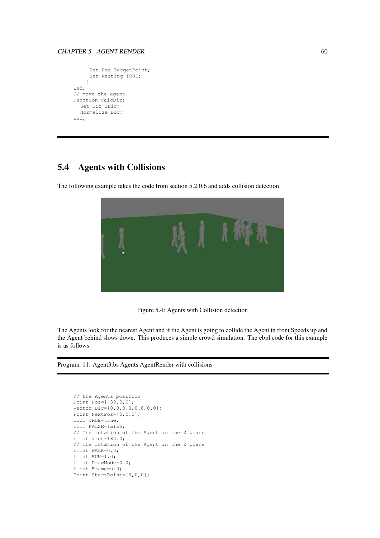```
Set Pos TargetPoint;
     Set Resting TRUE;
    }
End;
// move the agent
Function CalcDir;
  Set Dir TDir;
  Normalize Dir;
End;
```
## **5.4 Agents with Collisions**

The following example takes the code from section 5.2.0.6 and adds collision detection.



Figure 5.4: Agents with Collision detection

The Agents look for the nearest Agent and if the Agent is going to collide the Agent in front Speeds up and the Agent behind slows down. This produces a simple crowd simulation. The ebpl code for this example is as follows

Program 11: Agent3.bs Agents AgentRender with collisions

```
// the Agents position
Point Pos=[-30, 0, 0];
Vector Dir=[0.0,0.0,0.0,0.0];
Point NextPos=[0,0.0];
bool TRUE=true;
bool FALSE=false;
// The rotation of the Agent in the X plane
float yrot=180.0;
// The rotation of the Agent in the Z plane
float WALK=0.0;
float RUN=1.0;
float DrawMode=0.0;
float Frame=0.0;
Point StartPoint=[0,0,0];
```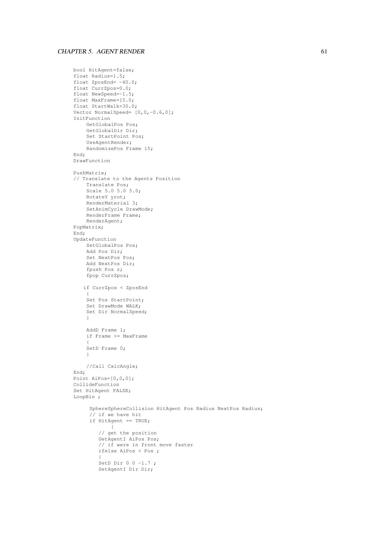```
bool HitAgent=false;
float Radius=1.5;
float ZposEnd= -40.0;
float CurrZpos=0.0;
float NewSpeed=-1.5;
float MaxFrame=15.0;
float StartWalk=30.0;
Vector NormalSpeed= [0, 0, -0.6, 0];
InitFunction
    GetGlobalPos Pos;
    GetGlobalDir Dir;
    Set StartPoint Pos;
    UseAgentRender;
    RandomizePos Frame 15;
End;
DrawFunction
PushMatrix;
// Translate to the Agents Position
    Translate Pos;
    Scale 5.0 5.0 5.0;
    RotateY yrot;
    RenderMaterial 3;
    SetAnimCycle DrawMode;
    RenderFrame Frame;
    RenderAgent;
PopMatrix;
End;
UpdateFunction
    SetGlobalPos Pos;
    Add Pos Dir;
    Set NextPos Pos;
    Add NextPos Dir;
    fpush Pos z;
    fpop CurrZpos;
   if CurrZpos < ZposEnd
    {
    Set Pos StartPoint;
    Set DrawMode WALK;
    Set Dir NormalSpeed;
    }
    AddD Frame 1;
    if Frame >= MaxFrame
    {
    SetD Frame 0;
    }
    //Call CalcAngle;
End;
Point AiPos=[0,0,0];
CollideFunction
Set HitAgent FALSE;
LoopBin ;
     SphereSphereCollision HitAgent Pos Radius NextPos Radius;
     // if we have hit
     if HitAgent == TRUE;
            {
        // get the position
        GetAgentI AiPos Pos;
        // if were in front move faster
        ifelse AiPos < Pos ;
         {
        SetD Dir 0 0 -1.7 ;
        SetAgentI Dir Dir;
```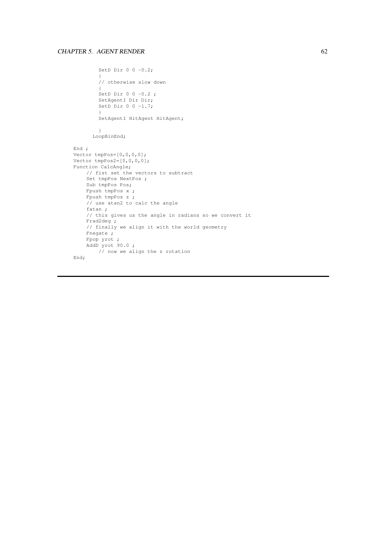```
SetD Dir 0 \t 0 \t -0.2;
        }
        // otherwise slow down
        {
        SetD Dir 0 \t0 -0.2;
        SetAgentI Dir Dir;
        SetD Dir 0 \t 0 \t -1.7;
         }
         SetAgentI HitAgent HitAgent;
        }
      LoopBinEnd;
End ;
Vector tmpPos=[0,0,0,0];
Vector tmpPos2=[0,0,0,0];Function CalcAngle;
    // fist set the vectors to subtract
    Set tmpPos NextPos ;
    Sub tmpPos Pos;
    Fpush tmpPos x ;
    Fpush tmpPos z ;
    // use atan2 to calc the angle
    fatan ;
    // this gives us the angle in radians so we convert it
    Frad2deg ;
    // finally we align it with the world geometry
    Fnegate ;
    Fpop yrot ;
    AddD yrot 90.0;
      // now we align the z rotation
End;
```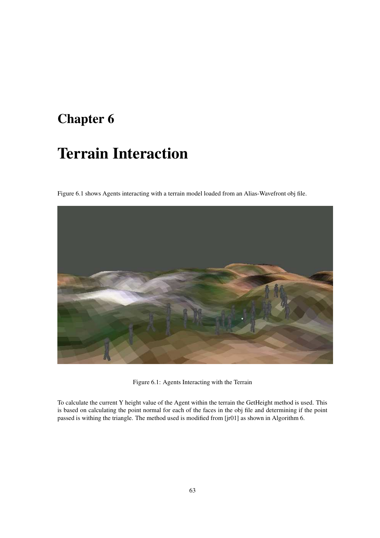## **Chapter 6**

# **Terrain Interaction**

Figure 6.1 shows Agents interacting with a terrain model loaded from an Alias-Wavefront obj file.



Figure 6.1: Agents Interacting with the Terrain

To calculate the current Y height value of the Agent within the terrain the GetHeight method is used. This is based on calculating the point normal for each of the faces in the obj file and determining if the point passed is withing the triangle. The method used is modified from [jr01] as shown in Algorithm 6.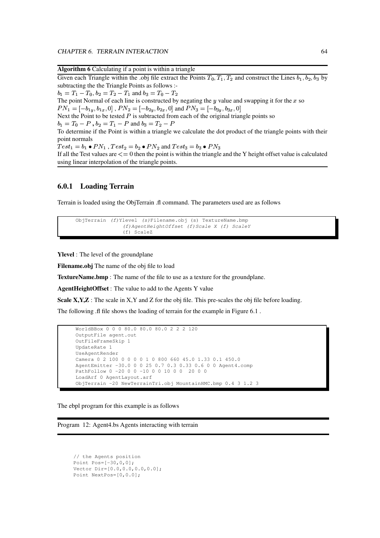**Algorithm 6** Calculating if a point is within a triangle

| $\mu$ and $\mu$ and $\mu$ and $\mu$ and $\mu$ and $\mu$ and $\mu$ and $\mu$ and $\mu$                                              |
|------------------------------------------------------------------------------------------------------------------------------------|
| Given each Triangle within the .obj file extract the Points $T_0$ , $T_1$ , $T_2$ and construct the Lines $b_1$ , $b_2$ , $b_3$ by |
| subtracting the the Triangle Points as follows :-                                                                                  |
| $b_1 = T_1 - T_0$ , $b_2 = T_2 - T_1$ and $b_3 = T_0 - T_2$                                                                        |
| The point Normal of each line is constructed by negating the $y$ value and swapping it for the $x$ so                              |
| $PN_1 = [-b_{1y}, b_{1x}, 0]$ , $PN_2 = [-b_{2y}, b_{2x}, 0]$ and $PN_3 = [-b_{3y}, b_{3x}, 0]$                                    |
| Next the Point to be tested $P$ is subtracted from each of the original triangle points so                                         |
| $b_1 = T_0 - P$ , $b_2 = T_1 - P$ and $b_3 = T_2 - P$                                                                              |
| To determine if the Point is within a triangle we calculate the dot product of the triangle points with their                      |
| point normals                                                                                                                      |
| $Test_1 = b_1 \bullet PN_1$ , $Test_2 = b_2 \bullet PN_2$ and $Test_3 = b_3 \bullet PN_3$                                          |
| If all the Test values are $\leq$ 0 then the point is within the triangle and the Y height offset value is calculated              |
| using linear interpolation of the triangle points.                                                                                 |

### **6.0.1 Loading Terrain**

Terrain is loaded using the ObjTerrain .fl command. The parameters used are as follows

```
ObjTerrain (f)Ylevel (s)Filename.obj (s) TextureName.bmp
               (f)AgentHeightOffset (f)Scale X (f) ScaleY
               (f) ScaleZ
```
**Ylevel** : The level of the groundplane

**Filename.obj** The name of the obj file to load

**TextureName.bmp** : The name of the file to use as a texture for the groundplane.

**AgentHeightOffset** : The value to add to the Agents Y value

**Scale X, Y, Z**: The scale in X, Y and Z for the obj file. This pre-scales the obj file before loading.

The following .fl file shows the loading of terrain for the example in Figure 6.1 .

```
WorldBBox 0 0 0 80.0 80.0 80.0 2 2 2 120
OutputFile agent.out
OutFileFrameSkip 1
UpdateRate 1
UseAgentRender
Camera 0 2 100 0 0 0 0 1 0 800 660 45.0 1.33 0.1 450.0
AgentEmitter -30.0 0 0 25 0.7 0.3 0.33 0.6 0 0 Agent4.comp
PathFollow 0 -20 0 0 -10 0 0 10 0 0 20 0 0
LoadArf 0 AgentLayout.arf
ObjTerrain -20 NewTerrainTri.obj MountainHMC.bmp 0.4 3 1.2 3
```
The ebpl program for this example is as follows

Program 12: Agent4.bs Agents interacting with terrain

```
// the Agents position
Point Pos=[-30,0,0];
Vector Dir=[0.0,0.0,0.0,0.0];
Point NextPos=[0,0.0];
```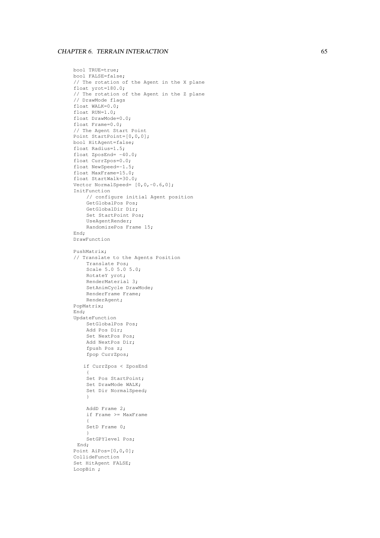### CHAPTER 6. TERRAIN INTERACTION 65

```
bool TRUE=true;
bool FALSE=false;
// The rotation of the Agent in the
X plane
float yrot=180.0;
// The rotation of the Agent in the
Z plane
// DrawMode flags
float WALK=0.0;
float RUN=1.0;
float DrawMode=0.0;
float Frame=0.0;
// The Agent Start Point
Point StartPoint=[0,0,0];
bool HitAgent=false;
float Radius=1.5;
float ZposEnd= -40.0;
float CurrZpos=0.0;
float NewSpeed=-1.5;
float MaxFrame=15.0;
float StartWalk=30.0;
Vector NormalSpeed= [0, 0, -0.6, 0];
InitFunction
    // configure initial Agent position
    GetGlobalPos Pos;
    GetGlobalDir Dir;
    Set StartPoint Pos;
    UseAgentRender;
    RandomizePos Frame 15;
End;
DrawFunction
PushMatrix;
// Translate to the Agents Position
    Translate Pos;
    Scale 5.0 5.0 5.0;
    RotateY yrot;
    RenderMaterial 3;
    SetAnimCycle DrawMode;
    RenderFrame Frame;
    RenderAgent;
PopMatrix;
End;
UpdateFunction
    SetGlobalPos Pos;
    Add Pos Dir;
    Set NextPos Pos;
    Add NextPos Dir;
    fpush Pos z;
    fpop CurrZpos;
    if CurrZpos
< ZposEnd
     {
    Set Pos StartPoint;
    Set DrawMode WALK;
    Set Dir NormalSpeed; }
    AddD Frame 2;
    if Frame >= MaxFrame {
    SetD Frame 0; }
    SetGPYlevel Pos;
 End;
Point AiPos=[0,0,0];
CollideFunction
Set HitAgent FALSE;
LoopBin ;
```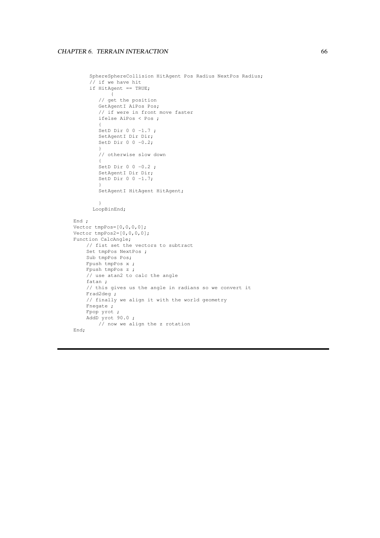```
SphereSphereCollision HitAgent Pos Radius NextPos Radius;
     // if we have hit
     if HitAgent == TRUE;
            \{// get the position
        GetAgentI AiPos Pos;
        // if were in front move faster
        ifelse AiPos < Pos ;
         {
        SetD Dir 0 0 -1.7 ;
        SetAgentI Dir Dir;
        SetD Dir 0 \t 0 \t -0.2;
         }
         // otherwise slow down
         {
        SetD Dir 0 \t 0 \t -0.2;
        SetAgentI Dir Dir;
        SetD Dir 0 \t 0 \t -1.7;
         }
        SetAgentI HitAgent HitAgent;
        }
      LoopBinEnd;
End ;
Vector tmpPos=[0,0,0,0];
Vector tmpPos2=[0,0,0,0];
Function CalcAngle;
    // fist set the vectors to subtract
    Set tmpPos NextPos ;
    Sub tmpPos Pos;
    Fpush tmpPos x ;
    Fpush tmpPos z ;
    // use atan2 to calc the angle
    fatan ;
    // this gives us the angle in radians so we convert it
    Frad2deg ;
    // finally we align it with the world geometry
    Fnegate ;
    Fpop yrot ;
    AddD yrot 90.0;
       // now we align the z rotation
End;
```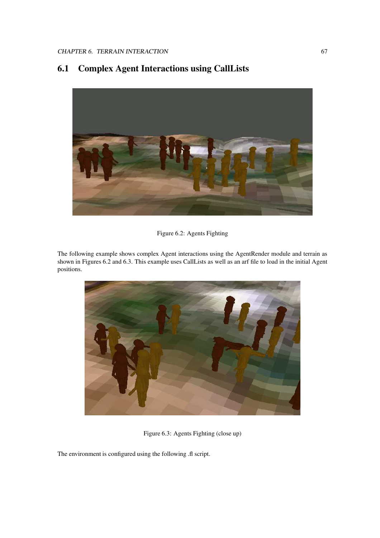# **6.1 Complex Agent Interactions using CallLists**



#### Figure 6.2: Agents Fighting

The following example shows complex Agent interactions using the AgentRender module and terrain as shown in Figures 6.2 and 6.3. This example uses CallLists as well as an arf file to load in the initial Agent positions.



Figure 6.3: Agents Fighting (close up)

The environment is configured using the following .fl script.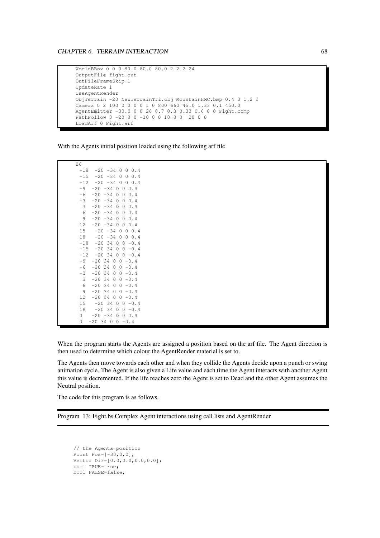WorldBBox 0 0 0 80.0 80.0 80.0 2 2 2 24 OutputFile fight.out OutFileFrameSkip 1 UpdateRate 1 UseAgentRender ObjTerrain -20 NewTerrainTri.obj MountainHMC.bmp 0.4 3 1.2 3 Camera 0 2 100 0 0 0 0 1 0 800 660 45.0 1.33 0.1 450.0 AgentEmitter -30.0 0 0 26 0.7 0.3 0.33 0.6 0 0 Fight.comp PathFollow 0 -20 0 0 -10 0 0 10 0 0 20 0 0 LoadArf 0 Fight.arf

With the Agents initial position loaded using the following arf file

| 26    |                                         |
|-------|-----------------------------------------|
| $-18$ | $-20 - 34$<br>0<br>0.4<br>0             |
| $-15$ | $-20$<br>$-34$<br>$\Omega$<br>0<br>0.4  |
| $-12$ | $-20 - 34$<br>0<br>$\mathbf{0}$<br>0.4  |
| $-9$  | $-20 - 34 0$<br>0<br>0.4                |
| $-6$  | $-20 - 34$<br>0<br>0.4<br>0             |
| -3    | $-20 - 34$<br>0.4<br>0<br>0             |
| 3     | $-20 - 34$<br>0.4<br>0<br>0             |
| 6     | $-20 - 34$<br>0.4<br>$\Omega$<br>0      |
| 9     | $-20 - 34$<br>0<br>0.4<br>0             |
| 12    | $-20$<br>$-34$<br>0<br>0<br>0.4         |
| 15    | $-20 - 34$<br>0.4<br>0<br>0             |
| 18    | $-20$<br>$-34$<br>$\circ$<br>$0 \t 0.4$ |
| $-18$ | $-20, 34$<br>0<br>0<br>$-0.4$           |
| $-15$ | $-20$<br>- 34<br>0<br>$-0.4$<br>0       |
| $-12$ | $-20$<br>34<br>$-0.4$<br>$\circ$<br>0   |
| $-9$  | $-20.34$<br>0<br>- 0<br>$-0.4$          |
| -6    | $-20.34$<br>0<br>0<br>$-0.4$            |
| -3    | $-20.34$<br>0<br>$-0.4$<br>0            |
| 3     | $-20.34$<br>0<br>0<br>$-0.4$            |
| 6     | $-2034$<br>$-0.4$<br>0<br>0             |
| 9     | 0<br>$-20$<br>34<br>0<br>$-0.4$         |
| 12    | $-20$<br>34<br>0<br>0<br>$-0.4$         |
| 15    | $-20$<br>34<br>$-0.4$<br>0<br>0         |
| 18    | $-20$<br>34<br>0<br>0<br>$-0.4$         |
| 0     | $-20 - 34$<br>$\Omega$<br>$0 \t 0.4$    |
| 0     | -20 34<br>0<br>0<br>$-0.4$              |
|       |                                         |

When the program starts the Agents are assigned a position based on the arf file. The Agent direction is then used to determine which colour the AgentRender material is set to.

The Agents then move towards each other and when they collide the Agents decide upon a punch or swing animation cycle. The Agent is also given a Life value and each time the Agent interacts with another Agent this value is decremented. If the life reaches zero the Agent is set to Dead and the other Agent assumes the Neutral position.

The code for this program is as follows.

Program 13: Fight.bs Complex Agent interactions using call lists and AgentRender

```
// the Agents position
Point Pos=[-30, 0, 0];
Vector Dir=[0.0,0.0,0.0,0.0];
bool TRUE=true;
bool FALSE=false;
```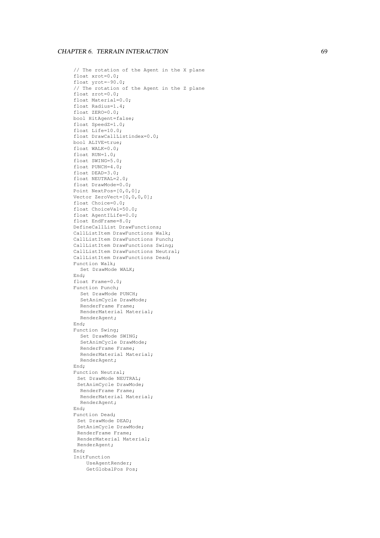```
// The rotation of the Agent in the
X plane
float xrot=0.0;
float yrot=-90.0;
// The rotation of the Agent in the
Z plane
float zrot=0.0;
float Material=0.0;
float Radius=1.4;
float ZERO=0.0;
bool HitAgent=false;
float SpeedZ=1.0;
float Life=10.0;
float DrawCallListindex=0.0;
bool ALIVE=true;
float WALK=0.0;
float RUN=1.0;
float SWING=5.0;
float PUNCH=4.0;
float DEAD=3.0;
float NEUTRAL=2.0;
float DrawMode=0.0;
Point NextPos=[0,0,0];
Vector ZeroVect=[0,0,0,0];
float Choice=0.0;
float ChoiceVal=50.0;
float AgentILife=0.0;
float EndFrame=8.0;
DefineCallList DrawFunctions;
CallListItem DrawFunctions Walk;
CallListItem DrawFunctions Punch;
CallListItem DrawFunctions Swing;
CallListItem DrawFunctions Neutral;
CallListItem DrawFunctions Dead;
Function Walk;
  Set DrawMode WALK;
End;
float Frame=0.0;
Function Punch;
  Set DrawMode PUNCH;
  SetAnimCycle DrawMode;
  RenderFrame Frame;
  RenderMaterial Material;
  RenderAgent;
End;
Function Swing;
  Set DrawMode SWING;
  SetAnimCycle DrawMode;
  RenderFrame Frame;
  RenderMaterial Material;
  RenderAgent;
End;
Function Neutral;
 Set DrawMode NEUTRAL;
 SetAnimCycle DrawMode;
  RenderFrame Frame;
  RenderMaterial Material;
  RenderAgent;
End;
Function Dead;
 Set DrawMode DEAD;
 SetAnimCycle DrawMode;
 RenderFrame Frame;
 RenderMaterial Material;
 RenderAgent;
End;
InitFunction
    UseAgentRender;
    GetGlobalPos Pos;
```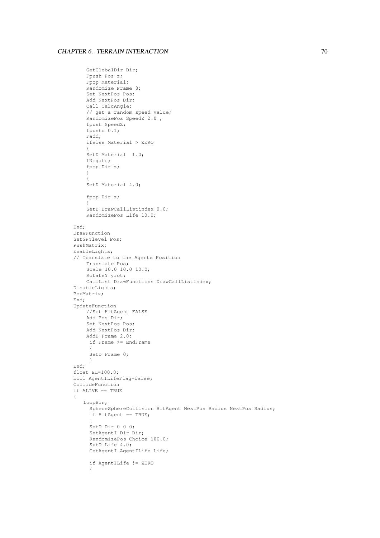```
GetGlobalDir Dir;
    Fpush Pos z;
    Fpop Material;
    Randomize Frame 8;
    Set NextPos Pos;
    Add NextPos Dir;
    Call CalcAngle;
    // get a random speed value;
    RandomizePos SpeedZ 2.0 ;
    fpush SpeedZ;
    fpushd 0.1;
    Fadd;
    ifelse Material > ZERO
    {
    SetD Material 1.0;
    fNegate;
    fpop Dir z;
    }
    {
    SetD Material 4.0;
    fpop Dir z;
    }
    SetD DrawCallListindex 0.0;
    RandomizePos Life 10.0;
End;
DrawFunction
SetGPYlevel Pos;
PushMatrix;
EnableLights;
// Translate to the Agents Position
    Translate Pos;
    Scale 10.0 10.0 10.0;
    RotateY yrot;
    CallList DrawFunctions DrawCallListindex;
DisableLights;
PopMatrix;
End;
UpdateFunction
    //Set HitAgent FALSE
    Add Pos Dir;
    Set NextPos Pos;
    Add NextPos Dir;
    AddD Frame 2.0;
     if Frame >= EndFrame
     {
     SetD Frame 0;
     }
End;
float EL=100.0;
bool AgentILifeFlag=false;
CollideFunction
if ALIVE == TRUE
{
   LoopBin;
     SphereSphereCollision HitAgent NextPos Radius NextPos Radius;
     if HitAgent == TRUE;
     {
     SetD Dir 0 0 0;
     SetAgentI Dir Dir;
     RandomizePos Choice 100.0;
     SubD Life 4.0;
     GetAgentI AgentILife Life;
     if AgentILife != ZERO
     {
```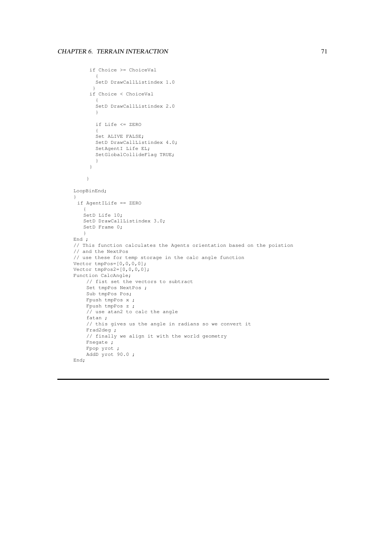```
if Choice >= ChoiceVal
      \left( \begin{array}{c} 1 \end{array} \right)SetD DrawCallListindex 1.0
       }
     if Choice < ChoiceVal
        {
        SetD DrawCallListindex 2.0
       }
       if Life <= ZERO
        {
        Set ALIVE FALSE;
       SetD DrawCallListindex 4.0;
       SetAgentI Life EL;
       SetGlobalCollideFlag TRUE;
       }
     }
    }
LoopBinEnd;
}
 if AgentILife == ZERO
    {
   SetD Life 10;
   SetD DrawCallListindex 3.0;
   SetD Frame 0;
   }
End ;
// This function calculates the Agents orientation based on the poistion
// and the NextPos
// use these for temp storage in the calc angle function
Vector tmpPos=[0,0,0,0];
Vector tmpPos2=[0,0,0,0];
Function CalcAngle;
    // fist set the vectors to subtract
    Set tmpPos NextPos ;
    Sub tmpPos Pos;
    Fpush tmpPos x ;
    Fpush tmpPos z ;
    // use atan2 to calc the angle
    fatan ;
    // this gives us the angle in radians so we convert it
    Frad2deg ;
    // finally we align it with the world geometry
    Fnegate ;
    Fpop yrot ;
    AddD yrot 90.0 ;
End;
```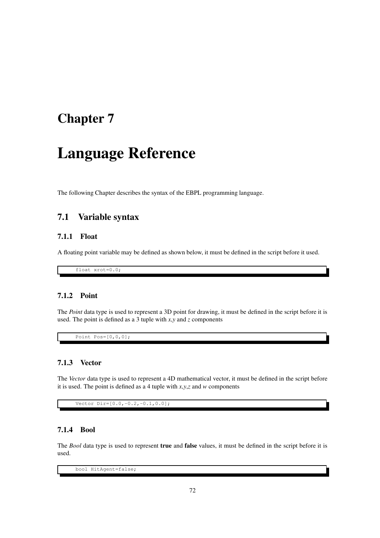# **Chapter 7**

# **Language Reference**

The following Chapter describes the syntax of the EBPL programming language.

# **7.1 Variable syntax**

## **7.1.1 Float**

A floating point variable may be defined as shown below, it must be defined in the script before it used.

float xrot=0.0;

#### **7.1.2 Point**

The *Point* data type is used to represent a 3D point for drawing, it must be defined in the script before it is used. The point is defined as a 3 tuple with *x*,*y* and *z* components

Point Pos=[0,0,0];

## **7.1.3 Vector**

The *Vector* data type is used to represent a 4D mathematical vector, it must be defined in the script before it is used. The point is defined as a 4 tuple with *x*,*y*,*z* and *w* components

Vector Dir=[0.0,-0.2,-0.1,0.0];

## **7.1.4 Bool**

The *Bool* data type is used to represent **true** and **false** values, it must be defined in the script before it is used.

bool HitAgent=false;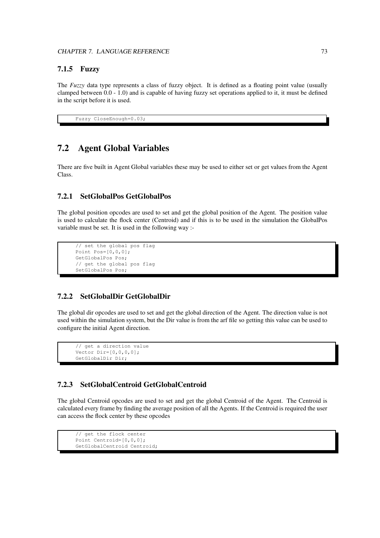## **7.1.5 Fuzzy**

The *Fuzzy* data type represents a class of fuzzy object. It is defined as a floating point value (usually clamped between 0.0 - 1.0) and is capable of having fuzzy set operations applied to it, it must be defined in the script before it is used.

```
Fuzzy CloseEnough=0.03;
```
# **7.2 Agent Global Variables**

There are five built in Agent Global variables these may be used to either set or get values from the Agent Class.

## **7.2.1 SetGlobalPos GetGlobalPos**

The global position opcodes are used to set and get the global position of the Agent. The position value is used to calculate the flock center (Centroid) and if this is to be used in the simulation the GlobalPos variable must be set. It is used in the following way :-

```
// set the global pos flag
Point Pos=[0,0,0];
GetGlobalPos Pos;
// get the global pos flag
SetGlobalPos Pos;
```
## **7.2.2 SetGlobalDir GetGlobalDir**

The global dir opcodes are used to set and get the global direction of the Agent. The direction value is not used within the simulation system, but the Dir value is from the arf file so getting this value can be used to configure the initial Agent direction.

```
// get a direction value
Vector Dir=[0, 0, 0, 0];
GetGlobalDir Dir;
```
## **7.2.3 SetGlobalCentroid GetGlobalCentroid**

The global Centroid opcodes are used to set and get the global Centroid of the Agent. The Centroid is calculated every frame by finding the average position of all the Agents. If the Centroid is required the user can access the flock center by these opcodes

```
// get the flock center
Point Centroid=[0,0,0];
GetGlobalCentroid Centroid;
```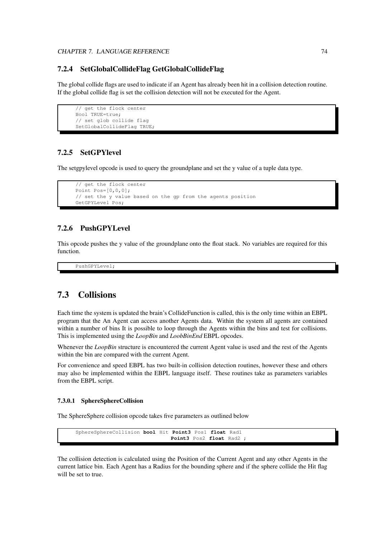### **7.2.4 SetGlobalCollideFlag GetGlobalCollideFlag**

The global collide flags are used to indicate if an Agent has already been hit in a collision detection routine. If the global collide flag is set the collision detection will not be executed for the Agent.

```
// get the flock center
Bool TRUE=true;
// set glob collide flag
SetGlobalCollideFlag TRUE;
```
## **7.2.5 SetGPYlevel**

The setgpylevel opcode is used to query the groundplane and set the y value of a tuple data type.

```
// get the flock center
Point Pos=[0,0,0];
// set the y value based on the gp from the agents position
GetGPYLevel Pos;
```
## **7.2.6 PushGPYLevel**

This opcode pushes the y value of the groundplane onto the float stack. No variables are required for this function.

PushGPYLevel;

# **7.3 Collisions**

Each time the system is updated the brain's CollideFunction is called, this is the only time within an EBPL program that the An Agent can access another Agents data. Within the system all agents are contained within a number of bins It is possible to loop through the Agents within the bins and test for collisions. This is implemented using the *LoopBin* and *LoobBinEnd* EBPL opcodes.

Whenever the *LoopBin* structure is encountered the current Agent value is used and the rest of the Agents within the bin are compared with the current Agent.

For convenience and speed EBPL has two built-in collision detection routines, however these and others may also be implemented within the EBPL language itself. These routines take as parameters variables from the EBPL script.

#### **7.3.0.1 SphereSphereCollision**

The SphereSphere collision opcode takes five parameters as outlined below

```
SphereSphereCollision bool Hit Point3 Pos1 float Rad1
                              Point3 Pos2 float Rad2 ;
```
The collision detection is calculated using the Position of the Current Agent and any other Agents in the current lattice bin. Each Agent has a Radius for the bounding sphere and if the sphere collide the Hit flag will be set to true.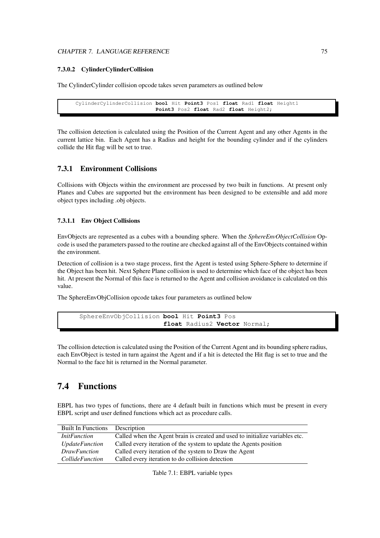#### CHAPTER 7. LANGUAGE REFERENCE 75

#### **7.3.0.2 CylinderCylinderCollision**

The CylinderCylinder collision opcode takes seven parameters as outlined below

```
CylinderCylinderCollision bool Hit Point3 Pos1 float Rad1 float Height1
                         Point3 Pos2 float Rad2 float Height2;
```
The collision detection is calculated using the Position of the Current Agent and any other Agents in the current lattice bin. Each Agent has a Radius and height for the bounding cylinder and if the cylinders collide the Hit flag will be set to true.

## **7.3.1 Environment Collisions**

Collisions with Objects within the environment are processed by two built in functions. At present only Planes and Cubes are supported but the environment has been designed to be extensible and add more object types including .obj objects.

#### **7.3.1.1 Env Object Collisions**

EnvObjects are represented as a cubes with a bounding sphere. When the *SphereEnvObjectCollision* Opcode is used the parameters passed to the routine are checked against all of the EnvObjects contained within the environment.

Detection of collision is a two stage process, first the Agent is tested using Sphere-Sphere to determine if the Object has been hit. Next Sphere Plane collision is used to determine which face of the object has been hit. At present the Normal of this face is returned to the Agent and collision avoidance is calculated on this value.

The SphereEnvObjCollision opcode takes four parameters as outlined below

```
SphereEnvObjCollision bool Hit Point3 Pos
                      float Radius2 Vector Normal;
```
The collision detection is calculated using the Position of the Current Agent and its bounding sphere radius, each EnvObject is tested in turn against the Agent and if a hit is detected the Hit flag is set to true and the Normal to the face hit is returned in the Normal parameter.

# **7.4 Functions**

EBPL has two types of functions, there are 4 default built in functions which must be present in every EBPL script and user defined functions which act as procedure calls.

| <b>Built In Functions</b> | Description                                                                  |
|---------------------------|------------------------------------------------------------------------------|
| <i>InitFunction</i>       | Called when the Agent brain is created and used to initialize variables etc. |
| <i>UpdateFunction</i>     | Called every iteration of the system to update the Agents position           |
| <i>DrawFunction</i>       | Called every iteration of the system to Draw the Agent                       |
| <i>CollideFunction</i>    | Called every iteration to do collision detection                             |

Table 7.1: EBPL variable types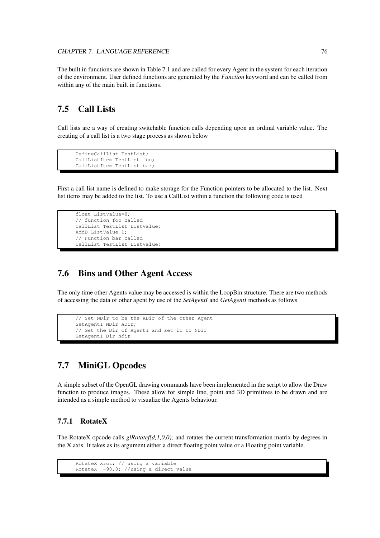The built in functions are shown in Table 7.1 and are called for every Agent in the system for each iteration of the environment. User defined functions are generated by the *Function* keyword and can be called from within any of the main built in functions.

# **7.5 Call Lists**

Call lists are a way of creating switchable function calls depending upon an ordinal variable value. The creating of a call list is a two stage process as shown below

```
DefineCallList TestList;
CallListItem TestList foo;
CallListItem TestList bar;
```
First a call list name is defined to make storage for the Function pointers to be allocated to the list. Next list items may be added to the list. To use a CallList within a function the following code is used

```
float ListValue=0;
// function foo called
CallList TestList ListValue;
AddD ListValue 1;
// Function bar called
CallList TestList ListValue;
```
## **7.6 Bins and Other Agent Access**

The only time other Agents value may be accessed is within the LoopBin structure. There are two methods of accessing the data of other agent by use of the *SetAgentI* and *GetAgentI* methods as follows

```
// Set NDir to be the ADir of the other Agent
SetAgentI NDir ADir;
// Get the Dir of AgentI and set it to NDir
GetAgentI Dir Ndir
```
# **7.7 MiniGL Opcodes**

A simple subset of the OpenGL drawing commands have been implemented in the script to allow the Draw function to produce images. These allow for simple line, point and 3D primitives to be drawn and are intended as a simple method to visualize the Agents behaviour.

## **7.7.1 RotateX**

The RotateX opcode calls *glRotatef(d,1,0,0);* and rotates the current transformation matrix by degrees in the X axis. It takes as its argument either a direct floating point value or a Floating point variable.

```
RotateX xrot; // using a variable
RotateX -90.0; //using a direct value
```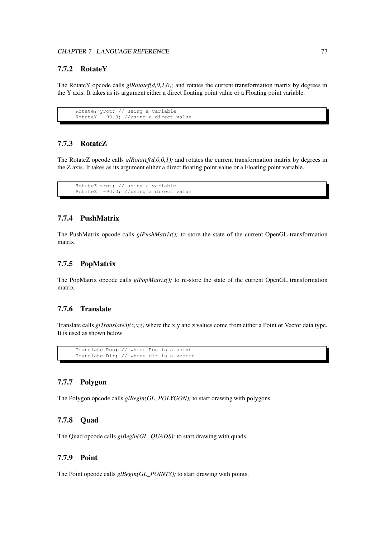## **7.7.2 RotateY**

The RotateY opcode calls *glRotatef(d,0,1,0);* and rotates the current transformation matrix by degrees in the Y axis. It takes as its argument either a direct floating point value or a Floating point variable.

```
RotateY yrot; // using a variable
RotateY -90.0; //using a direct value
```
## **7.7.3 RotateZ**

The RotateZ opcode calls *glRotatef(d,0,0,1);* and rotates the current transformation matrix by degrees in the Z axis. It takes as its argument either a direct floating point value or a Floating point variable.

```
RotateZ zrot; // using a variable<br>RotateZ -90.0; //using a direct
             -90.0; //using a direct value
```
#### **7.7.4 PushMatrix**

The PushMatrix opcode calls *glPushMatrix();* to store the state of the current OpenGL transformation matrix.

#### **7.7.5 PopMatrix**

The PopMatrix opcode calls *glPopMatrix();* to re-store the state of the current OpenGL transformation matrix.

#### **7.7.6 Translate**

Translate calls  $g[Translate3f(x, y, z)$  where the x,y and z values come from either a Point or Vector data type. It is used as shown below

Translate Pos; // where Pos is a point Translate Dir; // where dir is a vector

## **7.7.7 Polygon**

The Polygon opcode calls *glBegin(GL\_POLYGON);* to start drawing with polygons

#### **7.7.8 Quad**

The Quad opcode calls  $g_l \text{Begin}(GL\_QUADS)$ ; to start drawing with quads.

### **7.7.9 Point**

The Point opcode calls *glBegin(GL\_POINTS)*; to start drawing with points.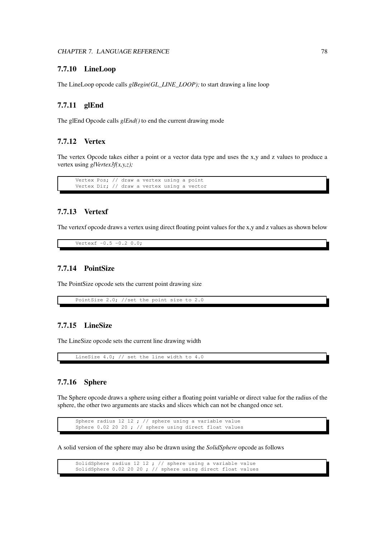#### **7.7.10 LineLoop**

The LineLoop opcode calls *glBegin(GL\_LINE\_LOOP);* to start drawing a line loop

### **7.7.11 glEnd**

The glEnd Opcode calls *glEnd()* to end the current drawing mode

#### **7.7.12 Vertex**

The vertex Opcode takes either a point or a vector data type and uses the x,y and z values to produce a vertex using *glVertex3f(x,y,z);*

Vertex Pos; // draw a vertex using a point Vertex Dir; // draw a vertex using a vector

### **7.7.13 Vertexf**

The vertexf opcode draws a vertex using direct floating point values for the x,y and z values as shown below

Vertexf  $-0.5 -0.2 0.0$ ;

## **7.7.14 PointSize**

The PointSize opcode sets the current point drawing size

PointSize 2.0; //set the point size to 2.0

## **7.7.15 LineSize**

The LineSize opcode sets the current line drawing width

LineSize 4.0; // set the line width to 4.0

## **7.7.16 Sphere**

The Sphere opcode draws a sphere using either a floating point variable or direct value for the radius of the sphere, the other two arguments are stacks and slices which can not be changed once set.

Sphere radius 12 12 ; // sphere using a variable value Sphere 0.02 20 20 ; // sphere using direct float values

A solid version of the sphere may also be drawn using the *SolidSphere* opcode as follows

SolidSphere radius 12 12 ; // sphere using a variable value SolidSphere 0.02 20 20 ; // sphere using direct float values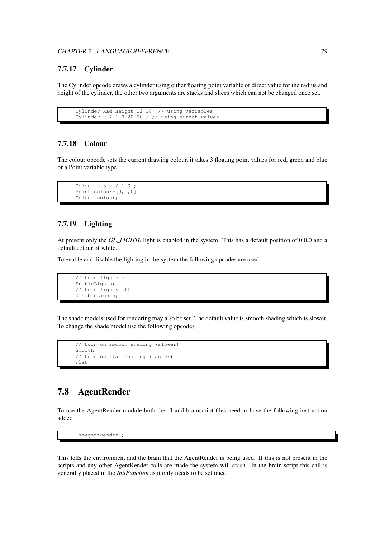### **7.7.17 Cylinder**

The Cylinder opcode draws a cylinder using either floating point variable of direct value for the radius and height of the cylinder, the other two arguments are stacks and slices which can not be changed once set.

```
Cylinder Rad Height 12 14; // using variables
Cylinder 0.4 1.0 20 20 ; // using direct values
```
## **7.7.18 Colour**

The colour opcode sets the current drawing colour, it takes 3 floating point values for red, green and blue or a Point variable type

```
Colour 0.3 0.2 1.0 ;
Point colour=[0,1,0]
Colour colour;
```
## **7.7.19 Lighting**

At present only the *GL\_LIGHT0* light is enabled in the system. This has a default position of 0,0,0 and a default colour of white.

To enable and disable the lighting in the system the following opcodes are used.

```
// turn lights on
EnableLights;
// turn lights off
DisableLights;
```
The shade models used for rendering may also be set. The default value is smooth shading which is slower. To change the shade model use the following opcodes

```
// turn on smooth shading (slower)
Smooth;
// turn on flat shading (faster)
Flat;
```
# **7.8 AgentRender**

To use the AgentRender module both the .fl and brainscript files need to have the following instruction added

UseAgentRender ;

This tells the environment and the brain that the AgentRender is being used. If this is not present in the scripts and any other AgentRender calls are made the system will crash. In the brain script this call is generally placed in the *InitFunction* as it only needs to be set once.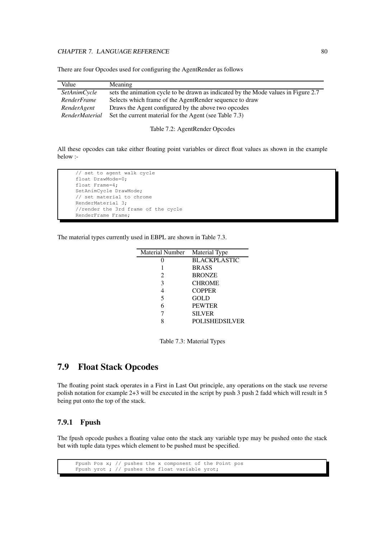#### CHAPTER 7. LANGUAGE REFERENCE 80

There are four Opcodes used for configuring the AgentRender as follows

| Meaning                                                                            |
|------------------------------------------------------------------------------------|
| sets the animation cycle to be drawn as indicated by the Mode values in Figure 2.7 |
| Selects which frame of the AgentRender sequence to draw                            |
| Draws the Agent configured by the above two opcodes                                |
| Set the current material for the Agent (see Table 7.3)                             |
|                                                                                    |

Table 7.2: AgentRender Opcodes

All these opcodes can take either floating point variables or direct float values as shown in the example below :-

// set to agent walk cycle float DrawMode=0; float Frame=4; SetAnimCycle DrawMode; // set material to chrome RenderMaterial 3; //render the 3rd frame of the cycle RenderFrame Frame;

The material types currently used in EBPL are shown in Table 7.3.

| <b>Material Number</b>      | Material Type         |
|-----------------------------|-----------------------|
|                             | <b>BLACKPLASTIC</b>   |
|                             | <b>BRASS</b>          |
| $\mathcal{D}_{\mathcal{L}}$ | <b>BRONZE</b>         |
| 3                           | <b>CHROME</b>         |
| 4                           | <b>COPPER</b>         |
| 5                           | GOLD                  |
| 6                           | <b>PEWTER</b>         |
|                             | <b>SILVER</b>         |
|                             | <b>POLISHEDSILVER</b> |
|                             |                       |

Table 7.3: Material Types

## **7.9 Float Stack Opcodes**

The floating point stack operates in a First in Last Out principle, any operations on the stack use reverse polish notation for example 2+3 will be executed in the script by push 3 push 2 fadd which will result in 5 being put onto the top of the stack.

### **7.9.1 Fpush**

The fpush opcode pushes a floating value onto the stack any variable type may be pushed onto the stack but with tuple data types which element to be pushed must be specified.

```
Fpush Pos x; // pushes the x component of the Point pos
Fpush yrot ; // pushes the float variable yrot;
```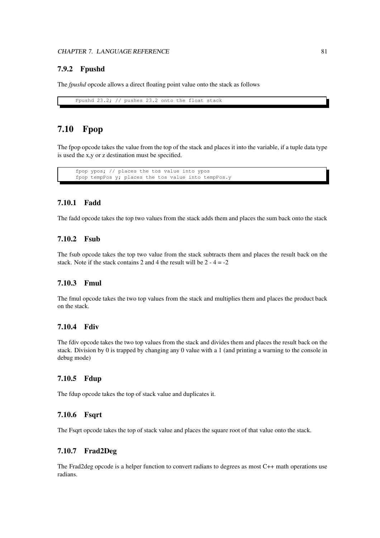## **7.9.2 Fpushd**

The *fpushd* opcode allows a direct floating point value onto the stack as follows

Fpushd 23.2; // pushes 23.2 onto the float stack

# **7.10 Fpop**

The fpop opcode takes the value from the top of the stack and places it into the variable, if a tuple data type is used the x,y or z destination must be specified.

fpop ypos; // places the tos value into ypos fpop tempPos y; places the tos value into tempPos.y

#### **7.10.1 Fadd**

The fadd opcode takes the top two values from the stack adds them and places the sum back onto the stack

### **7.10.2 Fsub**

The fsub opcode takes the top two value from the stack subtracts them and places the result back on the stack. Note if the stack contains 2 and 4 the result will be  $2 - 4 = -2$ 

## **7.10.3 Fmul**

The fmul opcode takes the two top values from the stack and multiplies them and places the product back on the stack.

#### **7.10.4 Fdiv**

The fdiv opcode takes the two top values from the stack and divides them and places the result back on the stack. Division by 0 is trapped by changing any 0 value with a 1 (and printing a warning to the console in debug mode)

#### **7.10.5 Fdup**

The fdup opcode takes the top of stack value and duplicates it.

#### **7.10.6 Fsqrt**

The Fsqrt opcode takes the top of stack value and places the square root of that value onto the stack.

## **7.10.7 Frad2Deg**

The Frad2deg opcode is a helper function to convert radians to degrees as most C++ math operations use radians.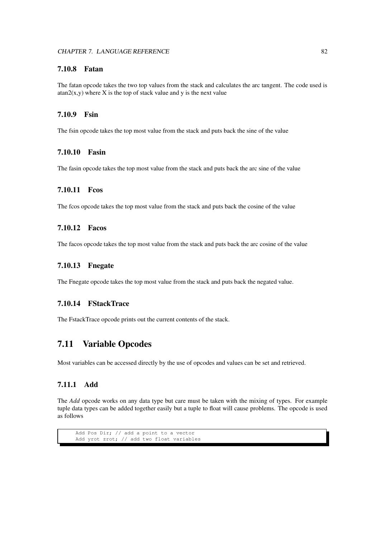## **7.10.8 Fatan**

The fatan opcode takes the two top values from the stack and calculates the arc tangent. The code used is  $\arctan(2(x,y)$  where X is the top of stack value and y is the next value

## **7.10.9 Fsin**

The fsin opcode takes the top most value from the stack and puts back the sine of the value

## **7.10.10 Fasin**

The fasin opcode takes the top most value from the stack and puts back the arc sine of the value

### **7.10.11 Fcos**

The fcos opcode takes the top most value from the stack and puts back the cosine of the value

### **7.10.12 Facos**

The facos opcode takes the top most value from the stack and puts back the arc cosine of the value

## **7.10.13 Fnegate**

The Fnegate opcode takes the top most value from the stack and puts back the negated value.

#### **7.10.14 FStackTrace**

The FstackTrace opcode prints out the current contents of the stack.

## **7.11 Variable Opcodes**

Most variables can be accessed directly by the use of opcodes and values can be set and retrieved.

## **7.11.1 Add**

The *Add* opcode works on any data type but care must be taken with the mixing of types. For example tuple data types can be added together easily but a tuple to float will cause problems. The opcode is used as follows

```
Add Pos Dir; // add a point to a vector
Add yrot zrot; // add two float variables
```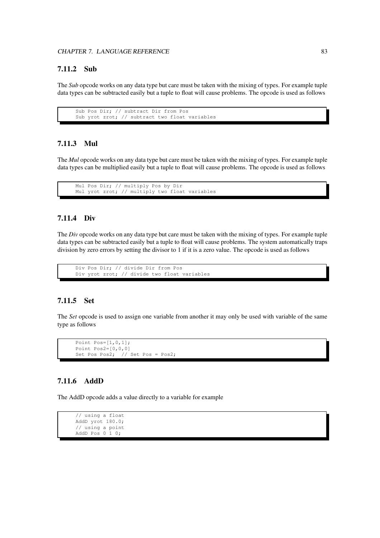## **7.11.2 Sub**

The *Sub* opcode works on any data type but care must be taken with the mixing of types. For example tuple data types can be subtracted easily but a tuple to float will cause problems. The opcode is used as follows

```
Sub Pos Dir; // subtract Dir from Pos
Sub yrot zrot; // subtract two float variables
```
## **7.11.3 Mul**

The *Mul* opcode works on any data type but care must be taken with the mixing of types. For example tuple data types can be multiplied easily but a tuple to float will cause problems. The opcode is used as follows

```
Mul Pos Dir; // multiply Pos by Dir
Mul yrot zrot; // multiply two float variables
```
#### **7.11.4 Div**

The *Div* opcode works on any data type but care must be taken with the mixing of types. For example tuple data types can be subtracted easily but a tuple to float will cause problems. The system automatically traps division by zero errors by setting the divisor to 1 if it is a zero value. The opcode is used as follows

```
Div Pos Dir; // divide Dir from Pos
Div yrot zrot; // divide two float variables
```
## **7.11.5 Set**

The *Set* opcode is used to assign one variable from another it may only be used with variable of the same type as follows

```
Point Pos=[1,0,1];
Point Pos2=[0,0,0]
Set Pos Pos2; // Set Pos = Pos2;
```
## **7.11.6 AddD**

The AddD opcode adds a value directly to a variable for example

```
// using a float
AddD yrot 180.0;
// using a point
AddD Pos 0 1 0;
```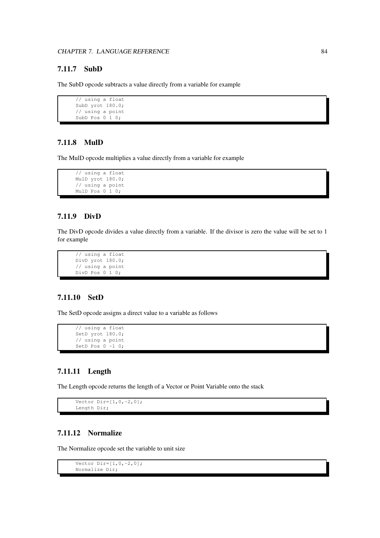## **7.11.7 SubD**

The SubD opcode subtracts a value directly from a variable for example

```
// using a float
SubD yrot 180.0;
// using a point
SubD Pos 0 1 0;
```
### **7.11.8 MulD**

The MulD opcode multiplies a value directly from a variable for example

```
// using a float
MulD yrot 180.0;
// using a point
MulD Pos 0 1 0;
```
### **7.11.9 DivD**

The DivD opcode divides a value directly from a variable. If the divisor is zero the value will be set to 1 for example

```
// using a float
DivD yrot 180.0;
// using a point
DivD Pos 0 1 0;
```
## **7.11.10 SetD**

The SetD opcode assigns a direct value to a variable as follows

```
// using a float
SetD yrot 180.0;
// using a point
SetD Pos 0 -1 0;
```
## **7.11.11 Length**

The Length opcode returns the length of a Vector or Point Variable onto the stack

```
Vector Dir=[1, 0, -2, 0];
Length Dir;
```
## **7.11.12 Normalize**

The Normalize opcode set the variable to unit size

```
Vector Dir=[1, 0, -2, 0];
Normalize Dir;
```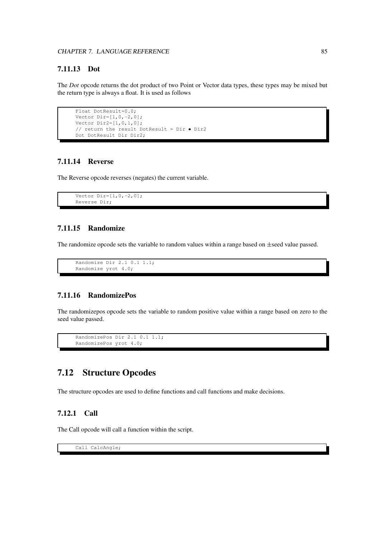## **7.11.13 Dot**

The *Dot* opcode returns the dot product of two Point or Vector data types, these types may be mixed but the return type is always a float. It is used as follows

```
Float DotResult=0.0;
Vector Dir=[1, 0, -2, 0];
Vector Dir2=[1,0,1,0];
// return the result DotResult = Dir \bullet Dir2
Dot DotResult Dir Dir2;
```
### **7.11.14 Reverse**

The Reverse opcode reverses (negates) the current variable.

```
Vector Dir=[1, 0, -2, 0];
Reverse Dir;
```
## **7.11.15 Randomize**

The randomize opcode sets the variable to random values within a range based on  $\pm$ seed value passed.

```
Randomize Dir 2.1 0.1 1.1;
Randomize yrot 4.0;
```
#### **7.11.16 RandomizePos**

The randomizepos opcode sets the variable to random positive value within a range based on zero to the seed value passed.

```
RandomizePos Dir 2.1 0.1 1.1;
RandomizePos yrot 4.0;
```
# **7.12 Structure Opcodes**

The structure opcodes are used to define functions and call functions and make decisions.

## **7.12.1 Call**

The Call opcode will call a function within the script.

Call CalcAngle;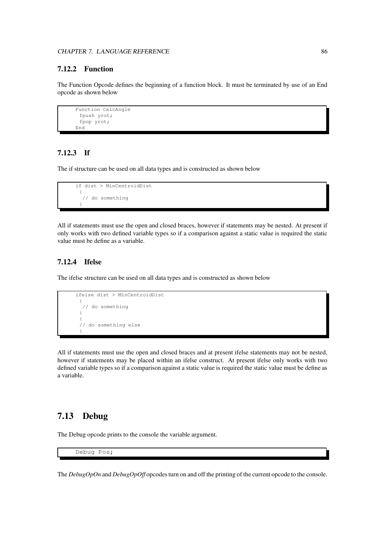## **7.12.2 Function**

The Function Opcode defines the beginning of a function block. It must be terminated by use of an End opcode as shown below

```
Function CalcAngle
 fpush yrot;
 fpop yrot;
End
```
## **7.12.3 If**

The if structure can be used on all data types and is constructed as shown below

```
if dist > MinCentroidDist
 {
  // do something
 }
```
All if statements must use the open and closed braces, however if statements may be nested. At present if only works with two defined variable types so if a comparison against a static value is required the static value must be define as a variable.

## **7.12.4 Ifelse**

The ifelse structure can be used on all data types and is constructed as shown below

```
ifelse dist > MinCentroidDist
 {
  // do something
 }
 {
 // do something else
 }
```
All if statements must use the open and closed braces and at present ifelse statements may not be nested, however if statements may be placed within an ifelse construct. At present ifelse only works with two defined variable types so if a comparison against a static value is required the static value must be define as a variable.

## **7.13 Debug**

The Debug opcode prints to the console the variable argument.

Debug Pos;

The *DebugOpOn* and *DebugOpOff* opcodes turn on and off the printing of the current opcode to the console.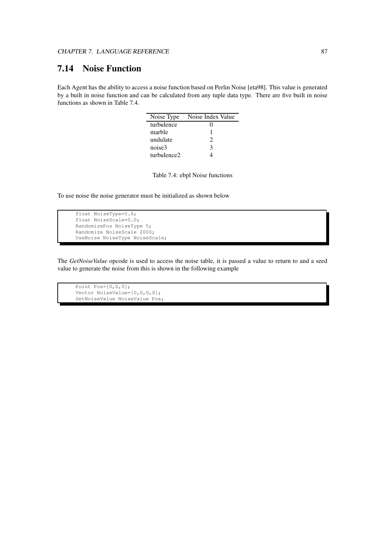# **7.14 Noise Function**

Each Agent has the ability to access a noise function based on Perlin Noise [eta98]. This value is generated by a built in noise function and can be calculated from any tuple data type. There are five built in noise functions as shown in Table 7.4.

| Noise Type  | Noise Index Value |
|-------------|-------------------|
| turbulence  | 0                 |
| marble      |                   |
| undulate    | 2                 |
| noise3      | 3                 |
| turbulence2 |                   |

Table 7.4: ebpl Noise functions

To use noise the noise generator must be initialized as shown below

```
float NoiseType=5.0;
float NoiseScale=0.0;
RandomizePos NoiseType 5;
Randomize NoiseScale 2000;
UseNoise NoiseType NoiseScale;
```
The *GetNoiseValue* opcode is used to access the noise table, it is passed a value to return to and a seed value to generate the noise from this is shown in the following example

Point  $Pos=[0,0,0]$ ; Vector NoiseValue=[0,0,0,0]; GetNoiseValue NoiseValue Pos;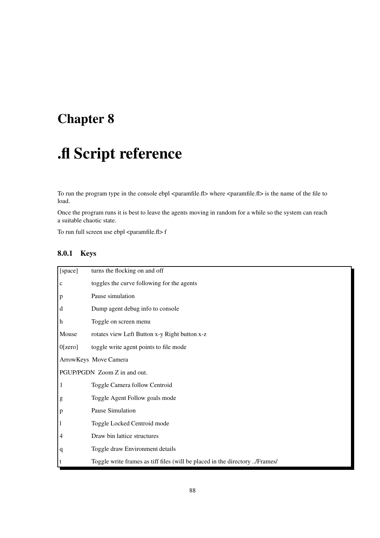# **Chapter 8**

# **.fl Script reference**

To run the program type in the console ebpl <paramfile.fl> where <paramfile.fl> is the name of the file to load.

Once the program runs it is best to leave the agents moving in random for a while so the system can reach a suitable chaotic state.

To run full screen use ebpl <paramfile.fl> f

## **8.0.1 Keys**

| [space]                      | turns the flocking on and off                                               |  |
|------------------------------|-----------------------------------------------------------------------------|--|
| $\mathbf c$                  | toggles the curve following for the agents                                  |  |
| $\mathbf{p}$                 | Pause simulation                                                            |  |
| d                            | Dump agent debug info to console                                            |  |
| h                            | Toggle on screen menu                                                       |  |
| Mouse                        | rotates view Left Button x-y Right button x-z                               |  |
| 0[zero]                      | toggle write agent points to file mode                                      |  |
|                              | ArrowKeys Move Camera                                                       |  |
| PGUP/PGDN Zoom Z in and out. |                                                                             |  |
| 1                            | Toggle Camera follow Centroid                                               |  |
| g                            | Toggle Agent Follow goals mode                                              |  |
| $\mathbf{p}$                 | Pause Simulation                                                            |  |
| $\mathbf{1}$                 | Toggle Locked Centroid mode                                                 |  |
| 4                            | Draw bin lattice structures                                                 |  |
| $\mathbf q$                  | Toggle draw Environment details                                             |  |
| t                            | Toggle write frames as tiff files (will be placed in the directory /Frames/ |  |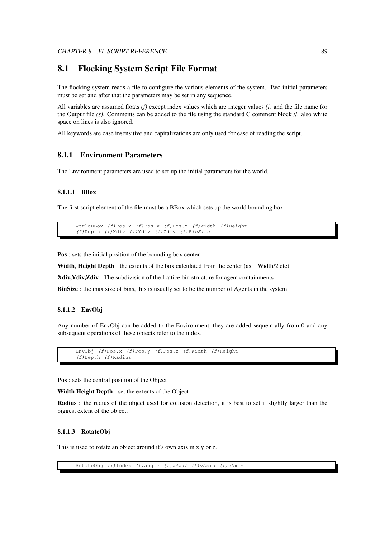## **8.1 Flocking System Script File Format**

The flocking system reads a file to configure the various elements of the system. Two initial parameters must be set and after that the parameters may be set in any sequence.

All variables are assumed floats *(f)* except index values which are integer values *(i)* and the file name for the Output file *(s)*. Comments can be added to the file using the standard C comment block //. also white space on lines is also ignored.

All keywords are case insensitive and capitalizations are only used for ease of reading the script.

#### **8.1.1 Environment Parameters**

The Environment parameters are used to set up the initial parameters for the world.

#### **8.1.1.1 BBox**

The first script element of the file must be a BBox which sets up the world bounding box.

```
WorldBBox (f)Pos.x (f)Pos.y (f)Pos.z (f)Width (f)Height
(f)Depth (i)Xdiv (i)Ydiv (i)Zdiv (i)BinSize
```
**Pos** : sets the initial position of the bounding box center

**Width, Height Depth** : the extents of the box calculated from the center (as  $\pm$ Width/2 etc)

**Xdiv,Ydiv,Zdiv** : The subdivision of the Lattice bin structure for agent containments

**BinSize** : the max size of bins, this is usually set to be the number of Agents in the system

#### **8.1.1.2 EnvObj**

Any number of EnvObj can be added to the Environment, they are added sequentially from 0 and any subsequent operations of these objects refer to the index.

```
EnvObj (f)Pos.x (f)Pos.y (f)Pos.z (f)Width (f)Height
(f)Depth (f)Radius
```
**Pos** : sets the central position of the Object

**Width Height Depth** : set the extents of the Object

**Radius** : the radius of the object used for collision detection, it is best to set it slightly larger than the biggest extent of the object.

#### **8.1.1.3 RotateObj**

This is used to rotate an object around it's own axis in x,y or z.

RotateObj (i)Index (f)angle (f)xAxis (f)yAxis (f)zAxis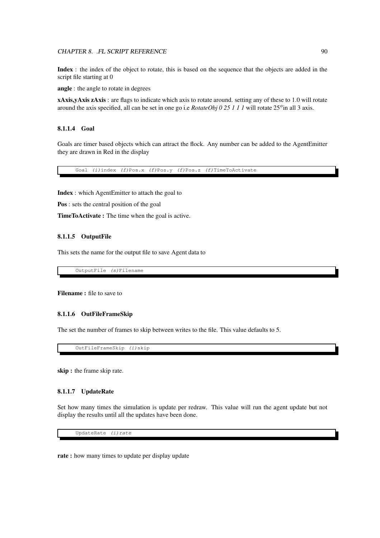#### CHAPTER 8. .FL SCRIPT REFERENCE 90

**Index** : the index of the object to rotate, this is based on the sequence that the objects are added in the script file starting at 0

**angle** : the angle to rotate in degrees

**xAxis,yAxis zAxis** : are flags to indicate which axis to rotate around. setting any of these to 1.0 will rotate around the axis specified, all can be set in one go i.e *RotateObj 0 25 1 1 1* will rotate 25 <sup>0</sup> in all 3 axis.

#### **8.1.1.4 Goal**

Goals are timer based objects which can attract the flock. Any number can be added to the AgentEmitter they are drawn in Red in the display

Goal (i)index (f)Pos.x (f)Pos.y (f)Pos.z (f)TimeToActivate

**Index** : which AgentEmitter to attach the goal to

**Pos** : sets the central position of the goal

**TimeToActivate :** The time when the goal is active.

#### **8.1.1.5 OutputFile**

This sets the name for the output file to save Agent data to

OutputFile (s)Filename

**Filename :** file to save to

#### **8.1.1.6 OutFileFrameSkip**

The set the number of frames to skip between writes to the file. This value defaults to 5.

OutFileFrameSkip (i)skip

**skip :** the frame skip rate.

#### **8.1.1.7 UpdateRate**

Set how many times the simulation is update per redraw. This value will run the agent update but not display the results until all the updates have been done.

UpdateRate (i)rate

**rate :** how many times to update per display update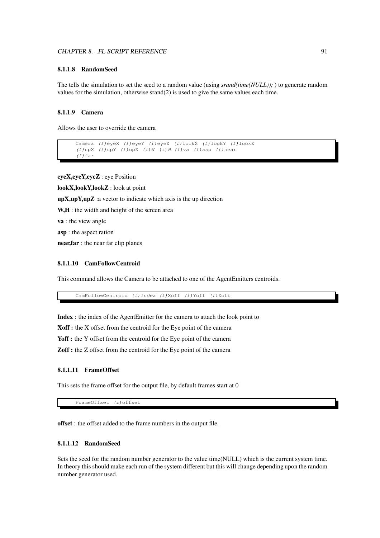#### CHAPTER 8. .FL SCRIPT REFERENCE 91

#### **8.1.1.8 RandomSeed**

The tells the simulation to set the seed to a random value (using *srand(time(NULL));* ) to generate random values for the simulation, otherwise srand(2) is used to give the same values each time.

#### **8.1.1.9 Camera**

Allows the user to override the camera

```
Camera (f)eyeX (f)eyeY (f)eyeZ (f)lookX (f)lookY (f)lookZ
(f)upX (f)upY (f)upZ (i)W (i)H (f)va (f)asp (f)near
(f)far
```
**eyeX,eyeY,eyeZ** : eye Position

**lookX,lookY,lookZ** : look at point

**upX,upY,upZ** :a vector to indicate which axis is the up direction

**W,H** : the width and height of the screen area

**va** : the view angle

**asp** : the aspect ration

**near,far** : the near far clip planes

#### **8.1.1.10 CamFollowCentroid**

This command allows the Camera to be attached to one of the AgentEmitters centroids.

CamFollowCentroid (i)index (f)Xoff (f)Yoff (f)Zoff

**Index** : the index of the AgentEmitter for the camera to attach the look point to

**Xoff :** the X offset from the centroid for the Eye point of the camera

Yoff : the Y offset from the centroid for the Eye point of the camera

**Zoff :** the Z offset from the centroid for the Eye point of the camera

#### **8.1.1.11 FrameOffset**

This sets the frame offset for the output file, by default frames start at 0

FrameOffset (i)offset

**offset** : the offset added to the frame numbers in the output file.

#### **8.1.1.12 RandomSeed**

Sets the seed for the random number generator to the value time(NULL) which is the current system time. In theory this should make each run of the system different but this will change depending upon the random number generator used.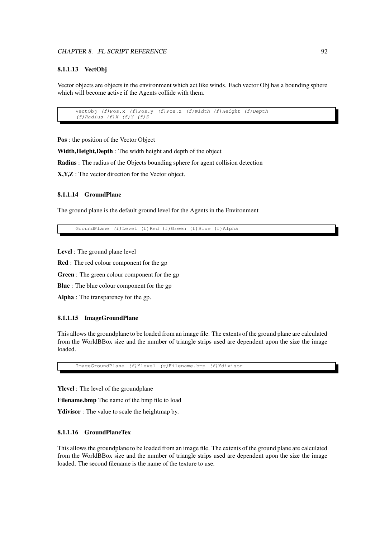#### **8.1.1.13 VectObj**

Vector objects are objects in the environment which act like winds. Each vector Obj has a bounding sphere which will become active if the Agents collide with them.

```
VectObj (f)Pos.x (f)Pos.y (f)Pos.z (f)Width (f)Height (f)Depth
(f)Radius (f)X (f)Y (f)Z
```
**Pos** : the position of the Vector Object

**Width,Height,Depth** : The width height and depth of the object

**Radius** : The radius of the Objects bounding sphere for agent collision detection

**X,Y,Z** : The vector direction for the Vector object.

#### **8.1.1.14 GroundPlane**

The ground plane is the default ground level for the Agents in the Environment

GroundPlane (f)Level (f)Red (f)Green (f)Blue (f)Alpha

**Level** : The ground plane level

**Red** : The red colour component for the gp

**Green** : The green colour component for the gp

**Blue** : The blue colour component for the gp

**Alpha** : The transparency for the gp.

#### **8.1.1.15 ImageGroundPlane**

This allows the groundplane to be loaded from an image file. The extents of the ground plane are calculated from the WorldBBox size and the number of triangle strips used are dependent upon the size the image loaded.

ImageGroundPlane (f)Ylevel (s)Filename.bmp (f)Ydivisor

**Ylevel** : The level of the groundplane

**Filename.bmp** The name of the bmp file to load

**Ydivisor** : The value to scale the heightmap by.

#### **8.1.1.16 GroundPlaneTex**

This allows the groundplane to be loaded from an image file. The extents of the ground plane are calculated from the WorldBBox size and the number of triangle strips used are dependent upon the size the image loaded. The second filename is the name of the texture to use.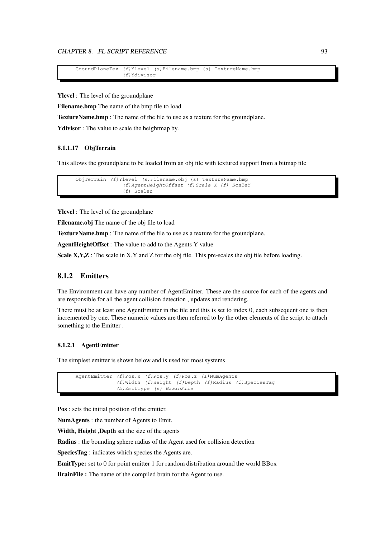#### CHAPTER 8. .FL SCRIPT REFERENCE 93

```
GroundPlaneTex (f)Ylevel (s)Filename.bmp (s) TextureName.bmp
               (f)Ydivisor
```
**Ylevel** : The level of the groundplane

**Filename.bmp** The name of the bmp file to load

**TextureName.bmp** : The name of the file to use as a texture for the groundplane.

**Ydivisor** : The value to scale the heightmap by.

#### **8.1.1.17 ObjTerrain**

This allows the groundplane to be loaded from an obj file with textured support from a bitmap file

```
ObjTerrain (f)Ylevel (s)Filename.obj (s) TextureName.bmp
               (f)AgentHeightOffset (f)Scale X (f) ScaleY
               (f) ScaleZ
```
**Ylevel** : The level of the groundplane

**Filename.obj** The name of the obj file to load

**TextureName.bmp** : The name of the file to use as a texture for the groundplane.

**AgentHeightOffset** : The value to add to the Agents Y value

**Scale X, Y, Z**: The scale in X, Y and Z for the obj file. This pre-scales the obj file before loading.

## **8.1.2 Emitters**

The Environment can have any number of AgentEmitter. These are the source for each of the agents and are responsible for all the agent collision detection , updates and rendering.

There must be at least one AgentEmitter in the file and this is set to index 0, each subsequent one is then incremented by one. These numeric values are then referred to by the other elements of the script to attach something to the Emitter .

#### **8.1.2.1 AgentEmitter**

The simplest emitter is shown below and is used for most systems

```
AgentEmitter (f)Pos.x (f)Pos.y (f)Pos.z (i)NumAgents
             (f)Width (f)Height (f)Depth (f)Radius (i)SpeciesTag
             (b)EmitType (s) BrainFile
```
**Pos** : sets the initial position of the emitter.

**NumAgents** : the number of Agents to Emit.

**Width**, **Height** ,**Depth** set the size of the agents

**Radius** : the bounding sphere radius of the Agent used for collision detection

**SpeciesTag** : indicates which species the Agents are.

**EmitType:** set to 0 for point emitter 1 for random distribution around the world BBox

**BrainFile :** The name of the compiled brain for the Agent to use.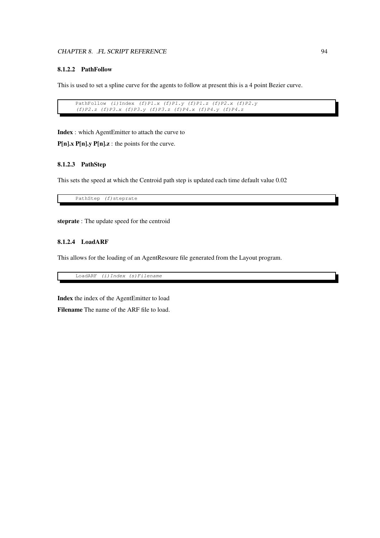#### CHAPTER 8. .FL SCRIPT REFERENCE 94

#### **8.1.2.2 PathFollow**

This is used to set a spline curve for the agents to follow at present this is a 4 point Bezier curve.

```
PathFollow (i)Index (f)P1.x (f)P1.y (f)P1.z (f)P2.x (f)P2.y
(f)P2.z (f)P3.x (f)P3.y (f)P3.z (f)P4.x (f)P4.y (f)P4.z
```
**Index** : which AgentEmitter to attach the curve to

**P[n].x P[n].y P[n].z** : the points for the curve.

#### **8.1.2.3 PathStep**

This sets the speed at which the Centroid path step is updated each time default value 0.02

PathStep (f) steprate

**steprate** : The update speed for the centroid

#### **8.1.2.4 LoadARF**

This allows for the loading of an AgentResoure file generated from the Layout program.

LoadARF (i)Index (s)Filename

**Index** the index of the AgentEmitter to load **Filename** The name of the ARF file to load.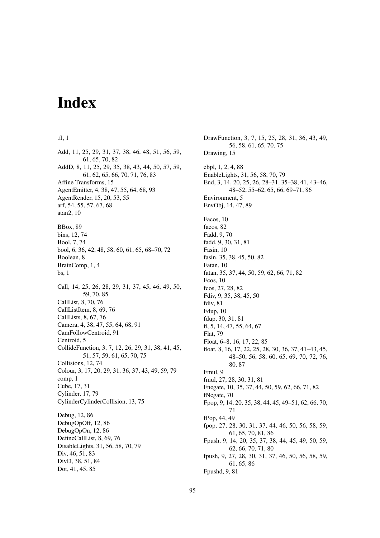# **Index**

#### .fl, 1

Add, 11, 25, 29, 31, 37, 38, 46, 48, 51, 56, 59, 61, 65, 70, 82 AddD, 8, 11, 25, 29, 35, 38, 43, 44, 50, 57, 59, 61, 62, 65, 66, 70, 71, 76, 83 Affine Transforms, 15 AgentEmitter, 4, 38, 47, 55, 64, 68, 93 AgentRender, 15, 20, 53, 55 arf, 54, 55, 57, 67, 68 atan2, 10 BBox, 89 bins, 12, 74 Bool, 7, 74 bool, 6, 36, 42, 48, 58, 60, 61, 65, 68–70, 72 Boolean, 8 BrainComp, 1, 4 bs, 1 Call, 14, 25, 26, 28, 29, 31, 37, 45, 46, 49, 50, 59, 70, 85 CallList, 8, 70, 76 CallListItem, 8, 69, 76 CallLists, 8, 67, 76 Camera, 4, 38, 47, 55, 64, 68, 91 CamFollowCentroid, 91 Centroid, 5 CollideFunction, 3, 7, 12, 26, 29, 31, 38, 41, 45, 51, 57, 59, 61, 65, 70, 75 Collisions, 12, 74 Colour, 3, 17, 20, 29, 31, 36, 37, 43, 49, 59, 79 comp, 1 Cube, 17, 31 Cylinder, 17, 79 CylinderCylinderCollision, 13, 75 Debug, 12, 86 DebugOpOff, 12, 86 DebugOpOn, 12, 86 DefineCallList, 8, 69, 76 DisableLights, 31, 56, 58, 70, 79 Div, 46, 51, 83 DivD, 38, 51, 84 Dot, 41, 45, 85

DrawFunction, 3, 7, 15, 25, 28, 31, 36, 43, 49, 56, 58, 61, 65, 70, 75 Drawing, 15 ebpl, 1, 2, 4, 88 EnableLights, 31, 56, 58, 70, 79 End, 3, 14, 20, 25, 26, 28–31, 35–38, 41, 43–46, 48–52, 55–62, 65, 66, 69–71, 86 Environment, 5 EnvObj, 14, 47, 89 Facos, 10 facos, 82 Fadd, 9, 70 fadd, 9, 30, 31, 81 Fasin, 10 fasin, 35, 38, 45, 50, 82 Fatan, 10 fatan, 35, 37, 44, 50, 59, 62, 66, 71, 82 Fcos, 10 fcos, 27, 28, 82 Fdiv, 9, 35, 38, 45, 50 fdiv, 81 Fdup, 10 fdup, 30, 31, 81 fl, 5, 14, 47, 55, 64, 67 Flat, 79 Float, 6–8, 16, 17, 22, 85 float, 8, 16, 17, 22, 25, 28, 30, 36, 37, 41–43, 45, 48–50, 56, 58, 60, 65, 69, 70, 72, 76, 80, 87 Fmul, 9 fmul, 27, 28, 30, 31, 81 Fnegate, 10, 35, 37, 44, 50, 59, 62, 66, 71, 82 fNegate, 70 Fpop, 9, 14, 20, 35, 38, 44, 45, 49–51, 62, 66, 70, 71 fPop, 44, 49 fpop, 27, 28, 30, 31, 37, 44, 46, 50, 56, 58, 59, 61, 65, 70, 81, 86 Fpush, 9, 14, 20, 35, 37, 38, 44, 45, 49, 50, 59, 62, 66, 70, 71, 80 fpush, 9, 27, 28, 30, 31, 37, 46, 50, 56, 58, 59, 61, 65, 86 Fpushd, 9, 81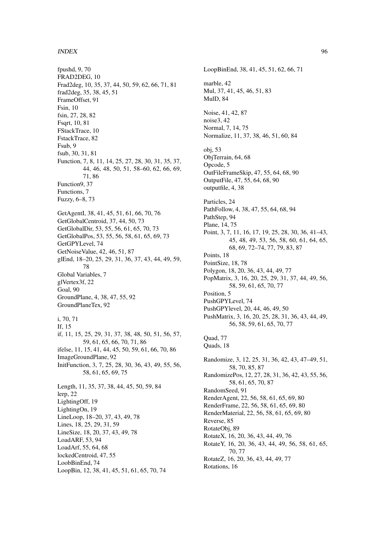#### INDEX 96

fpushd, 9, 70 FRAD2DEG, 10 Frad2deg, 10, 35, 37, 44, 50, 59, 62, 66, 71, 81 frad2deg, 35, 38, 45, 51 FrameOffset, 91 Fsin, 10 fsin, 27, 28, 82 Fsqrt, 10, 81 FStackTrace, 10 FstackTrace, 82 Fsub, 9 fsub, 30, 31, 81 Function, 7, 8, 11, 14, 25, 27, 28, 30, 31, 35, 37, 44, 46, 48, 50, 51, 58–60, 62, 66, 69, 71, 86 Function9, 37 Functions, 7 Fuzzy, 6–8, 73 GetAgentI, 38, 41, 45, 51, 61, 66, 70, 76 GetGlobalCentroid, 37, 44, 50, 73 GetGlobalDir, 53, 55, 56, 61, 65, 70, 73 GetGlobalPos, 53, 55, 56, 58, 61, 65, 69, 73 GetGPYLevel, 74 GetNoiseValue, 42, 46, 51, 87 glEnd, 18–20, 25, 29, 31, 36, 37, 43, 44, 49, 59, 78 Global Variables, 7 glVertex3f, 22 Goal, 90 GroundPlane, 4, 38, 47, 55, 92 GroundPlaneTex, 92 i, 70, 71 If, 15 if, 11, 15, 25, 29, 31, 37, 38, 48, 50, 51, 56, 57, 59, 61, 65, 66, 70, 71, 86 ifelse, 11, 15, 41, 44, 45, 50, 59, 61, 66, 70, 86 ImageGroundPlane, 92 InitFunction, 3, 7, 25, 28, 30, 36, 43, 49, 55, 56, 58, 61, 65, 69, 75 Length, 11, 35, 37, 38, 44, 45, 50, 59, 84 lerp, 22 LightingOff, 19 LightingOn, 19 LineLoop, 18–20, 37, 43, 49, 78 Lines, 18, 25, 29, 31, 59 LineSize, 18, 20, 37, 43, 49, 78 LoadARF, 53, 94 LoadArf, 55, 64, 68 lockedCentroid, 47, 55 LoobBinEnd, 74

LoopBin, 12, 38, 41, 45, 51, 61, 65, 70, 74

LoopBinEnd, 38, 41, 45, 51, 62, 66, 71 marble, 42 Mul, 37, 41, 45, 46, 51, 83 MulD, 84 Noise, 41, 42, 87 noise3, 42 Normal, 7, 14, 75 Normalize, 11, 37, 38, 46, 51, 60, 84 obj, 53 ObjTerrain, 64, 68 Opcode, 5 OutFileFrameSkip, 47, 55, 64, 68, 90 OutputFile, 47, 55, 64, 68, 90 outputfile, 4, 38 Particles, 24 PathFollow, 4, 38, 47, 55, 64, 68, 94 PathStep, 94 Plane, 14, 75 Point, 3, 7, 11, 16, 17, 19, 25, 28, 30, 36, 41–43, 45, 48, 49, 53, 56, 58, 60, 61, 64, 65, 68, 69, 72–74, 77, 79, 83, 87 Points, 18 PointSize, 18, 78 Polygon, 18, 20, 36, 43, 44, 49, 77 PopMatrix, 3, 16, 20, 25, 29, 31, 37, 44, 49, 56, 58, 59, 61, 65, 70, 77 Position, 5 PushGPYLevel, 74 PushGPYlevel, 20, 44, 46, 49, 50 PushMatrix, 3, 16, 20, 25, 28, 31, 36, 43, 44, 49, 56, 58, 59, 61, 65, 70, 77 Quad, 77 Quads, 18 Randomize, 3, 12, 25, 31, 36, 42, 43, 47–49, 51, 58, 70, 85, 87 RandomizePos, 12, 27, 28, 31, 36, 42, 43, 55, 56, 58, 61, 65, 70, 87 RandomSeed, 91 RenderAgent, 22, 56, 58, 61, 65, 69, 80 RenderFrame, 22, 56, 58, 61, 65, 69, 80 RenderMaterial, 22, 56, 58, 61, 65, 69, 80 Reverse, 85 RotateObj, 89 RotateX, 16, 20, 36, 43, 44, 49, 76 RotateY, 16, 20, 36, 43, 44, 49, 56, 58, 61, 65, 70, 77 RotateZ, 16, 20, 36, 43, 44, 49, 77 Rotations, 16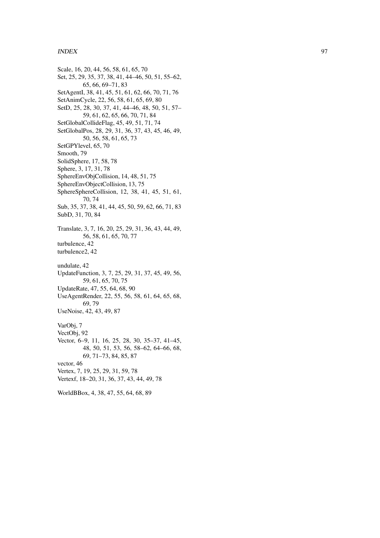#### INDEX 97

Scale, 16, 20, 44, 56, 58, 61, 65, 70 Set, 25, 29, 35, 37, 38, 41, 44–46, 50, 51, 55–62, 65, 66, 69–71, 83 SetAgentI, 38, 41, 45, 51, 61, 62, 66, 70, 71, 76 SetAnimCycle, 22, 56, 58, 61, 65, 69, 80 SetD, 25, 28, 30, 37, 41, 44–46, 48, 50, 51, 57– 59, 61, 62, 65, 66, 70, 71, 84 SetGlobalCollideFlag, 45, 49, 51, 71, 74 SetGlobalPos, 28, 29, 31, 36, 37, 43, 45, 46, 49, 50, 56, 58, 61, 65, 73 SetGPYlevel, 65, 70 Smooth, 79 SolidSphere, 17, 58, 78 Sphere, 3, 17, 31, 78 SphereEnvObjCollision, 14, 48, 51, 75 SphereEnvObjectCollision, 13, 75 SphereSphereCollision, 12, 38, 41, 45, 51, 61, 70, 74 Sub, 35, 37, 38, 41, 44, 45, 50, 59, 62, 66, 71, 83 SubD, 31, 70, 84 Translate, 3, 7, 16, 20, 25, 29, 31, 36, 43, 44, 49, 56, 58, 61, 65, 70, 77 turbulence, 42 turbulence2, 42 undulate, 42 UpdateFunction, 3, 7, 25, 29, 31, 37, 45, 49, 56, 59, 61, 65, 70, 75 UpdateRate, 47, 55, 64, 68, 90 UseAgentRender , 22, 55, 56, 58, 61, 64, 65, 68, 69, 79 UseNoise, 42, 43, 49, 87 VarObj, 7 VectObj, 92 Vector, 6–9, 11, 16, 25, 28, 30, 35–37, 41–45, 48, 50, 51, 53, 56, 58–62, 64–66, 68, 69, 71–73, 84, 85, 87 vector , 46 Vertex, 7, 19, 25, 29, 31, 59, 78 Vertexf, 18–20, 31, 36, 37, 43, 44, 49, 78

WorldBBox, 4, 38, 47, 55, 64, 68, 89